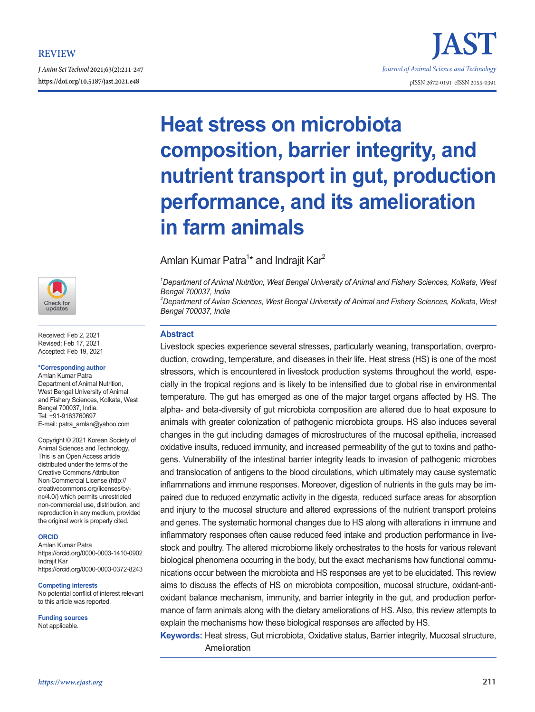*J Anim Sci Technol* **2021;63(2):211-247**



Received: Feb 2, 2021 Revised: Feb 17, 2021 Accepted: Feb 19, 2021

#### **\*Corresponding author**

Amlan Kumar Patra Department of Animal Nutrition, West Bengal University of Animal and Fishery Sciences, Kolkata, West Bengal 700037, India. Tel: +91-9163760697 E-mail: patra\_amlan@yahoo.com

Copyright © 2021 Korean Society of Animal Sciences and Technology. This is an Open Access article distributed under the terms of the Creative Commons Attribution Non-Commercial License (http:// creativecommons.org/licenses/bync/4.0/) which permits unrestricted non-commercial use, distribution, and reproduction in any medium, provided the original work is properly cited.

#### **ORCID**

Amlan Kumar Patra https://orcid.org/0000-0003-1410-0902 Indrajit Kar https://orcid.org/0000-0003-0372-8243

#### **Competing interests**

No potential conflict of interest relevant to this article was reported.

**Funding sources**

Not applicable.

# **Heat stress on microbiota composition, barrier integrity, and nutrient transport in gut, production performance, and its amelioration in farm animals**

Amlan Kumar Patra<sup>1</sup>\* and Indrajit Kar<sup>2</sup>

*1 Department of Animal Nutrition, West Bengal University of Animal and Fishery Sciences, Kolkata, West Bengal 700037, India*

*2 Department of Avian Sciences, West Bengal University of Animal and Fishery Sciences, Kolkata, West Bengal 700037, India*

## **Abstract**

Livestock species experience several stresses, particularly weaning, transportation, overproduction, crowding, temperature, and diseases in their life. Heat stress (HS) is one of the most stressors, which is encountered in livestock production systems throughout the world, especially in the tropical regions and is likely to be intensified due to global rise in environmental temperature. The gut has emerged as one of the major target organs affected by HS. The alpha- and beta-diversity of gut microbiota composition are altered due to heat exposure to animals with greater colonization of pathogenic microbiota groups. HS also induces several changes in the gut including damages of microstructures of the mucosal epithelia, increased oxidative insults, reduced immunity, and increased permeability of the gut to toxins and pathogens. Vulnerability of the intestinal barrier integrity leads to invasion of pathogenic microbes and translocation of antigens to the blood circulations, which ultimately may cause systematic inflammations and immune responses. Moreover, digestion of nutrients in the guts may be impaired due to reduced enzymatic activity in the digesta, reduced surface areas for absorption and injury to the mucosal structure and altered expressions of the nutrient transport proteins and genes. The systematic hormonal changes due to HS along with alterations in immune and inflammatory responses often cause reduced feed intake and production performance in livestock and poultry. The altered microbiome likely orchestrates to the hosts for various relevant biological phenomena occurring in the body, but the exact mechanisms how functional communications occur between the microbiota and HS responses are yet to be elucidated. This review aims to discuss the effects of HS on microbiota composition, mucosal structure, oxidant-antioxidant balance mechanism, immunity, and barrier integrity in the gut, and production performance of farm animals along with the dietary ameliorations of HS. Also, this review attempts to explain the mechanisms how these biological responses are affected by HS.

**Keywords:** Heat stress, Gut microbiota, Oxidative status, Barrier integrity, Mucosal structure, Amelioration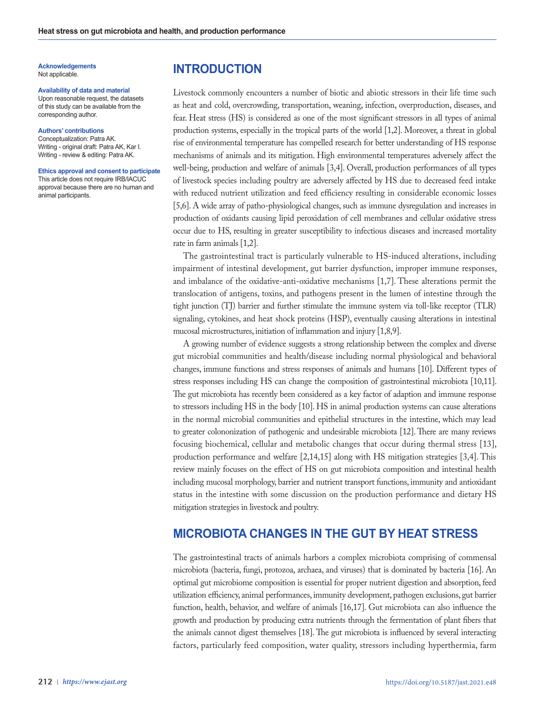**Acknowledgements** Not applicable.

#### **Availability of data and material**

Upon reasonable request, the datasets of this study can be available from the corresponding author.

#### **Authors' contributions**

Conceptualization: Patra AK. Writing - original draft: Patra AK, Kar I. Writing - review & editing: Patra AK.

#### **Ethics approval and consent to participate**

This article does not require IRB/IACUC approval because there are no human and animal participants.

# **INTRODUCTION**

Livestock commonly encounters a number of biotic and abiotic stressors in their life time such as heat and cold, overcrowding, transportation, weaning, infection, overproduction, diseases, and fear. Heat stress (HS) is considered as one of the most significant stressors in all types of animal production systems, especially in the tropical parts of the world [1,2]. Moreover, a threat in global rise of environmental temperature has compelled research for better understanding of HS response mechanisms of animals and its mitigation. High environmental temperatures adversely affect the well-being, production and welfare of animals [3,4]. Overall, production performances of all types of livestock species including poultry are adversely affected by HS due to decreased feed intake with reduced nutrient utilization and feed efficiency resulting in considerable economic losses [5,6]. A wide array of patho-physiological changes, such as immune dysregulation and increases in production of oxidants causing lipid peroxidation of cell membranes and cellular oxidative stress occur due to HS, resulting in greater susceptibility to infectious diseases and increased mortality rate in farm animals [1,2].

The gastrointestinal tract is particularly vulnerable to HS-induced alterations, including impairment of intestinal development, gut barrier dysfunction, improper immune responses, and imbalance of the oxidative-anti-oxidative mechanisms [1,7]. These alterations permit the translocation of antigens, toxins, and pathogens present in the lumen of intestine through the tight junction (TJ) barrier and further stimulate the immune system via toll-like receptor (TLR) signaling, cytokines, and heat shock proteins (HSP), eventually causing alterations in intestinal mucosal microstructures, initiation of inflammation and injury [1,8,9].

A growing number of evidence suggests a strong relationship between the complex and diverse gut microbial communities and health/disease including normal physiological and behavioral changes, immune functions and stress responses of animals and humans [10]. Different types of stress responses including HS can change the composition of gastrointestinal microbiota [10,11]. The gut microbiota has recently been considered as a key factor of adaption and immune response to stressors including HS in the body [10]. HS in animal production systems can cause alterations in the normal microbial communities and epithelial structures in the intestine, which may lead to greater colononization of pathogenic and undesirable microbiota [12]. There are many reviews focusing biochemical, cellular and metabolic changes that occur during thermal stress [13], production performance and welfare [2,14,15] along with HS mitigation strategies [3,4]. This review mainly focuses on the effect of HS on gut microbiota composition and intestinal health including mucosal morphology, barrier and nutrient transport functions, immunity and antioxidant status in the intestine with some discussion on the production performance and dietary HS mitigation strategies in livestock and poultry.

# **MICROBIOTA CHANGES IN THE GUT BY HEAT STRESS**

The gastrointestinal tracts of animals harbors a complex microbiota comprising of commensal microbiota (bacteria, fungi, protozoa, archaea, and viruses) that is dominated by bacteria [16]. An optimal gut microbiome composition is essential for proper nutrient digestion and absorption, feed utilization efficiency, animal performances, immunity development, pathogen exclusions, gut barrier function, health, behavior, and welfare of animals [16,17]. Gut microbiota can also influence the growth and production by producing extra nutrients through the fermentation of plant fibers that the animals cannot digest themselves [18]. The gut microbiota is influenced by several interacting factors, particularly feed composition, water quality, stressors including hyperthermia, farm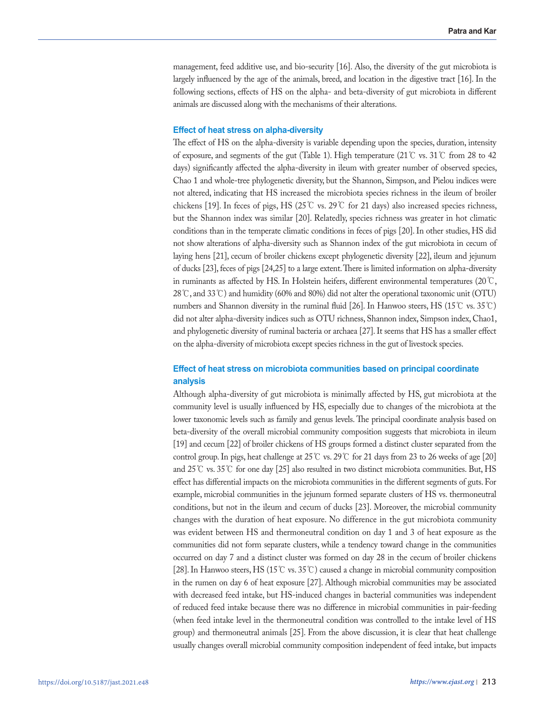management, feed additive use, and bio-security [16]. Also, the diversity of the gut microbiota is largely influenced by the age of the animals, breed, and location in the digestive tract [16]. In the following sections, effects of HS on the alpha- and beta-diversity of gut microbiota in different animals are discussed along with the mechanisms of their alterations.

## **Effect of heat stress on alpha-diversity**

The effect of HS on the alpha-diversity is variable depending upon the species, duration, intensity of exposure, and segments of the gut (Table 1). High temperature (21℃ vs. 31℃ from 28 to 42 days) significantly affected the alpha-diversity in ileum with greater number of observed species, Chao 1 and whole-tree phylogenetic diversity, but the Shannon, Simpson, and Pielou indices were not altered, indicating that HS increased the microbiota species richness in the ileum of broiler chickens [19]. In feces of pigs, HS (25°C vs. 29°C for 21 days) also increased species richness, but the Shannon index was similar [20]. Relatedly, species richness was greater in hot climatic conditions than in the temperate climatic conditions in feces of pigs [20]. In other studies, HS did not show alterations of alpha-diversity such as Shannon index of the gut microbiota in cecum of laying hens [21], cecum of broiler chickens except phylogenetic diversity [22], ileum and jejunum of ducks [23], feces of pigs [24,25] to a large extent. There is limited information on alpha-diversity in ruminants as affected by HS. In Holstein heifers, different environmental temperatures (20℃, 28℃, and 33℃) and humidity (60% and 80%) did not alter the operational taxonomic unit (OTU) numbers and Shannon diversity in the ruminal fluid [26]. In Hanwoo steers, HS (15℃ vs. 35℃) did not alter alpha-diversity indices such as OTU richness, Shannon index, Simpson index, Chao1, and phylogenetic diversity of ruminal bacteria or archaea [27]. It seems that HS has a smaller effect on the alpha-diversity of microbiota except species richness in the gut of livestock species.

# **Effect of heat stress on microbiota communities based on principal coordinate analysis**

Although alpha-diversity of gut microbiota is minimally affected by HS, gut microbiota at the community level is usually influenced by HS, especially due to changes of the microbiota at the lower taxonomic levels such as family and genus levels. The principal coordinate analysis based on beta-diversity of the overall microbial community composition suggests that microbiota in ileum [19] and cecum [22] of broiler chickens of HS groups formed a distinct cluster separated from the control group. In pigs, heat challenge at  $25^{\circ}$  vs.  $29^{\circ}$  for 21 days from 23 to 26 weeks of age [20] and 25℃ vs. 35℃ for one day [25] also resulted in two distinct microbiota communities. But, HS effect has differential impacts on the microbiota communities in the different segments of guts. For example, microbial communities in the jejunum formed separate clusters of HS vs. thermoneutral conditions, but not in the ileum and cecum of ducks [23]. Moreover, the microbial community changes with the duration of heat exposure. No difference in the gut microbiota community was evident between HS and thermoneutral condition on day 1 and 3 of heat exposure as the communities did not form separate clusters, while a tendency toward change in the communities occurred on day 7 and a distinct cluster was formed on day 28 in the cecum of broiler chickens [28]. In Hanwoo steers, HS (15℃ vs. 35℃) caused a change in microbial community composition in the rumen on day 6 of heat exposure [27]. Although microbial communities may be associated with decreased feed intake, but HS-induced changes in bacterial communities was independent of reduced feed intake because there was no difference in microbial communities in pair-feeding (when feed intake level in the thermoneutral condition was controlled to the intake level of HS group) and thermoneutral animals [25]. From the above discussion, it is clear that heat challenge usually changes overall microbial community composition independent of feed intake, but impacts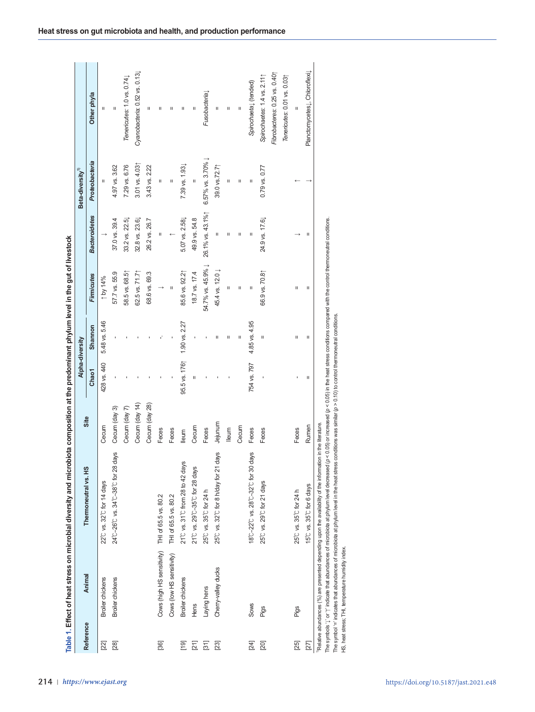| 오<br>Thermoneutral vs.<br>22°C vs. 32°C for 14 days |                | Alpha-diversity |                |                            |                            | Beta-diversity <sup>1)</sup> |                                                                                                                                                                                                                                                                                                                                                                                                                                                        |
|-----------------------------------------------------|----------------|-----------------|----------------|----------------------------|----------------------------|------------------------------|--------------------------------------------------------------------------------------------------------------------------------------------------------------------------------------------------------------------------------------------------------------------------------------------------------------------------------------------------------------------------------------------------------------------------------------------------------|
|                                                     | Site           | Chao1           | Shannon        | <b>Firmicutes</b>          | <b>Bacteroidetes</b>       | Proteobacteria               | Other phyla                                                                                                                                                                                                                                                                                                                                                                                                                                            |
|                                                     | Cecum          | 428 vs. 440     | 5.48 vs. 5.46  | $\uparrow$ by 14%          |                            |                              | $\rm H$                                                                                                                                                                                                                                                                                                                                                                                                                                                |
| -28 days<br>24°C-26°C vs. 34°C-38°C for             | Cecum (day 3)  |                 |                | 57.7 vs. 55.9              | 37.0 vs. 39.4              | 4.97 vs. 3.62                | $\mathsf{H}% _{0}\left( t\right) \equiv\mathsf{H}_{0}\left( t\right)$                                                                                                                                                                                                                                                                                                                                                                                  |
|                                                     | Cecum (day 7)  |                 |                | 58.5 vs. 68.5              | 33.2 vs. 22.5              | 7.29 vs. 6.76                | Tenericutes: 1.0 vs. 0.741                                                                                                                                                                                                                                                                                                                                                                                                                             |
|                                                     | Cecum (day 14) |                 |                | 62.5 vs. 71.71             | 32.8 vs. 23.6              | 3.01 vs. 4.031               | Cyanobacteria: 0.52 vs. 0.131                                                                                                                                                                                                                                                                                                                                                                                                                          |
|                                                     | Cecum (day 28) |                 |                | 68.6 vs. 69.3              | 26.2 vs. 26.7              | 3.43 vs. 2.22                | $\mathbf{H}% =\mathbf{H}(\mathbf{Q}^{T}\times\mathbf{Q}^{T}\times\mathbf{Q}^{T}\times\mathbf{Q}^{T}\times\mathbf{Q}^{T}\times\mathbf{Q}^{T}\times\mathbf{Q}^{T}\times\mathbf{Q}^{T}\times\mathbf{Q}^{T}\times\mathbf{Q}^{T}\times\mathbf{Q}^{T}\times\mathbf{Q}^{T}\times\mathbf{Q}^{T}\times\mathbf{Q}^{T}\times\mathbf{Q}^{T}\times\mathbf{Q}^{T}\times\mathbf{Q}^{T}\times\mathbf{Q}^{T}\times\mathbf{Q}^{T}\times\mathbf{Q}^{T}\times\mathbf{Q}^{$ |
| THI of 65.5 vs. 80.2                                | Feces          |                 |                | $\rightarrow$              | П                          | Ш                            | Ш                                                                                                                                                                                                                                                                                                                                                                                                                                                      |
| THI of 65.5 vs. 80.2                                | Feces          |                 |                | $\mathbf{II}$              |                            | $\rm H$                      | Ш                                                                                                                                                                                                                                                                                                                                                                                                                                                      |
| days<br>21°C vs. 31°C from 28 to 42                 | lleum          | 95.5 vs. 1761   | 1.90 vs. 2.27  | 85.6 vs. 92.21             | 5.07 vs. 2.58              | 7.39 vs. 1.93                | Ш                                                                                                                                                                                                                                                                                                                                                                                                                                                      |
| 21°C vs. 29°C-35°C for 28 days                      | Cecum          | П               |                | 18.7 vs. 17.4              | 49.9 vs. 54.8              |                              | $\, \rm H$                                                                                                                                                                                                                                                                                                                                                                                                                                             |
| 25°C vs. 35°C for 24 h                              | Feces          |                 |                | 54.7% vs. 45.9% ↓          | 26.1% vs. 43.1%1           | 6.57% vs. 3.70% ↓            | Fusobacterial                                                                                                                                                                                                                                                                                                                                                                                                                                          |
| 21 days<br>25°C vs. 32°C for 8 h/day for            | mumier         |                 | $\mathbf H$    | 45.4 vs. 12.0 J            | п                          | 39.0 vs.72.71                | п                                                                                                                                                                                                                                                                                                                                                                                                                                                      |
|                                                     | lleum          |                 | $\sf II$       | Ш                          | $\mathsf{II}%$             | Ш                            | $\mathsf{II}%$                                                                                                                                                                                                                                                                                                                                                                                                                                         |
|                                                     | Cecum          |                 | $\mathsf{II}%$ | $\sf II$                   | Ш                          | $\sf II$                     | $\mathsf{I}\mathsf{I}$                                                                                                                                                                                                                                                                                                                                                                                                                                 |
| 30 days<br>18°C-22°C vs. 28°C-32°C for              | Feces          | 754 vs. 797     | 4.85 vs. 4.95  | $\boldsymbol{\mathsf{II}}$ | $\boldsymbol{\mathsf{II}}$ | $\boldsymbol{\mathsf{II}}$   | Spirochaeta (tended)                                                                                                                                                                                                                                                                                                                                                                                                                                   |
| 25°C vs. 29°C for 21 days                           | Feces          |                 | $\rm H$        | 66.9 vs. 70.8              | 24.9 vs. 17.6              | $0.79$ vs. $0.77$            | Spirochaetes: 1.4 vs. 2.111                                                                                                                                                                                                                                                                                                                                                                                                                            |
|                                                     |                |                 |                |                            |                            |                              | Fibrobacteres: 0.25 vs. 0.40                                                                                                                                                                                                                                                                                                                                                                                                                           |
|                                                     |                |                 |                |                            |                            |                              | Tenericutes: 0.01 vs. 0.031                                                                                                                                                                                                                                                                                                                                                                                                                            |
| 25°C vs. 35°C for 24 h                              | Feces          | ٠               | Ш              | П                          |                            |                              |                                                                                                                                                                                                                                                                                                                                                                                                                                                        |
| 15°C vs. 35°C for 6 days                            | Rumen          | $\rm H$         | $\, \Pi \,$    | $\rm H$                    |                            |                              | Planctomycetes <sub>L</sub> , Chloroflexil                                                                                                                                                                                                                                                                                                                                                                                                             |
|                                                     |                |                 |                |                            |                            | $\,$ H                       |                                                                                                                                                                                                                                                                                                                                                                                                                                                        |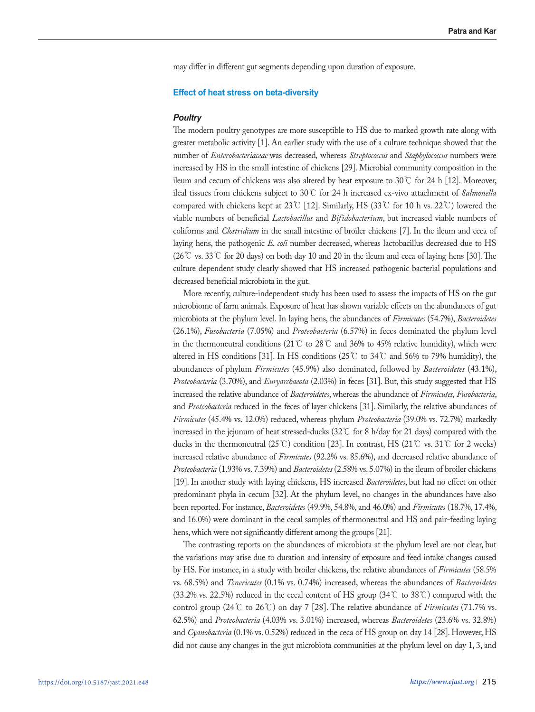may differ in different gut segments depending upon duration of exposure.

# **Effect of heat stress on beta-diversity**

## *Poultry*

The modern poultry genotypes are more susceptible to HS due to marked growth rate along with greater metabolic activity [1]. An earlier study with the use of a culture technique showed that the number of *Enterobacteriaceae* was decreased*,* whereas *Streptococcus* and *Staphylococcus* numbers were increased by HS in the small intestine of chickens [29]. Microbial community composition in the ileum and cecum of chickens was also altered by heat exposure to 30℃ for 24 h [12]. Moreover, ileal tissues from chickens subject to 30℃ for 24 h increased ex-vivo attachment of *Salmonella* compared with chickens kept at 23℃ [12]. Similarly, HS (33℃ for 10 h vs. 22℃) lowered the viable numbers of beneficial *Lactobacillus* and *Bifidobacterium*, but increased viable numbers of coliforms and *Clostridium* in the small intestine of broiler chickens [7]. In the ileum and ceca of laying hens, the pathogenic *E. coli* number decreased, whereas lactobacillus decreased due to HS (26℃ vs. 33℃ for 20 days) on both day 10 and 20 in the ileum and ceca of laying hens [30]. The culture dependent study clearly showed that HS increased pathogenic bacterial populations and decreased beneficial microbiota in the gut.

More recently, culture-independent study has been used to assess the impacts of HS on the gut microbiome of farm animals. Exposure of heat has shown variable effects on the abundances of gut microbiota at the phylum level. In laying hens, the abundances of *Firmicutes* (54.7%), *Bacteroidetes* (26.1%), *Fusobacteria* (7.05%) and *Proteobacteria* (6.57%) in feces dominated the phylum level in the thermoneutral conditions (21℃ to 28℃ and 36% to 45% relative humidity), which were altered in HS conditions [31]. In HS conditions (25°C to 34°C and 56% to 79% humidity), the abundances of phylum *Firmicutes* (45.9%) also dominated, followed by *Bacteroidetes* (43.1%), *Proteobacteria* (3.70%), and *Euryarchaeota* (2.03%) in feces [31]. But, this study suggested that HS increased the relative abundance of *Bacteroidetes*, whereas the abundance of *Firmicutes, Fusobacteria*, and *Proteobacteria* reduced in the feces of layer chickens [31]. Similarly, the relative abundances of *Firmicutes* (45.4% vs. 12.0%) reduced, whereas phylum *Proteobacteria* (39.0% vs. 72.7%) markedly increased in the jejunum of heat stressed-ducks (32℃ for 8 h/day for 21 days) compared with the ducks in the thermoneutral (25°C) condition [23]. In contrast, HS (21°C vs. 31°C for 2 weeks) increased relative abundance of *Firmicutes* (92.2% vs. 85.6%), and decreased relative abundance of *Proteobacteria* (1.93% vs. 7.39%) and *Bacteroidetes* (2.58% vs. 5.07%) in the ileum of broiler chickens [19]. In another study with laying chickens, HS increased *Bacteroidetes*, but had no effect on other predominant phyla in cecum [32]. At the phylum level, no changes in the abundances have also been reported. For instance, *Bacteroidetes* (49.9%, 54.8%, and 46.0%) and *Firmicutes* (18.7%, 17.4%, and 16.0%) were dominant in the cecal samples of thermoneutral and HS and pair-feeding laying hens, which were not significantly different among the groups [21].

The contrasting reports on the abundances of microbiota at the phylum level are not clear, but the variations may arise due to duration and intensity of exposure and feed intake changes caused by HS. For instance, in a study with broiler chickens, the relative abundances of *Firmicutes* (58.5% vs. 68.5%) and *Tenericutes* (0.1% vs. 0.74%) increased, whereas the abundances of *Bacteroidetes*  (33.2% vs. 22.5%) reduced in the cecal content of HS group (34℃ to 38℃) compared with the control group (24℃ to 26℃) on day 7 [28]. The relative abundance of *Firmicutes* (71.7% vs. 62.5%) and *Proteobacteria* (4.03% vs. 3.01%) increased, whereas *Bacteroidetes* (23.6% vs. 32.8%) and *Cyanobacteria* (0.1% vs. 0.52%) reduced in the ceca of HS group on day 14 [28]. However, HS did not cause any changes in the gut microbiota communities at the phylum level on day 1, 3, and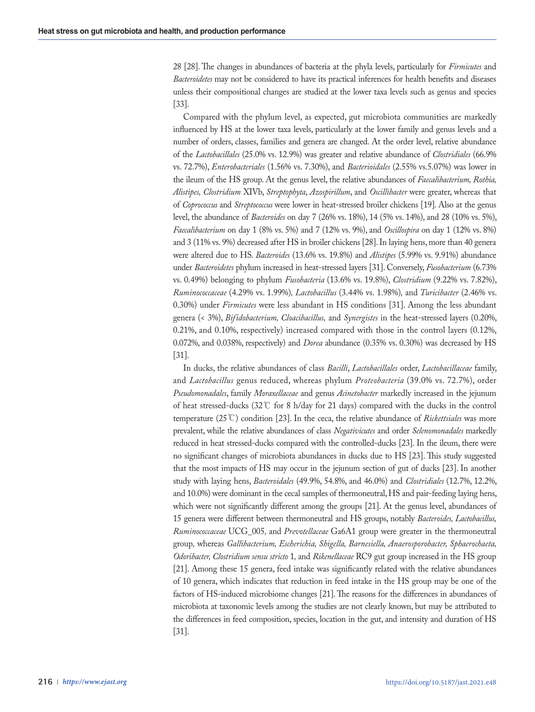28 [28]. The changes in abundances of bacteria at the phyla levels, particularly for *Firmicutes* and *Bacteroidetes* may not be considered to have its practical inferences for health benefits and diseases unless their compositional changes are studied at the lower taxa levels such as genus and species [33].

Compared with the phylum level, as expected, gut microbiota communities are markedly influenced by HS at the lower taxa levels, particularly at the lower family and genus levels and a number of orders, classes, families and genera are changed. At the order level, relative abundance of the *Lactobacillales* (25.0% vs. 12.9%) was greater and relative abundance of *Clostridiales* (66.9% vs. 72.7%), *Enterobacteriales* (1.56% vs. 7.30%), and *Bacterioidales* (2.55% vs.5.07%) was lower in the ileum of the HS group. At the genus level, the relative abundances of *Faecalibacterium, Rothia, Alistipes, Clostridium* XIVb, *Streptophyta*, *Azospirillum*, and *Oscillibacter* were greater, whereas that of *Coprococcus* and *Streptococcus* were lower in heat-stressed broiler chickens [19]. Also at the genus level, the abundance of *Bacteroides* on day 7 (26% vs. 18%), 14 (5% vs. 14%), and 28 (10% vs. 5%), *Faecalibacterium* on day 1 (8% vs. 5%) and 7 (12% vs. 9%), and *Oscillospira* on day 1 (12% vs. 8%) and 3 (11% vs. 9%) decreased after HS in broiler chickens [28]. In laying hens, more than 40 genera were altered due to HS. *Bacteroides* (13.6% vs. 19.8%) and *Alistipes* (5.99% vs. 9.91%) abundance under *Bacteroidetes* phylum increased in heat-stressed layers [31]. Conversely, *Fusobacterium* (6.73% vs. 0.49%) belonging to phylum *Fusobacteria* (13.6% vs. 19.8%), *Clostridium* (9.22% vs. 7.82%), *Ruminococcaceae* (4.29% vs. 1.99%)*, Lactobacillus* (3.44% vs. 1.98%)*,* and *Turicibacter* (2.46% vs. 0.30%) under *Firmicutes* were less abundant in HS conditions [31]. Among the less abundant genera (< 3%), *Bifidobacterium, Cloacibacillus,* and *Synergistes* in the heat-stressed layers (0.20%, 0.21%, and 0.10%, respectively) increased compared with those in the control layers (0.12%, 0.072%, and 0.038%, respectively) and *Dorea* abundance (0.35% vs. 0.30%) was decreased by HS [31].

In ducks, the relative abundances of class *Bacilli*, *Lactobacillales* order, *Lactobacillaceae* family, and *Lactobacillus* genus reduced, whereas phylum *Proteobacteria* (39.0% vs. 72.7%), order *Pseudomonadales*, family *Moraxellaceae* and genus *Acinetobacter* markedly increased in the jejunum of heat stressed-ducks (32℃ for 8 h/day for 21 days) compared with the ducks in the control temperature (25℃) condition [23]. In the ceca, the relative abundance of *Rickettsiales* was more prevalent, while the relative abundances of class *Negativicutes* and order *Selenomonadales* markedly reduced in heat stressed-ducks compared with the controlled-ducks [23]. In the ileum, there were no significant changes of microbiota abundances in ducks due to HS [23]. This study suggested that the most impacts of HS may occur in the jejunum section of gut of ducks [23]. In another study with laying hens, *Bacteroidales* (49.9%, 54.8%, and 46.0%) and *Clostridiales* (12.7%, 12.2%, and 10.0%) were dominant in the cecal samples of thermoneutral, HS and pair-feeding laying hens, which were not significantly different among the groups [21]. At the genus level, abundances of 15 genera were different between thermoneutral and HS groups, notably *Bacteroides, Lactobacillus, Ruminococcaceae* UCG\_005*,* and *Prevotellaceae* Ga6A1 group were greater in the thermoneutral group*,* whereas *Gallibacterium, Escherichia, Shigella, Barnesiella, Anaerosporobacter, Sphaerochaeta, Odoribacter, Clostridium sensu stricto* 1*,* and *Rikenellaceae* RC9 gut group increased in the HS group [21]. Among these 15 genera, feed intake was significantly related with the relative abundances of 10 genera, which indicates that reduction in feed intake in the HS group may be one of the factors of HS-induced microbiome changes [21]. The reasons for the differences in abundances of microbiota at taxonomic levels among the studies are not clearly known, but may be attributed to the differences in feed composition, species, location in the gut, and intensity and duration of HS [31].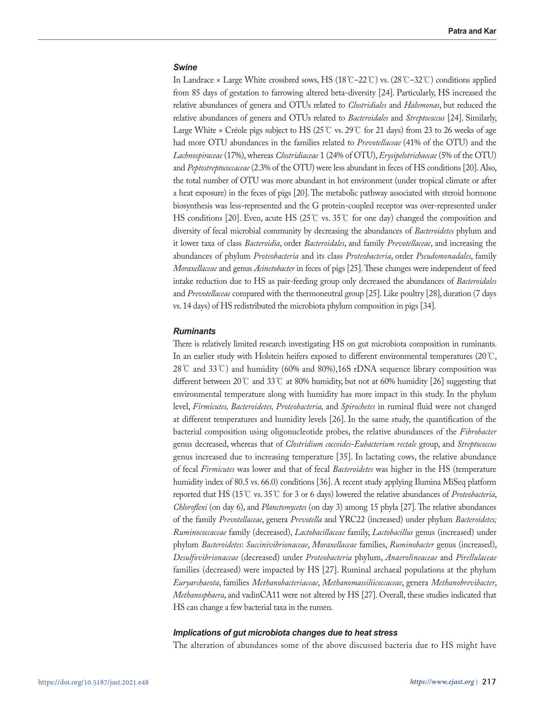# *Swine*

In Landrace × Large White crossbred sows, HS (18℃–22℃) vs. (28℃–32℃) conditions applied from 85 days of gestation to farrowing altered beta-diversity [24]. Particularly, HS increased the relative abundances of genera and OTUs related to *Clostridiales* and *Halomonas*, but reduced the relative abundances of genera and OTUs related to *Bacteroidales* and *Streptococcus* [24]. Similarly, Large White × Créole pigs subject to HS (25℃ vs. 29℃ for 21 days) from 23 to 26 weeks of age had more OTU abundances in the families related to *Prevotellaceae* (41% of the OTU) and the *Lachnospiraceae* (17%), whereas *Clostridiaceae* 1 (24% of OTU), *Erysipelotrichaecae* (5% of the OTU) and *Peptostreptococcaceae* (2.3% of the OTU) were less abundant in feces of HS conditions [20]. Also, the total number of OTU was more abundant in hot environment (under tropical climate or after a heat exposure) in the feces of pigs [20]. The metabolic pathway associated with steroid hormone biosynthesis was less-represented and the G protein-coupled receptor was over-represented under HS conditions [20]. Even, acute HS (25℃ vs. 35℃ for one day) changed the composition and diversity of fecal microbial community by decreasing the abundances of *Bacteroidetes* phylum and it lower taxa of class *Bacteroidia*, order *Bacteroidales*, and family *Prevotellaceae*, and increasing the abundances of phylum *Proteobacteria* and its class *Proteobacteria*, order *Pseudomonadales*, family *Moraxellaceae* and genus *Acinetobacter* in feces of pigs [25]. These changes were independent of feed intake reduction due to HS as pair-feeding group only decreased the abundances of *Bacteroidales* and *Prevotellaceae* compared with the thermoneutral group [25]. Like poultry [28], duration (7 days vs. 14 days) of HS redistributed the microbiota phylum composition in pigs [34].

# *Ruminants*

There is relatively limited research investigating HS on gut microbiota composition in ruminants. In an earlier study with Holstein heifers exposed to different environmental temperatures (20℃, 28℃ and 33℃) and humidity (60% and 80%),16S rDNA sequence library composition was different between 20℃ and 33℃ at 80% humidity, but not at 60% humidity [26] suggesting that environmental temperature along with humidity has more impact in this study. In the phylum level, *Firmicutes, Bacteroidetes, Proteobacteria,* and *Spirochetes* in ruminal fluid were not changed at different temperatures and humidity levels [26]. In the same study, the quantification of the bacterial composition using oligonucleotide probes, the relative abundances of the *Fibrobacter* genus decreased, whereas that of *Clostridium coccoides-Eubacterium rectale* group, and *Streptococcus* genus increased due to increasing temperature [35]. In lactating cows, the relative abundance of fecal *Firmicutes* was lower and that of fecal *Bacteroidetes* was higher in the HS (temperature humidity index of 80.5 vs. 66.0) conditions [36]. A recent study applying Ilumina MiSeq platform reported that HS (15℃ vs. 35℃ for 3 or 6 days) lowered the relative abundances of *Proteobacteria*, *Chloroflexi* (on day 6), and *Planctomycetes* (on day 3) among 15 phyla [27]. The relative abundances of the family *Prevotellaceae*, genera *Prevotella* and YRC22 (increased) under phylum *Bacteroidetes; Ruminococcaceae* family (decreased), *Lactobacillaceae* family, *Lactobacillus* genus (increased) under phylum *Bacteroidetes*: *Succinivibrionaceae*, *Moraxellaceae* families, *Ruminobacter* genus (increased), *Desulfovibrionaceae* (decreased) under *Proteobacteria* phylum, *Anaerolineaceae* and *Pirellulaceae* families (decreased) were impacted by HS [27]. Ruminal archaeal populations at the phylum *Euryarchaeota*, families *Methanobacteriaceae*, *Methanomassiliicoccaceae*, genera *Methanobrevibacter*, *Methanosphaera*, and vadinCA11 were not altered by HS [27]. Overall, these studies indicated that HS can change a few bacterial taxa in the rumen.

# *Implications of gut microbiota changes due to heat stress*

The alteration of abundances some of the above discussed bacteria due to HS might have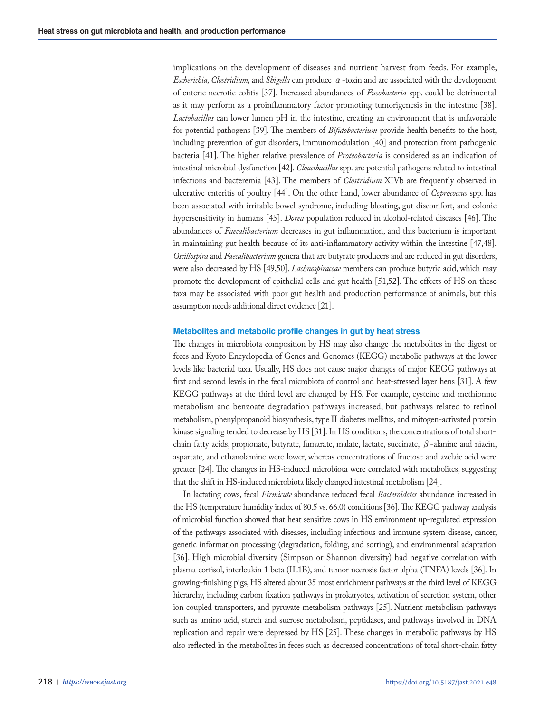implications on the development of diseases and nutrient harvest from feeds. For example, *Escherichia, Clostridium,* and *Shigella* can produce α-toxin and are associated with the development of enteric necrotic colitis [37]. Increased abundances of *Fusobacteria* spp. could be detrimental as it may perform as a proinflammatory factor promoting tumorigenesis in the intestine [38]. *Lactobacillus* can lower lumen pH in the intestine, creating an environment that is unfavorable for potential pathogens [39]. The members of *Bifidobacterium* provide health benefits to the host, including prevention of gut disorders, immunomodulation [40] and protection from pathogenic bacteria [41]. The higher relative prevalence of *Proteobacteria* is considered as an indication of intestinal microbial dysfunction [42]. *Cloacibacillus* spp. are potential pathogens related to intestinal infections and bacteremia [43]. The members of *Clostridium* XIVb are frequently observed in ulcerative enteritis of poultry [44]. On the other hand, lower abundance of *Coprococcus* spp. has been associated with irritable bowel syndrome, including bloating, gut discomfort, and colonic hypersensitivity in humans [45]. *Dorea* population reduced in alcohol-related diseases [46]. The abundances of *Faecalibacterium* decreases in gut inflammation, and this bacterium is important in maintaining gut health because of its anti-inflammatory activity within the intestine [47,48]. *Oscillospira* and *Faecalibacterium* genera that are butyrate producers and are reduced in gut disorders, were also decreased by HS [49,50]. *Lachnospiraceae* members can produce butyric acid, which may promote the development of epithelial cells and gut health [51,52]. The effects of HS on these taxa may be associated with poor gut health and production performance of animals, but this assumption needs additional direct evidence [21].

## **Metabolites and metabolic profile changes in gut by heat stress**

The changes in microbiota composition by HS may also change the metabolites in the digest or feces and Kyoto Encyclopedia of Genes and Genomes (KEGG) metabolic pathways at the lower levels like bacterial taxa. Usually, HS does not cause major changes of major KEGG pathways at first and second levels in the fecal microbiota of control and heat-stressed layer hens [31]. A few KEGG pathways at the third level are changed by HS. For example, cysteine and methionine metabolism and benzoate degradation pathways increased, but pathways related to retinol metabolism, phenylpropanoid biosynthesis, type II diabetes mellitus, and mitogen-activated protein kinase signaling tended to decrease by HS [31]. In HS conditions, the concentrations of total shortchain fatty acids, propionate, butyrate, fumarate, malate, lactate, succinate,  $\beta$ -alanine and niacin, aspartate, and ethanolamine were lower, whereas concentrations of fructose and azelaic acid were greater [24]. The changes in HS-induced microbiota were correlated with metabolites, suggesting that the shift in HS-induced microbiota likely changed intestinal metabolism [24].

In lactating cows, fecal *Firmicute* abundance reduced fecal *Bacteroidetes* abundance increased in the HS (temperature humidity index of 80.5 vs. 66.0) conditions [36]. The KEGG pathway analysis of microbial function showed that heat sensitive cows in HS environment up-regulated expression of the pathways associated with diseases, including infectious and immune system disease, cancer, genetic information processing (degradation, folding, and sorting), and environmental adaptation [36]. High microbial diversity (Simpson or Shannon diversity) had negative correlation with plasma cortisol, interleukin 1 beta (IL1B), and tumor necrosis factor alpha (TNFA) levels [36]. In growing-finishing pigs, HS altered about 35 most enrichment pathways at the third level of KEGG hierarchy, including carbon fixation pathways in prokaryotes, activation of secretion system, other ion coupled transporters, and pyruvate metabolism pathways [25]. Nutrient metabolism pathways such as amino acid, starch and sucrose metabolism, peptidases, and pathways involved in DNA replication and repair were depressed by HS [25]. These changes in metabolic pathways by HS also reflected in the metabolites in feces such as decreased concentrations of total short-chain fatty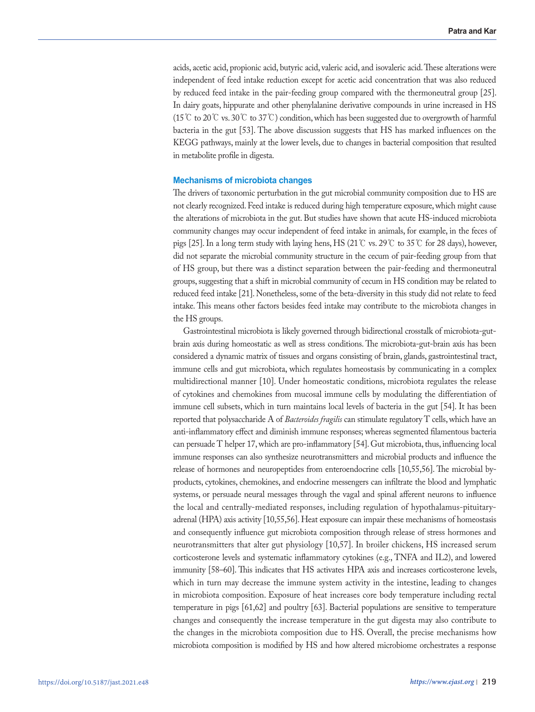acids, acetic acid, propionic acid, butyric acid, valeric acid, and isovaleric acid. These alterations were independent of feed intake reduction except for acetic acid concentration that was also reduced by reduced feed intake in the pair-feeding group compared with the thermoneutral group [25]. In dairy goats, hippurate and other phenylalanine derivative compounds in urine increased in HS (15 ℃ to 20 ℃ vs. 30 ℃ to 37 ℃) condition, which has been suggested due to overgrowth of harmful bacteria in the gut [53]. The above discussion suggests that HS has marked influences on the KEGG pathways, mainly at the lower levels, due to changes in bacterial composition that resulted in metabolite profile in digesta.

# **Mechanisms of microbiota changes**

The drivers of taxonomic perturbation in the gut microbial community composition due to HS are not clearly recognized. Feed intake is reduced during high temperature exposure, which might cause the alterations of microbiota in the gut. But studies have shown that acute HS-induced microbiota community changes may occur independent of feed intake in animals, for example, in the feces of pigs [25]. In a long term study with laying hens, HS (21℃ vs. 29℃ to 35℃ for 28 days), however, did not separate the microbial community structure in the cecum of pair-feeding group from that of HS group, but there was a distinct separation between the pair-feeding and thermoneutral groups, suggesting that a shift in microbial community of cecum in HS condition may be related to reduced feed intake [21]. Nonetheless, some of the beta-diversity in this study did not relate to feed intake. This means other factors besides feed intake may contribute to the microbiota changes in the HS groups.

Gastrointestinal microbiota is likely governed through bidirectional crosstalk of microbiota-gutbrain axis during homeostatic as well as stress conditions. The microbiota-gut-brain axis has been considered a dynamic matrix of tissues and organs consisting of brain, glands, gastrointestinal tract, immune cells and gut microbiota, which regulates homeostasis by communicating in a complex multidirectional manner [10]. Under homeostatic conditions, microbiota regulates the release of cytokines and chemokines from mucosal immune cells by modulating the differentiation of immune cell subsets, which in turn maintains local levels of bacteria in the gut [54]. It has been reported that polysaccharide A of *Bacteroides fragilis* can stimulate regulatory T cells, which have an anti-inflammatory effect and diminish immune responses; whereas segmented filamentous bacteria can persuade T helper 17, which are pro-inflammatory [54]. Gut microbiota, thus, influencing local immune responses can also synthesize neurotransmitters and microbial products and influence the release of hormones and neuropeptides from enteroendocrine cells [10,55,56]. The microbial byproducts, cytokines, chemokines, and endocrine messengers can infiltrate the blood and lymphatic systems, or persuade neural messages through the vagal and spinal afferent neurons to influence the local and centrally-mediated responses, including regulation of hypothalamus-pituitaryadrenal (HPA) axis activity [10,55,56]. Heat exposure can impair these mechanisms of homeostasis and consequently influence gut microbiota composition through release of stress hormones and neurotransmitters that alter gut physiology [10,57]. In broiler chickens, HS increased serum corticosterone levels and systematic inflammatory cytokines (e.g., TNFA and IL2), and lowered immunity [58–60]. This indicates that HS activates HPA axis and increases corticosterone levels, which in turn may decrease the immune system activity in the intestine, leading to changes in microbiota composition. Exposure of heat increases core body temperature including rectal temperature in pigs [61,62] and poultry [63]. Bacterial populations are sensitive to temperature changes and consequently the increase temperature in the gut digesta may also contribute to the changes in the microbiota composition due to HS. Overall, the precise mechanisms how microbiota composition is modified by HS and how altered microbiome orchestrates a response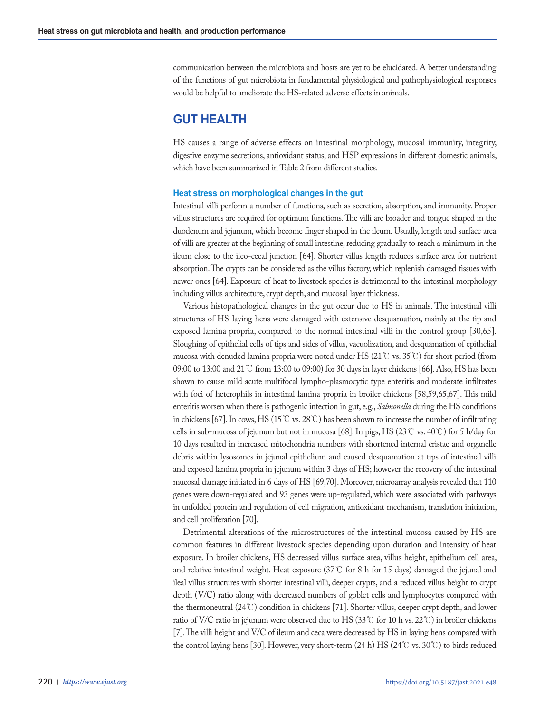communication between the microbiota and hosts are yet to be elucidated. A better understanding of the functions of gut microbiota in fundamental physiological and pathophysiological responses would be helpful to ameliorate the HS-related adverse effects in animals.

# **GUT HEALTH**

HS causes a range of adverse effects on intestinal morphology, mucosal immunity, integrity, digestive enzyme secretions, antioxidant status, and HSP expressions in different domestic animals, which have been summarized in Table 2 from different studies.

# **Heat stress on morphological changes in the gut**

Intestinal villi perform a number of functions, such as secretion, absorption, and immunity. Proper villus structures are required for optimum functions. The villi are broader and tongue shaped in the duodenum and jejunum, which become finger shaped in the ileum. Usually, length and surface area of villi are greater at the beginning of small intestine, reducing gradually to reach a minimum in the ileum close to the ileo-cecal junction [64]. Shorter villus length reduces surface area for nutrient absorption. The crypts can be considered as the villus factory, which replenish damaged tissues with newer ones [64]. Exposure of heat to livestock species is detrimental to the intestinal morphology including villus architecture, crypt depth, and mucosal layer thickness.

Various histopathological changes in the gut occur due to HS in animals. The intestinal villi structures of HS-laying hens were damaged with extensive desquamation, mainly at the tip and exposed lamina propria, compared to the normal intestinal villi in the control group [30,65]. Sloughing of epithelial cells of tips and sides of villus, vacuolization, and desquamation of epithelial mucosa with denuded lamina propria were noted under HS (21℃ vs. 35℃) for short period (from 09:00 to 13:00 and 21℃ from 13:00 to 09:00) for 30 days in layer chickens [66]. Also, HS has been shown to cause mild acute multifocal lympho-plasmocytic type enteritis and moderate infiltrates with foci of heterophils in intestinal lamina propria in broiler chickens [58,59,65,67]. This mild enteritis worsen when there is pathogenic infection in gut, e.g., *Salmonella* during the HS conditions in chickens [67]. In cows, HS (15℃ vs. 28℃) has been shown to increase the number of infiltrating cells in sub-mucosa of jejunum but not in mucosa [68]. In pigs, HS (23 °C vs. 40 °C) for 5 h/day for 10 days resulted in increased mitochondria numbers with shortened internal cristae and organelle debris within lysosomes in jejunal epithelium and caused desquamation at tips of intestinal villi and exposed lamina propria in jejunum within 3 days of HS; however the recovery of the intestinal mucosal damage initiated in 6 days of HS [69,70]. Moreover, microarray analysis revealed that 110 genes were down-regulated and 93 genes were up-regulated, which were associated with pathways in unfolded protein and regulation of cell migration, antioxidant mechanism, translation initiation, and cell proliferation [70].

Detrimental alterations of the microstructures of the intestinal mucosa caused by HS are common features in different livestock species depending upon duration and intensity of heat exposure. In broiler chickens, HS decreased villus surface area, villus height, epithelium cell area, and relative intestinal weight. Heat exposure (37℃ for 8 h for 15 days) damaged the jejunal and ileal villus structures with shorter intestinal villi, deeper crypts, and a reduced villus height to crypt depth (V/C) ratio along with decreased numbers of goblet cells and lymphocytes compared with the thermoneutral (24℃) condition in chickens [71]. Shorter villus, deeper crypt depth, and lower ratio of V/C ratio in jejunum were observed due to HS (33℃ for 10 h vs. 22℃) in broiler chickens [7]. The villi height and V/C of ileum and ceca were decreased by HS in laying hens compared with the control laying hens [30]. However, very short-term (24 h) HS (24℃ vs. 30℃) to birds reduced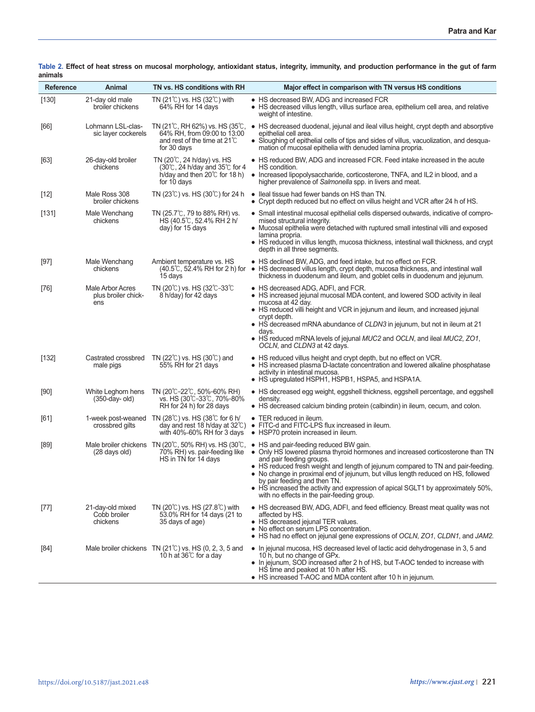| <b>Reference</b> | Animal                                         | TN vs. HS conditions with RH                                                                                                           | Major effect in comparison with TN versus HS conditions                                                                                                                                                                                                                                                                                                                                                                                                                                         |
|------------------|------------------------------------------------|----------------------------------------------------------------------------------------------------------------------------------------|-------------------------------------------------------------------------------------------------------------------------------------------------------------------------------------------------------------------------------------------------------------------------------------------------------------------------------------------------------------------------------------------------------------------------------------------------------------------------------------------------|
| [130]            | 21-day old male<br>broiler chickens            | TN $(21^{\circ}$ C) vs. HS $(32^{\circ}$ C) with<br>64% RH for 14 days                                                                 | • HS decreased BW, ADG and increased FCR<br>• HS decreased villus length, villus surface area, epithelium cell area, and relative<br>weight of intestine.                                                                                                                                                                                                                                                                                                                                       |
| [66]             | Lohmann LSL-clas-<br>sic layer cockerels       | TN (21℃, RH 62%) vs. HS (35℃,<br>64% RH, from 09:00 to 13:00<br>and rest of the time at 21°C<br>for 30 days                            | • HS decreased duodenal, jejunal and ileal villus height, crypt depth and absorptive<br>epithelial cell area.<br>• Sloughing of epithelial cells of tips and sides of villus, vacuolization, and desqua-<br>mation of mucosal epithelia with denuded lamina propria.                                                                                                                                                                                                                            |
| [63]             | 26-day-old broiler<br>chickens                 | TN (20℃, 24 h/day) vs. HS<br>$(30\degree$ C, 24 h/day and 35 $\degree$ C for 4<br>h/day and then $20^{\circ}$ for 18 h)<br>for 10 days | • HS reduced BW, ADG and increased FCR. Feed intake increased in the acute<br>HS condition.<br>• Increased lipopolysaccharide, corticosterone, TNFA, and IL2 in blood, and a<br>higher prevalence of Salmonella spp. in livers and meat.                                                                                                                                                                                                                                                        |
| $[12]$           | Male Ross 308<br>broiler chickens              | TN $(23^{\circ}\text{C})$ vs. HS $(30^{\circ}\text{C})$ for 24 h                                                                       | • Ileal tissue had fewer bands on HS than TN.<br>• Crypt depth reduced but no effect on villus height and VCR after 24 h of HS.                                                                                                                                                                                                                                                                                                                                                                 |
| [131]            | Male Wenchang<br>chickens                      | TN (25.7℃, 79 to 88% RH) vs.<br>HS (40.5°C, 52.4% RH 2 h/<br>day) for 15 days                                                          | • Small intestinal mucosal epithelial cells dispersed outwards, indicative of compro-<br>mised structural integrity.<br>• Mucosal epithelia were detached with ruptured small intestinal villi and exposed<br>lamina propria.<br>$\bullet$ HS reduced in villus length, mucosa thickness, intestinal wall thickness, and crypt<br>depth in all three segments.                                                                                                                                  |
| $[97]$           | Male Wenchang<br>chickens                      | Ambient temperature vs. HS<br>(40.5℃, 52.4% RH for 2 h) for<br>15 days                                                                 | • HS declined BW, ADG, and feed intake, but no effect on FCR.<br>• HS decreased villus length, crypt depth, mucosa thickness, and intestinal wall<br>thickness in duodenum and ileum, and goblet cells in duodenum and jejunum.                                                                                                                                                                                                                                                                 |
| $[76]$           | Male Arbor Acres<br>plus broiler chick-<br>ens | TN (20 $\degree$ C) vs. HS (32 $\degree$ C-33 $\degree$ C<br>8 h/day) for 42 days                                                      | • HS decreased ADG, ADFI, and FCR.<br>• HS increased jejunal mucosal MDA content, and lowered SOD activity in ileal<br>mucosa at 42 day.<br>• HS reduced villi height and VCR in jejunum and ileum, and increased jejunal<br>crypt depth.<br>• HS decreased mRNA abundance of CLDN3 in jejunum, but not in ileum at 21<br>days.<br>• HS reduced mRNA levels of jejunal MUC2 and OCLN, and ileal MUC2, ZO1,<br>OCLN, and CLDN3 at 42 days.                                                       |
| [132]            | Castrated crossbred<br>male pigs               | TN (22 $^{\circ}$ C) vs. HS (30 $^{\circ}$ C) and<br>55% RH for 21 days                                                                | • HS reduced villus height and crypt depth, but no effect on VCR.<br>$\bullet$ HS increased plasma D-lactate concentration and lowered alkaline phosphatase<br>activity in intestinal mucosa.<br>• HS upregulated HSPH1, HSPB1, HSPA5, and HSPA1A.                                                                                                                                                                                                                                              |
| $[90]$           | White Leghorn hens<br>$(350$ -day-old)         | TN (20℃-22℃, 50%-60% RH)<br>vs. HS (30℃–33℃, 70%–80%<br>RH for 24 h) for 28 days                                                       | • HS decreased egg weight, eggshell thickness, eggshell percentage, and eggshell<br>density.<br>• HS decreased calcium binding protein (calbindin) in ileum, cecum, and colon.                                                                                                                                                                                                                                                                                                                  |
| [61]             | crossbred gilts                                | 1-week post-weaned TN (28℃) vs. HS (38℃ for 6 h/<br>day and rest 18 h/day at $32^{\circ}$ C)<br>with $40\% - 60\%$ RH for 3 days       | • TER reduced in ileum.<br>• FITC-d and FITC-LPS flux increased in ileum.<br>• HSP70 protein increased in ileum.                                                                                                                                                                                                                                                                                                                                                                                |
| $[89]$           | (28 days old)                                  | Male broiler chickens $\pi$ N (20°C, 50% RH) vs. HS (30°C,<br>70% RH) vs. pair-feeding like<br>HS in TN for 14 days                    | • HS and pair-feeding reduced BW gain.<br>• Only HS lowered plasma thyroid hormones and increased corticosterone than TN<br>and pair feeding groups.<br>• HS reduced fresh weight and length of jejunum compared to TN and pair-feeding.<br>• No change in proximal end of jejunum, but villus length reduced on HS, followed<br>by pair feeding and then TN.<br>• HS increased the activity and expression of apical SGLT1 by approximately 50%,<br>with no effects in the pair-feeding group. |
| $[77]$           | 21-day-old mixed<br>Cobb broiler<br>chickens   | TN $(20^{\circ}$ C) vs. HS $(27.8^{\circ}$ C) with<br>53.0% RH for 14 days (21 to<br>35 days of age)                                   | • HS decreased BW, ADG, ADFI, and feed efficiency. Breast meat quality was not<br>affected by HS.<br>• HS decreased jejunal TER values.<br>• No effect on serum LPS concentration.<br>• HS had no effect on jejunal gene expressions of OCLN, ZO1, CLDN1, and JAM2.                                                                                                                                                                                                                             |
| $[84]$           |                                                | Male broiler chickens TN (21°C) vs. HS (0, 2, 3, 5 and<br>10 h at 36℃ for a day                                                        | • In jejunal mucosa, HS decreased level of lactic acid dehydrogenase in 3, 5 and<br>10 h, but no change of GPx.<br>. In jejunum, SOD increased after 2 h of HS, but T-AOC tended to increase with<br>HŠ time and peaked at 10 h after HS.<br>• HS increased T-AOC and MDA content after 10 h in jejunum.                                                                                                                                                                                        |

**Table 2. Effect of heat stress on mucosal morphology, antioxidant status, integrity, immunity, and production performance in the gut of farm animals**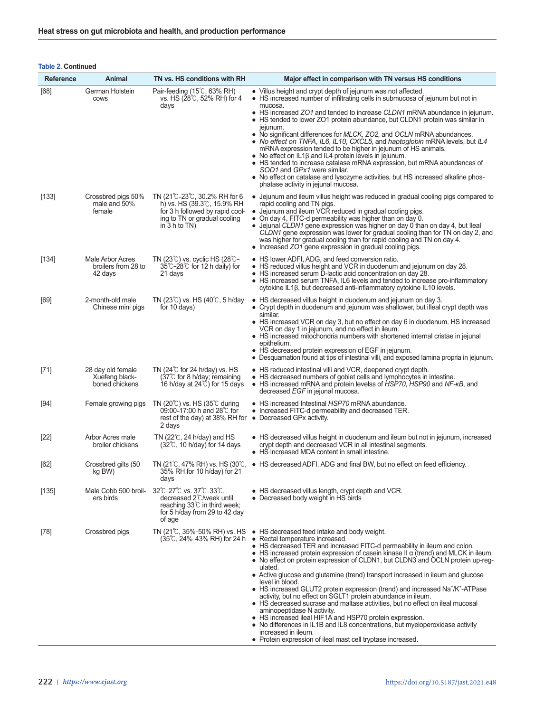# **Table 2. Continued**

| <b>Reference</b> | Animal                                                | TN vs. HS conditions with RH                                                                                                                                         | Major effect in comparison with TN versus HS conditions                                                                                                                                                                                                                                                                                                                                                                                                                                                                                                                                                                                                                                                                                                                                                                                                                                                                                                                                       |
|------------------|-------------------------------------------------------|----------------------------------------------------------------------------------------------------------------------------------------------------------------------|-----------------------------------------------------------------------------------------------------------------------------------------------------------------------------------------------------------------------------------------------------------------------------------------------------------------------------------------------------------------------------------------------------------------------------------------------------------------------------------------------------------------------------------------------------------------------------------------------------------------------------------------------------------------------------------------------------------------------------------------------------------------------------------------------------------------------------------------------------------------------------------------------------------------------------------------------------------------------------------------------|
| [68]             | German Holstein<br><b>COWS</b>                        | Pair-feeding (15°C, 63% RH)<br>vs. HS (28℃, 52% RH) for 4<br>days                                                                                                    | • Villus height and crypt depth of jejunum was not affected.<br>• HS increased number of infiltrating cells in submucosa of jejunum but not in<br>mucosa.                                                                                                                                                                                                                                                                                                                                                                                                                                                                                                                                                                                                                                                                                                                                                                                                                                     |
|                  |                                                       |                                                                                                                                                                      | • HS increased ZO1 and tended to increase CLDN1 mRNA abundance in jejunum.<br>• HS tended to lower ZO1 protein abundance, but CLDN1 protein was similar in<br>jejunum.<br>• No significant differences for <i>MLCK, ZO2</i> , and <i>OCLN</i> mRNA abundances.<br>• No effect on TNFA, IL6, IL10, CXCL5, and haptoglobin mRNA levels, but IL4<br>mRNA expression tended to be higher in jejunum of HS animals.<br>• No effect on $IL1\beta$ and $IL4$ protein levels in jejunum.                                                                                                                                                                                                                                                                                                                                                                                                                                                                                                              |
|                  |                                                       |                                                                                                                                                                      | • HS tended to increase catalase mRNA expression, but mRNA abundances of<br>SOD1 and GPx1 were similar.<br>• No effect on catalase and lysozyme activities, but HS increased alkaline phos-<br>phatase activity in jejunal mucosa.                                                                                                                                                                                                                                                                                                                                                                                                                                                                                                                                                                                                                                                                                                                                                            |
| [133]            | Crossbred pigs 50%<br>male and 50%<br>female          | TN (21℃-23℃, 30.2% RH for 6<br>h) vs. HS $(39.3^{\circ}C, 15.9\% \text{ RH})$<br>for 3 h followed by rapid cool-<br>ing to TN or gradual cooling<br>in $3 h to TN$ ) | • Jejunum and ileum villus height was reduced in gradual cooling pigs compared to<br>rapid cooling and TN pigs.<br>• Jejunum and ileum VCR reduced in gradual cooling pigs.<br>• On day 4, FITC-d permeability was higher than on day 0.<br>• Jejunal CLDN1 gene expression was higher on day 0 than on day 4, but lleal<br>CLDN1 gene expression was lower for gradual cooling than for TN on day 2, and<br>was higher for gradual cooling than for rapid cooling and TN on day 4.<br>• Increased ZO1 gene expression in gradual cooling pigs.                                                                                                                                                                                                                                                                                                                                                                                                                                               |
| $[134]$          | Male Arbor Acres<br>broilers from 28 to<br>42 days    | TN $(23^{\circ}\text{C})$ vs. cyclic HS $(28^{\circ}\text{C} -$<br>$35^{\circ}$ C-28 $^{\circ}$ C for 12 h daily) for<br>21 days                                     | • HS lower ADFI, ADG, and feed conversion ratio.<br>• HS reduced villus height and VCR in duodenum and jejunum on day 28.<br>• HS increased serum D-lactic acid concentration on day 28.<br>• HS increased serum TNFA, IL6 levels and tended to increase pro-inflammatory<br>cytokine IL1β, but decreased anti-inflammatory cytokine IL10 levels.                                                                                                                                                                                                                                                                                                                                                                                                                                                                                                                                                                                                                                             |
| [69]             | 2-month-old male<br>Chinese mini pigs                 | TN $(23^{\circ}\text{C})$ vs. HS $(40^{\circ}\text{C}, 5 \text{ h/day})$<br>for 10 days)                                                                             | • HS decreased villus height in duodenum and jejunum on day 3.<br>• Crypt depth in duodenum and jejunum was shallower, but illeal crypt depth was<br>similar.<br>• HS increased VCR on day 3, but no effect on day 6 in duodenum. HS increased<br>VCR on day 1 in jejunum, and no effect in ileum.<br>• HS increased mitochondria numbers with shortened internal cristae in jejunal<br>epithelium.<br>• HS decreased protein expression of EGF in jejunum.<br>• Desquamation found at tips of intestinal villi, and exposed lamina propria in jejunum.                                                                                                                                                                                                                                                                                                                                                                                                                                       |
| $[71]$           | 28 day old female<br>Xuefeng black-<br>boned chickens | TN $(24^{\circ}$ C for 24 h/day) vs. HS<br>$(37^{\circ}$ C for 8 h/day; remaining<br>16 h/day at $24\degree$ C) for 15 days                                          | • HS reduced intestinal villi and VCR, deepened crypt depth.<br>• HS decreased numbers of goblet cells and lymphocytes in intestine.<br>• HS increased mRNA and protein levelss of HSP70, HSP90 and NF-KB, and<br>decreased EGF in jejunal mucosa.                                                                                                                                                                                                                                                                                                                                                                                                                                                                                                                                                                                                                                                                                                                                            |
| $[94]$           | Female growing pigs                                   | TN (20 $\degree$ C) vs. HS (35 $\degree$ C during<br>09:00-17:00 h and 28℃ for<br>rest of the day) at 38% RH for $\bullet$ Decreased GPx activity.<br>2 days         | • HS increased Intestinal HSP70 mRNA abundance.<br>• Increased FITC-d permeability and decreased TER.                                                                                                                                                                                                                                                                                                                                                                                                                                                                                                                                                                                                                                                                                                                                                                                                                                                                                         |
| $[22]$           | Arbor Acres male<br>broiler chickens                  | TN $(22^{\circ}\text{C}, 24 \text{ h/day})$ and HS<br>$(32^{\circ}$ C, 10 h/day) for 14 days                                                                         | • HS decreased villus height in duodenum and ileum but not in jejunum, increased<br>crypt depth and decreased VCR in all intestinal segments.<br>• HS increased MDA content in small intestine.                                                                                                                                                                                                                                                                                                                                                                                                                                                                                                                                                                                                                                                                                                                                                                                               |
| [62]             | Crossbred gilts (50<br>kg BW)                         | 35% RH for 10 h/day) for 21<br>days                                                                                                                                  | TN $(21^{\circ}C, 47^{\circ}6$ RH) vs. HS $(30^{\circ}C, \bullet)$ HS decreased ADFI. ADG and final BW, but no effect on feed efficiency.                                                                                                                                                                                                                                                                                                                                                                                                                                                                                                                                                                                                                                                                                                                                                                                                                                                     |
| $[135]$          | Male Cobb 500 broil-<br>ers birds                     | 32°C-27°C vs. 37°C-33°C,<br>decreased 2℃/week until<br>reaching $33^{\circ}$ in third week;<br>for 5 h/day from 29 to 42 day<br>of age                               | • HS decreased villus length, crypt depth and VCR.<br>• Decreased body weight in HS birds                                                                                                                                                                                                                                                                                                                                                                                                                                                                                                                                                                                                                                                                                                                                                                                                                                                                                                     |
| $[78]$           | Crossbred pigs                                        | TN (21℃, 35%–50% RH) vs. HS<br>(35℃, 24%–43% RH) for 24 h                                                                                                            | • HS decreased feed intake and body weight.<br>• Rectal temperature increased.<br>• HS decreased TER and increased FITC-d permeability in ileum and colon.<br>$\bullet$ HS increased protein expression of casein kinase II $\alpha$ (trend) and MLCK in ileum.<br>• No effect on protein expression of CLDN1, but CLDN3 and OCLN protein up-reg-<br>ulated.<br>• Active glucose and glutamine (trend) transport increased in ileum and glucose<br>level in blood.<br>• HS increased GLUT2 protein expression (trend) and increased Na <sup>+</sup> /K <sup>+</sup> -ATPase<br>activity, but no effect on SGLT1 protein abundance in ileum.<br>• HS decreased sucrase and maltase activities, but no effect on ileal mucosal<br>aminopeptidase N activity.<br>• HS increased ileal HIF1A and HSP70 protein expression.<br>• No differences in IL1B and IL8 concentrations, but myeloperoxidase activity<br>increased in ileum.<br>• Protein expression of ileal mast cell tryptase increased. |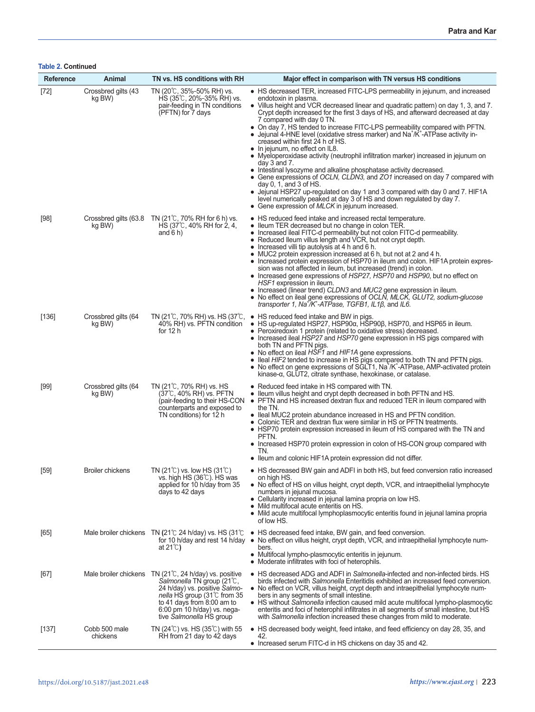**Table 2. Continued**

| <b>Reference</b> | Animal                        | TN vs. HS conditions with RH                                                                                                                                                                                                                                   | Major effect in comparison with TN versus HS conditions                                                                                                                                                                                                                                                                                                                                                                                                                                                                                                                                                                                                                                                                                                                                                                                                                                                                                                                                                                                                                                        |
|------------------|-------------------------------|----------------------------------------------------------------------------------------------------------------------------------------------------------------------------------------------------------------------------------------------------------------|------------------------------------------------------------------------------------------------------------------------------------------------------------------------------------------------------------------------------------------------------------------------------------------------------------------------------------------------------------------------------------------------------------------------------------------------------------------------------------------------------------------------------------------------------------------------------------------------------------------------------------------------------------------------------------------------------------------------------------------------------------------------------------------------------------------------------------------------------------------------------------------------------------------------------------------------------------------------------------------------------------------------------------------------------------------------------------------------|
| $[72]$           | Crossbred gilts (43<br>kg BW) | TN (20℃, 35%–50% RH) vs.<br>HS (35℃, 20%-35% RH) vs.<br>pair-feeding in TN conditions<br>(PFTN) for 7 days                                                                                                                                                     | • HS decreased TER, increased FITC-LPS permeability in jejunum, and increased<br>endotoxin in plasma.<br>• Villus height and VCR decreased linear and quadratic pattern) on day 1, 3, and 7.<br>Crypt depth increased for the first 3 days of HS, and afterward decreased at day<br>7 compared with day 0 TN.<br>• On day 7, HS tended to increase FITC-LPS permeability compared with PFTN.<br>• Jejunal 4-HNE level (oxidative stress marker) and Na $^{\dagger}/K^{\dagger}$ -ATPase activity in-<br>creased within first 24 h of HS.<br>$\bullet$ In jejunum, no effect on IL8.<br>• Myeloperoxidase activity (neutrophil infiltration marker) increased in jejunum on<br>day $3$ and $7$ .<br>• Intestinal lysozyme and alkaline phosphatase activity decreased.<br>• Gene expressions of OCLN, CLDN3, and ZO1 increased on day 7 compared with<br>day $0, 1$ , and $3$ of HS.<br>• Jejunal HSP27 up-regulated on day 1 and 3 compared with day 0 and 7. HIF1A<br>level numerically peaked at day 3 of HS and down regulated by day 7.<br>• Gene expression of MLCK in jejunum increased. |
| $[98]$           | kg BW)                        | Crossbred gilts (63.8 TN (21°C, 70% RH for 6 h) vs.<br>HS (37℃, 40% RH for 2, 4,<br>and $6 h$ )                                                                                                                                                                | • HS reduced feed intake and increased rectal temperature.<br>• Ileum TER decreased but no change in colon TER.<br>Increased ileal FITC-d permeability but not colon FITC-d permeability.<br>Reduced Ileum villus length and VCR, but not crypt depth.<br>$\bullet$<br>• Increased villi tip autolysis at 4 h and 6 h.<br>• MUC2 protein expression increased at 6 h, but not at 2 and 4 h.<br>• Increased protein expression of HSP70 in ileum and colon. HIF1A protein expres-<br>sion was not affected in ileum, but increased (trend) in colon.<br>• Increased gene expressions of HSP27, HSP70 and HSP90, but no effect on<br>HSF1 expression in ileum.<br>• Increased (linear trend) CLDN3 and MUC2 gene expression in ileum.<br>• No effect on ileal gene expressions of OCLN, MLCK, GLUT2, sodium-glucose<br>transporter 1, Na <sup>-</sup> /K <sup>-</sup> -ATPase, TGFB1, IL1ß, and IL6.                                                                                                                                                                                             |
| [136]            | Crossbred gilts (64<br>kg BW) | TN (21℃, 70% RH) vs. HS (37℃,<br>40% RH) vs. PFTN condition<br>for $12 h$                                                                                                                                                                                      | • HS reduced feed intake and BW in pigs.<br>• HS up-regulated HSP27, HSP90a, HSP90β, HSP70, and HSP65 in ileum.<br>• Peroxiredoxin 1 protein (related to oxidative stress) decreased.<br>• Increased ileal HSP27 and HSP70 gene expression in HS pigs compared with<br>both TN and PFTN pigs.<br>• No effect on ileal HSF1 and HIF1A gene expressions.<br>lleal HIF2 tended to increase in HS pigs compared to both TN and PFTN pigs.<br>٠<br>• No effect on gene expressions of SGLT1, Na <sup>+</sup> /K <sup>+</sup> -ATPase, AMP-activated protein<br>kinase-α, GLUT2, citrate synthase, hexokinase, or catalase.                                                                                                                                                                                                                                                                                                                                                                                                                                                                          |
| $[99]$           | Crossbred gilts (64<br>kg BW) | TN (21℃, 70% RH) vs. HS<br>(37℃, 40% RH) vs. PFTN<br>(pair-feeding to their HS-CON<br>counterparts and exposed to<br>TN conditions) for 12 h                                                                                                                   | • Reduced feed intake in HS compared with TN.<br>$\bullet$ Ileum villus height and crypt depth decreased in both PFTN and HS.<br>• PFTN and HS increased dextran flux and reduced TER in ileum compared with<br>the TN.<br>• Ileal MUC2 protein abundance increased in HS and PFTN condition.<br>Colonic TER and dextran flux were similar in HS or PFTN treatments.<br>• HSP70 protein expression increased in ileum of HS compared with the TN and<br>PFTN.<br>• Increased HSP70 protein expression in colon of HS-CON group compared with<br>TN.<br>• Ileum and colonic HIF1A protein expression did not differ.                                                                                                                                                                                                                                                                                                                                                                                                                                                                            |
| $[59]$           | <b>Broiler chickens</b>       | TN $(21^{\circ}$ C) vs. low HS $(31^{\circ}$ C)<br>vs. high HS (36 ℂ). HS was<br>applied for 10 h/day from 35<br>days to 42 days                                                                                                                               | • HS decreased BW gain and ADFI in both HS, but feed conversion ratio increased<br>on high HS.<br>$\bullet$ No effect of HS on villus height, crypt depth, VCR, and intraepithelial lymphocyte<br>numbers in jejunal mucosa.<br>• Cellularity increased in jejunal lamina propria on low HS.<br>• Mild multifocal acute enteritis on HS.<br>• Mild acute multifocal lymphoplasmocytic enteritis found in jejunal lamina propria<br>of low HS.                                                                                                                                                                                                                                                                                                                                                                                                                                                                                                                                                                                                                                                  |
| [65]             |                               | Male broiler chickens TN (21 $\degree$ C 24 h/day) vs. HS (31 $\degree$ C<br>for 10 h/day and rest 14 h/day<br>at $21^{\circ}$                                                                                                                                 | • HS decreased feed intake, BW gain, and feed conversion.<br>No effect on villus height, crypt depth, VCR, and intraepithelial lymphocyte num-<br>$\bullet$<br>bers.<br>• Multifocal lympho-plasmocytic enteritis in jejunum.<br>• Moderate infiltrates with foci of heterophils.                                                                                                                                                                                                                                                                                                                                                                                                                                                                                                                                                                                                                                                                                                                                                                                                              |
| [67]             |                               | Male broiler chickens TN $(21^{\circ}C, 24 \text{ h/day})$ vs. positive<br>Salmonella TN group (21°C,<br>24 h/day) vs. positive Salmo-<br>nella HS group (31℃ from 35<br>to 41 days from 8:00 am to<br>6:00 pm 10 h/day) vs. nega-<br>tive Salmonella HS group | • HS decreased ADG and ADFI in Salmonella-infected and non-infected birds. HS<br>birds infected with Salmonella Enteritidis exhibited an increased feed conversion.<br>• No effect on VCR, villus height, crypt depth and intraepithelial lymphocyte num-<br>bers in any segments of small intestine.<br>• HS without Salmonella infection caused mild acute multifocal lympho-plasmocytic<br>enteritis and foci of heterophil infiltrates in all segments of small intestine, but HS<br>with Salmonella infection increased these changes from mild to moderate.                                                                                                                                                                                                                                                                                                                                                                                                                                                                                                                              |
| $[137]$          | Cobb 500 male<br>chickens     | TN $(24^{\circ}$ C) vs. HS $(35^{\circ}$ C) with 55<br>RH from 21 day to 42 days                                                                                                                                                                               | $\bullet$ HS decreased body weight, feed intake, and feed efficiency on day 28, 35, and<br>42.<br>• Increased serum FITC-d in HS chickens on day 35 and 42.                                                                                                                                                                                                                                                                                                                                                                                                                                                                                                                                                                                                                                                                                                                                                                                                                                                                                                                                    |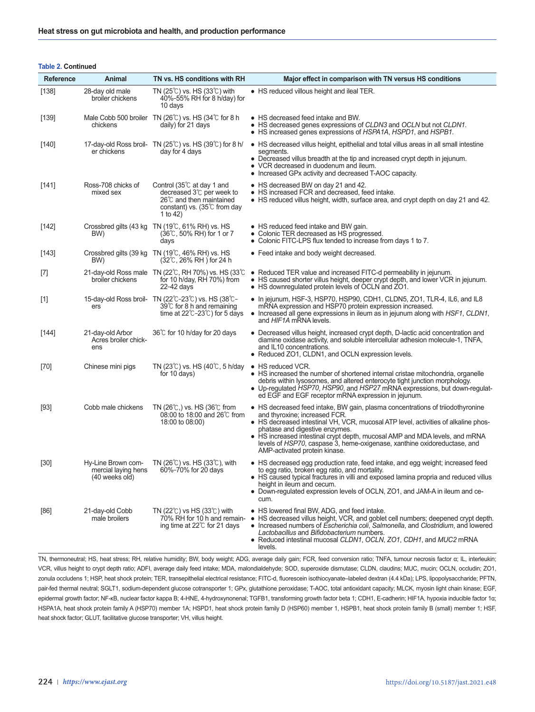# **Table 2. Continued**

| Reference | Animal                                                      | TN vs. HS conditions with RH                                                                                                                                | Major effect in comparison with TN versus HS conditions                                                                                                                                                                                                                                                                                                                                                                             |
|-----------|-------------------------------------------------------------|-------------------------------------------------------------------------------------------------------------------------------------------------------------|-------------------------------------------------------------------------------------------------------------------------------------------------------------------------------------------------------------------------------------------------------------------------------------------------------------------------------------------------------------------------------------------------------------------------------------|
| [138]     | 28-day old male<br>broiler chickens                         | TN $(25^{\circ}$ C) vs. HS $(33^{\circ}$ C) with<br>40%-55% RH for 8 h/day) for<br>10 days                                                                  | • HS reduced villous height and ileal TER.                                                                                                                                                                                                                                                                                                                                                                                          |
| $[139]$   | chickens                                                    | Male Cobb 500 broiler $TN(26\degree C)$ vs. HS (34 $\degree C$ for 8 h<br>daily) for 21 days                                                                | • HS decreased feed intake and BW.<br>• HS decreased genes expressions of CLDN3 and OCLN but not CLDN1.<br>• HS increased genes expressions of HSPA1A, HSPD1, and HSPB1.                                                                                                                                                                                                                                                            |
| [140]     | er chickens                                                 | 17-day-old Ross broil- $TN(25^{\circ}C)$ vs. HS (39 $\circ$ ) for 8 h/<br>day for 4 days                                                                    | • HS decreased villus height, epithelial and total villus areas in all small intestine<br>segments.<br>• Decreased villus breadth at the tip and increased crypt depth in jejunum.<br>• VCR decreased in duodenum and ileum.<br>• Increased GPx activity and decreased T-AOC capacity.                                                                                                                                              |
| [141]     | Ross-708 chicks of<br>mixed sex                             | Control (35 $\degree$ C at day 1 and<br>decreased 3℃ per week to<br>$26^{\circ}$ C and then maintained<br>constant) vs. $(35^{\circ}C$ from day<br>1 to 42) | • HS decreased BW on day 21 and 42.<br>• HS increased FCR and decreased, feed intake.<br>• HS reduced villus height, width, surface area, and crypt depth on day 21 and 42.                                                                                                                                                                                                                                                         |
| $[142]$   | BW)                                                         | Crossbred gilts (43 kg TN (19°C, 61% RH) vs. HS<br>$(36^{\circ}$ C, 50% RH) for 1 or 7<br>days                                                              | • HS reduced feed intake and BW gain.<br>• Colonic TER decreased as HS progressed.<br>• Colonic FITC-LPS flux tended to increase from days 1 to 7.                                                                                                                                                                                                                                                                                  |
| $[143]$   | BW)                                                         | Crossbred gilts (39 kg TN $(19^{\circ}C, 46\% \text{ RH})$ vs. HS<br>$(32^{\circ}$ C, 26% RH ) for 24 h                                                     | • Feed intake and body weight decreased.                                                                                                                                                                                                                                                                                                                                                                                            |
| $[7]$     | broiler chickens                                            | 21-day-old Ross male TN (22℃, RH 70%) vs. HS (33℃<br>for 10 h/day, RH 70%) from<br>22-42 days                                                               | • Reduced TER value and increased FITC-d permeability in jejunum.<br>• HS caused shorter villus height, deeper crypt depth, and lower VCR in jejunum.<br>• HS downregulated protein levels of OCLN and ZO1.                                                                                                                                                                                                                         |
| $[1]$     | ers                                                         | 15-day-old Ross broil- TN (22℃-23℃) vs. HS (38℃-<br>39℃ for 8 h and remaining<br>time at $22^{\circ}$ C-23 $^{\circ}$ C) for 5 days                         | $\bullet$ In jejunum, HSF-3, HSP70, HSP90, CDH1, CLDN5, ZO1, TLR-4, IL6, and IL8<br>mRNA expression and HSP70 protein expression increased.<br>• Increased all gene expressions in ileum as in jejunum along with HSF1, CLDN1,<br>and HIF1A mRNA levels.                                                                                                                                                                            |
| $[144]$   | 21-day-old Arbor<br>Acres broiler chick-<br>ens             | 36℃ for 10 h/day for 20 days                                                                                                                                | • Decreased villus height, increased crypt depth, D-lactic acid concentration and<br>diamine oxidase activity, and soluble intercellular adhesion molecule-1, TNFA,<br>and IL10 concentrations.<br>• Reduced ZO1, CLDN1, and OCLN expression levels.                                                                                                                                                                                |
| [70]      | Chinese mini pigs                                           | TN (23 $\degree$ C) vs. HS (40 $\degree$ C, 5 h/day<br>for 10 days)                                                                                         | • HS reduced VCR.<br>• HS increased the number of shortened internal cristae mitochondria, organelle<br>debris within lysosomes, and altered enterocyte tight junction morphology.<br>• Up-regulated HSP70, HSP90, and HSP27 mRNA expressions, but down-regulat-<br>ed EGF and EGF receptor mRNA expression in jejunum.                                                                                                             |
| $[93]$    | Cobb male chickens                                          | TN $(26^{\circ}\text{C})$ , vs. HS $(36^{\circ}\text{C}$ from<br>08:00 to 18:00 and 26℃ from<br>18:00 to 08:00)                                             | • HS decreased feed intake, BW gain, plasma concentrations of triiodothyronine<br>and thyroxine; increased FCR.<br>• HS decreased intestinal VH, VCR, mucosal ATP level, activities of alkaline phos-<br>phatase and digestive enzymes.<br>• HS increased intestinal crypt depth, mucosal AMP and MDA levels, and mRNA<br>levels of HSP70, caspase 3, heme-oxigenase, xanthine oxidoreductase, and<br>AMP-activated protein kinase. |
| $[30]$    | Hy-Line Brown com-<br>mercial laving hens<br>(40 weeks old) | TN (26 $\degree$ C) vs. HS (33 $\degree$ C), with<br>60%-70% for 20 days                                                                                    | • HS decreased egg production rate, feed intake, and egg weight; increased feed<br>to egg ratio, broken egg ratio, and mortality.<br>• HS caused typical fractures in villi and exposed lamina propria and reduced villus<br>height in ileum and cecum.<br>• Down-regulated expression levels of OCLN, ZO1, and JAM-A in ileum and ce-<br>cum.                                                                                      |
| [86]      | 21-day-old Cobb<br>male broilers                            | TN $(22^{\circ}\text{C})$ vs HS $(33^{\circ}\text{C})$ with<br>70% RH for 10 h and remain-<br>ing time at $22^{\circ}$ for 21 days                          | • HS lowered final BW, ADG, and feed intake.<br>• HS decreased villus height, VCR, and goblet cell numbers; deepened crypt depth.<br>• Increased numbers of <i>Escherichia coli</i> , <i>Salmonella</i> , and <i>Clostridium</i> , and lowered<br>Lactobacillus and Bifidobacterium numbers.<br>• Reduced intestinal mucosal CLDN1, OCLN, ZO1, CDH1, and MUC2 mRNA<br>levels.                                                       |

TN, thermoneutral; HS, heat stress; RH, relative humidity; BW, body weight; ADG, average daily gain; FCR, feed conversion ratio; TNFA, tumour necrosis factor α; IL, interleukin; VCR, villus height to crypt depth ratio; ADFI, average daily feed intake; MDA, malondialdehyde; SOD, superoxide dismutase; CLDN, claudins; MUC, mucin; OCLN, occludin; ZO1, zonula occludens 1; HSP, heat shock protein; TER, transepithelial electrical resistance; FITC-d, fluorescein isothiocyanate–labeled dextran (4.4 kDa); LPS, lipopolysaccharide; PFTN, pair-fed thermal neutral; SGLT1, sodium-dependent glucose cotransporter 1; GPx, glutathione peroxidase; T-AOC, total antioxidant capacity; MLCK, myosin light chain kinase; EGF, epidermal growth factor; NF-κB, nuclear factor kappa B; 4-HNE, 4-hydroxynonenal; TGFB1, transforming growth factor beta 1; CDH1, E-cadherin; HIF1A, hypoxia inducible factor 1α; HSPA1A, heat shock protein family A (HSP70) member 1A; HSPD1, heat shock protein family D (HSP60) member 1, HSPB1, heat shock protein family B (small) member 1; HSF, heat shock factor; GLUT, facilitative glucose transporter; VH, villus height.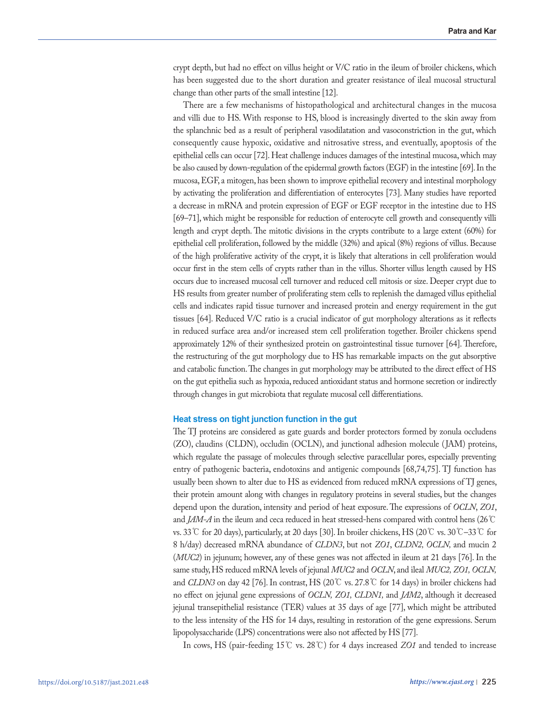crypt depth, but had no effect on villus height or V/C ratio in the ileum of broiler chickens, which has been suggested due to the short duration and greater resistance of ileal mucosal structural change than other parts of the small intestine [12].

There are a few mechanisms of histopathological and architectural changes in the mucosa and villi due to HS. With response to HS, blood is increasingly diverted to the skin away from the splanchnic bed as a result of peripheral vasodilatation and vasoconstriction in the gut, which consequently cause hypoxic, oxidative and nitrosative stress, and eventually, apoptosis of the epithelial cells can occur [72]. Heat challenge induces damages of the intestinal mucosa, which may be also caused by down-regulation of the epidermal growth factors (EGF) in the intestine [69]. In the mucosa, EGF, a mitogen, has been shown to improve epithelial recovery and intestinal morphology by activating the proliferation and differentiation of enterocytes [73]. Many studies have reported a decrease in mRNA and protein expression of EGF or EGF receptor in the intestine due to HS [69–71], which might be responsible for reduction of enterocyte cell growth and consequently villi length and crypt depth. The mitotic divisions in the crypts contribute to a large extent (60%) for epithelial cell proliferation, followed by the middle (32%) and apical (8%) regions of villus. Because of the high proliferative activity of the crypt, it is likely that alterations in cell proliferation would occur first in the stem cells of crypts rather than in the villus. Shorter villus length caused by HS occurs due to increased mucosal cell turnover and reduced cell mitosis or size. Deeper crypt due to HS results from greater number of proliferating stem cells to replenish the damaged villus epithelial cells and indicates rapid tissue turnover and increased protein and energy requirement in the gut tissues [64]. Reduced V/C ratio is a crucial indicator of gut morphology alterations as it reflects in reduced surface area and/or increased stem cell proliferation together. Broiler chickens spend approximately 12% of their synthesized protein on gastrointestinal tissue turnover [64]. Therefore, the restructuring of the gut morphology due to HS has remarkable impacts on the gut absorptive and catabolic function. The changes in gut morphology may be attributed to the direct effect of HS on the gut epithelia such as hypoxia, reduced antioxidant status and hormone secretion or indirectly through changes in gut microbiota that regulate mucosal cell differentiations.

# **Heat stress on tight junction function in the gut**

The TJ proteins are considered as gate guards and border protectors formed by zonula occludens (ZO), claudins (CLDN), occludin (OCLN), and junctional adhesion molecule (JAM) proteins, which regulate the passage of molecules through selective paracellular pores, especially preventing entry of pathogenic bacteria, endotoxins and antigenic compounds [68,74,75]. TJ function has usually been shown to alter due to HS as evidenced from reduced mRNA expressions of TJ genes, their protein amount along with changes in regulatory proteins in several studies, but the changes depend upon the duration, intensity and period of heat exposure. The expressions of *OCLN*, *ZO1*, and *JAM-A* in the ileum and ceca reduced in heat stressed-hens compared with control hens (26℃ vs. 33℃ for 20 days), particularly, at 20 days [30]. In broiler chickens, HS (20℃ vs. 30℃–33℃ for 8 h/day) decreased mRNA abundance of *CLDN3*, but not *ZO1*, *CLDN2, OCLN,* and mucin 2 (*MUC2*) in jejunum; however, any of these genes was not affected in ileum at 21 days [76]. In the same study, HS reduced mRNA levels of jejunal *MUC2* and *OCLN*, and ileal *MUC2, ZO1, OCLN,*  and *CLDN3* on day 42 [76]. In contrast, HS (20℃ vs. 27.8℃ for 14 days) in broiler chickens had no effect on jejunal gene expressions of *OCLN, ZO1, CLDN1,* and *JAM2*, although it decreased jejunal transepithelial resistance (TER) values at 35 days of age [77], which might be attributed to the less intensity of the HS for 14 days, resulting in restoration of the gene expressions. Serum lipopolysaccharide (LPS) concentrations were also not affected by HS [77].

In cows, HS (pair-feeding 15℃ vs. 28℃) for 4 days increased *ZO1* and tended to increase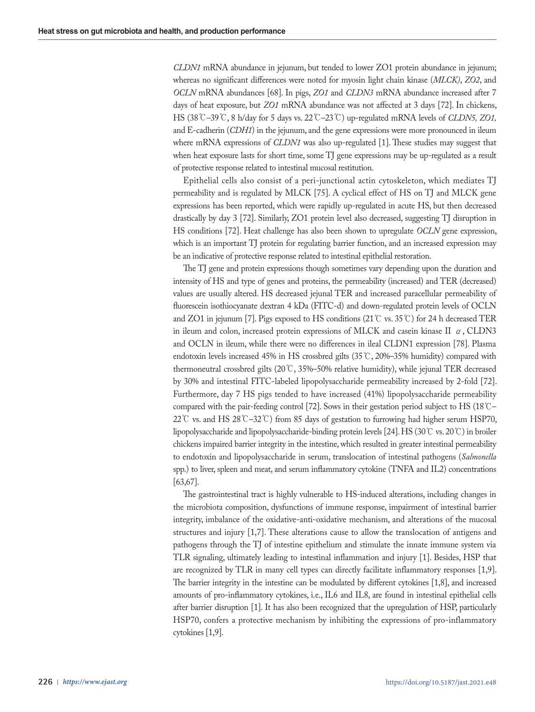*CLDN1* mRNA abundance in jejunum, but tended to lower ZO1 protein abundance in jejunum; whereas no significant differences were noted for myosin light chain kinase (*MLCK)*, *ZO2*, and *OCLN* mRNA abundances [68]. In pigs, *ZO1* and *CLDN3* mRNA abundance increased after 7 days of heat exposure, but *ZO1* mRNA abundance was not affected at 3 days [72]. In chickens, HS (38℃–39℃, 8 h/day for 5 days vs. 22℃–23℃) up-regulated mRNA levels of *CLDN5, ZO1,*  and E-cadherin (*CDH1*) in the jejunum, and the gene expressions were more pronounced in ileum where mRNA expressions of *CLDN1* was also up-regulated [1]. These studies may suggest that when heat exposure lasts for short time, some TJ gene expressions may be up-regulated as a result of protective response related to intestinal mucosal restitution.

Epithelial cells also consist of a peri-junctional actin cytoskeleton, which mediates TJ permeability and is regulated by MLCK [75]. A cyclical effect of HS on TJ and MLCK gene expressions has been reported, which were rapidly up-regulated in acute HS, but then decreased drastically by day 3 [72]. Similarly, ZO1 protein level also decreased, suggesting TJ disruption in HS conditions [72]. Heat challenge has also been shown to upregulate *OCLN* gene expression, which is an important TJ protein for regulating barrier function, and an increased expression may be an indicative of protective response related to intestinal epithelial restoration.

The TJ gene and protein expressions though sometimes vary depending upon the duration and intensity of HS and type of genes and proteins, the permeability (increased) and TER (decreased) values are usually altered. HS decreased jejunal TER and increased paracellular permeability of fluorescein isothiocyanate dextran 4 kDa (FITC-d) and down-regulated protein levels of OCLN and ZO1 in jejunum [7]. Pigs exposed to HS conditions (21 ℃ vs. 35 ℃) for 24 h decreased TER in ileum and colon, increased protein expressions of MLCK and casein kinase II  $\alpha$ , CLDN3 and OCLN in ileum, while there were no differences in ileal CLDN1 expression [78]. Plasma endotoxin levels increased 45% in HS crossbred gilts (35℃, 20%–35% humidity) compared with thermoneutral crossbred gilts (20℃, 35%–50% relative humidity), while jejunal TER decreased by 30% and intestinal FITC-labeled lipopolysaccharide permeability increased by 2-fold [72]. Furthermore, day 7 HS pigs tended to have increased (41%) lipopolysaccharide permeability compared with the pair-feeding control [72]. Sows in their gestation period subject to HS (18℃– 22℃ vs. and HS 28℃–32℃) from 85 days of gestation to furrowing had higher serum HSP70, lipopolysaccharide and lipopolysaccharide-binding protein levels [24]. HS (30℃ vs. 20℃) in broiler chickens impaired barrier integrity in the intestine, which resulted in greater intestinal permeability to endotoxin and lipopolysaccharide in serum, translocation of intestinal pathogens (*Salmonella* spp.) to liver, spleen and meat, and serum inflammatory cytokine (TNFA and IL2) concentrations [63,67].

The gastrointestinal tract is highly vulnerable to HS-induced alterations, including changes in the microbiota composition, dysfunctions of immune response, impairment of intestinal barrier integrity, imbalance of the oxidative-anti-oxidative mechanism, and alterations of the mucosal structures and injury [1,7]. These alterations cause to allow the translocation of antigens and pathogens through the TJ of intestine epithelium and stimulate the innate immune system via TLR signaling, ultimately leading to intestinal inflammation and injury [1]. Besides, HSP that are recognized by TLR in many cell types can directly facilitate inflammatory responses [1,9]. The barrier integrity in the intestine can be modulated by different cytokines [1,8], and increased amounts of pro-inflammatory cytokines, i.e., IL6 and IL8, are found in intestinal epithelial cells after barrier disruption [1]. It has also been recognized that the upregulation of HSP, particularly HSP70, confers a protective mechanism by inhibiting the expressions of pro-inflammatory cytokines [1,9].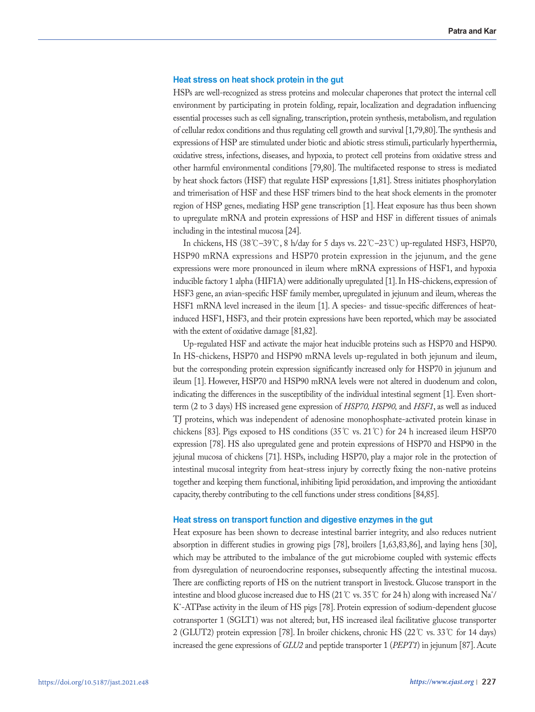## **Heat stress on heat shock protein in the gut**

HSPs are well-recognized as stress proteins and molecular chaperones that protect the internal cell environment by participating in protein folding, repair, localization and degradation influencing essential processes such as cell signaling, transcription, protein synthesis, metabolism, and regulation of cellular redox conditions and thus regulating cell growth and survival [1,79,80]. The synthesis and expressions of HSP are stimulated under biotic and abiotic stress stimuli, particularly hyperthermia, oxidative stress, infections, diseases, and hypoxia, to protect cell proteins from oxidative stress and other harmful environmental conditions [79,80]. The multifaceted response to stress is mediated by heat shock factors (HSF) that regulate HSP expressions [1,81]. Stress initiates phosphorylation and trimerisation of HSF and these HSF trimers bind to the heat shock elements in the promoter region of HSP genes, mediating HSP gene transcription [1]. Heat exposure has thus been shown to upregulate mRNA and protein expressions of HSP and HSF in different tissues of animals including in the intestinal mucosa [24].

In chickens, HS (38℃–39℃, 8 h/day for 5 days vs. 22℃–23℃) up-regulated HSF3, HSP70, HSP90 mRNA expressions and HSP70 protein expression in the jejunum, and the gene expressions were more pronounced in ileum where mRNA expressions of HSF1, and hypoxia inducible factory 1 alpha (HIF1A) were additionally upregulated [1]. In HS-chickens, expression of HSF3 gene, an avian-specific HSF family member, upregulated in jejunum and ileum, whereas the HSF1 mRNA level increased in the ileum [1]. A species- and tissue-specific differences of heatinduced HSF1, HSF3, and their protein expressions have been reported, which may be associated with the extent of oxidative damage [81,82].

Up-regulated HSF and activate the major heat inducible proteins such as HSP70 and HSP90. In HS-chickens, HSP70 and HSP90 mRNA levels up-regulated in both jejunum and ileum, but the corresponding protein expression significantly increased only for HSP70 in jejunum and ileum [1]. However, HSP70 and HSP90 mRNA levels were not altered in duodenum and colon, indicating the differences in the susceptibility of the individual intestinal segment [1]. Even shortterm (2 to 3 days) HS increased gene expression of *HSP70, HSP90,* and *HSF1*, as well as induced TJ proteins, which was independent of adenosine monophosphate-activated protein kinase in chickens [83]. Pigs exposed to HS conditions (35 °C vs. 21 °C) for 24 h increased ileum HSP70 expression [78]. HS also upregulated gene and protein expressions of HSP70 and HSP90 in the jejunal mucosa of chickens [71]. HSPs, including HSP70, play a major role in the protection of intestinal mucosal integrity from heat-stress injury by correctly fixing the non-native proteins together and keeping them functional, inhibiting lipid peroxidation, and improving the antioxidant capacity, thereby contributing to the cell functions under stress conditions [84,85].

## **Heat stress on transport function and digestive enzymes in the gut**

Heat exposure has been shown to decrease intestinal barrier integrity, and also reduces nutrient absorption in different studies in growing pigs [78], broilers [1,63,83,86], and laying hens [30], which may be attributed to the imbalance of the gut microbiome coupled with systemic effects from dysregulation of neuroendocrine responses, subsequently affecting the intestinal mucosa. There are conflicting reports of HS on the nutrient transport in livestock. Glucose transport in the intestine and blood glucose increased due to HS (21 ℃ vs. 35 ℃ for 24 h) along with increased Na $^{\star}$ / K+ -ATPase activity in the ileum of HS pigs [78]. Protein expression of sodium-dependent glucose cotransporter 1 (SGLT1) was not altered; but, HS increased ileal facilitative glucose transporter 2 (GLUT2) protein expression [78]. In broiler chickens, chronic HS (22℃ vs. 33℃ for 14 days) increased the gene expressions of *GLU2* and peptide transporter 1 (*PEPT1*) in jejunum [87]. Acute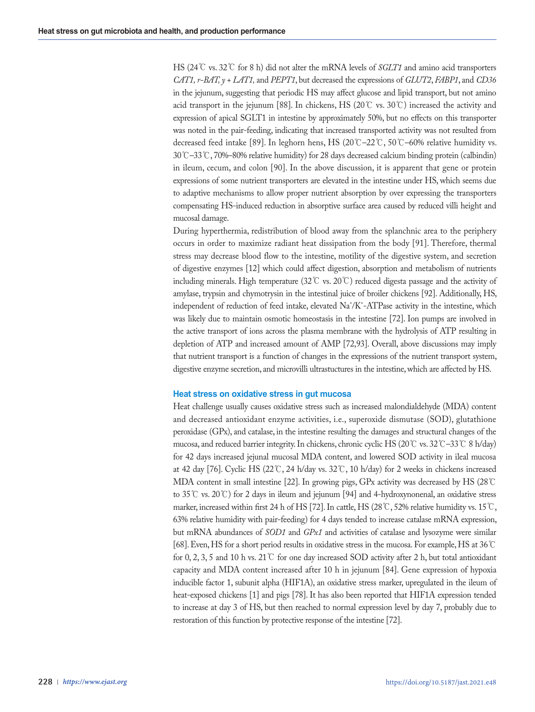HS (24℃ vs. 32℃ for 8 h) did not alter the mRNA levels of *SGLT1* and amino acid transporters *CAT1, r-BAT, y + LAT1,* and *PEPT1*, but decreased the expressions of *GLUT2*, *FABP1*, and *CD36* in the jejunum, suggesting that periodic HS may affect glucose and lipid transport, but not amino acid transport in the jejunum [88]. In chickens, HS (20℃ vs. 30℃) increased the activity and expression of apical SGLT1 in intestine by approximately 50%, but no effects on this transporter was noted in the pair-feeding, indicating that increased transported activity was not resulted from decreased feed intake [89]. In leghorn hens, HS (20℃–22℃, 50℃–60% relative humidity vs. 30℃–33℃, 70%–80% relative humidity) for 28 days decreased calcium binding protein (calbindin) in ileum, cecum, and colon [90]. In the above discussion, it is apparent that gene or protein expressions of some nutrient transporters are elevated in the intestine under HS, which seems due to adaptive mechanisms to allow proper nutrient absorption by over expressing the transporters compensating HS-induced reduction in absorptive surface area caused by reduced villi height and mucosal damage.

During hyperthermia, redistribution of blood away from the splanchnic area to the periphery occurs in order to maximize radiant heat dissipation from the body [91]. Therefore, thermal stress may decrease blood flow to the intestine, motility of the digestive system, and secretion of digestive enzymes [12] which could affect digestion, absorption and metabolism of nutrients including minerals. High temperature (32℃ vs. 20℃) reduced digesta passage and the activity of amylase, trypsin and chymotrysin in the intestinal juice of broiler chickens [92]. Additionally, HS, independent of reduction of feed intake, elevated Na<sup>+</sup>/K<sup>+</sup>-ATPase activity in the intestine, which was likely due to maintain osmotic homeostasis in the intestine [72]. Ion pumps are involved in the active transport of ions across the plasma membrane with the hydrolysis of ATP resulting in depletion of ATP and increased amount of AMP [72,93]. Overall, above discussions may imply that nutrient transport is a function of changes in the expressions of the nutrient transport system, digestive enzyme secretion, and microvilli ultrastuctures in the intestine, which are affected by HS.

# **Heat stress on oxidative stress in gut mucosa**

Heat challenge usually causes oxidative stress such as increased malondialdehyde (MDA) content and decreased antioxidant enzyme activities, i.e., superoxide dismutase (SOD), glutathione peroxidase (GPx), and catalase, in the intestine resulting the damages and structural changes of the mucosa, and reduced barrier integrity. In chickens, chronic cyclic HS (20℃ vs. 32℃–33℃ 8 h/day) for 42 days increased jejunal mucosal MDA content, and lowered SOD activity in ileal mucosa at 42 day [76]. Cyclic HS (22℃, 24 h/day vs. 32℃, 10 h/day) for 2 weeks in chickens increased MDA content in small intestine [22]. In growing pigs, GPx activity was decreased by HS (28℃ to 35℃ vs. 20℃) for 2 days in ileum and jejunum [94] and 4-hydroxynonenal, an oxidative stress marker, increased within first 24 h of HS [72]. In cattle, HS (28℃, 52% relative humidity vs. 15℃, 63% relative humidity with pair-feeding) for 4 days tended to increase catalase mRNA expression, but mRNA abundances of *SOD1* and *GPx1* and activities of catalase and lysozyme were similar [68]. Even, HS for a short period results in oxidative stress in the mucosa. For example, HS at 36℃ for 0, 2, 3, 5 and 10 h vs. 21  $\mathbb C$  for one day increased SOD activity after 2 h, but total antioxidant capacity and MDA content increased after 10 h in jejunum [84]. Gene expression of hypoxia inducible factor 1, subunit alpha (HIF1A), an oxidative stress marker, upregulated in the ileum of heat-exposed chickens [1] and pigs [78]. It has also been reported that HIF1A expression tended to increase at day 3 of HS, but then reached to normal expression level by day 7, probably due to restoration of this function by protective response of the intestine [72].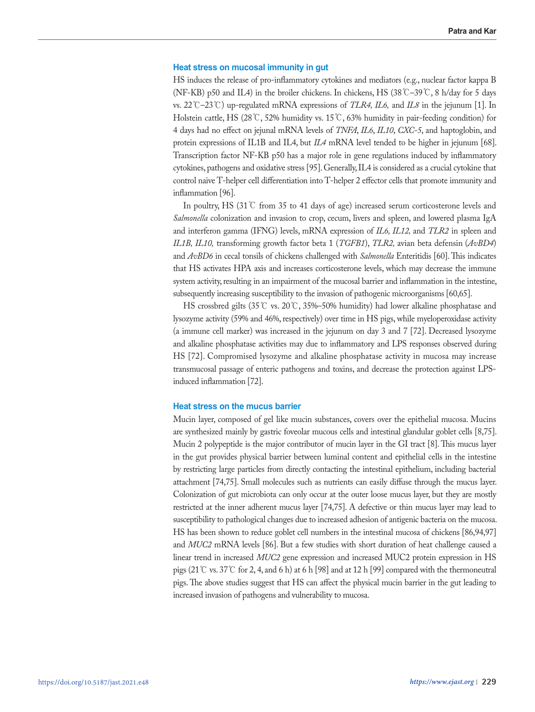## **Heat stress on mucosal immunity in gut**

HS induces the release of pro-inflammatory cytokines and mediators (e.g., nuclear factor kappa B (NF-KB) p50 and IL4) in the broiler chickens. In chickens, HS (38℃–39℃, 8 h/day for 5 days vs. 22℃–23℃) up-regulated mRNA expressions of *TLR4, IL6,* and *IL8* in the jejunum [1]. In Holstein cattle, HS (28℃, 52% humidity vs. 15℃, 63% humidity in pair-feeding condition) for 4 days had no effect on jejunal mRNA levels of *TNFA*, *IL6*, *IL10*, *CXC-5*, and haptoglobin, and protein expressions of IL1B and IL4, but *IL4* mRNA level tended to be higher in jejunum [68]. Transcription factor NF-KB p50 has a major role in gene regulations induced by inflammatory cytokines, pathogens and oxidative stress [95]. Generally, IL4 is considered as a crucial cytokine that control naive T-helper cell differentiation into T-helper 2 effector cells that promote immunity and inflammation [96].

In poultry, HS (31℃ from 35 to 41 days of age) increased serum corticosterone levels and *Salmonella* colonization and invasion to crop, cecum, livers and spleen, and lowered plasma IgA and interferon gamma (IFNG) levels, mRNA expression of *IL6, IL12,* and *TLR2* in spleen and *IL1B, IL10,* transforming growth factor beta 1 (*TGFB1*), *TLR2,* avian beta defensin (*AvBD4*) and *AvBD6* in cecal tonsils of chickens challenged with *Salmonella* Enteritidis [60]. This indicates that HS activates HPA axis and increases corticosterone levels, which may decrease the immune system activity, resulting in an impairment of the mucosal barrier and inflammation in the intestine, subsequently increasing susceptibility to the invasion of pathogenic microorganisms [60,65].

HS crossbred gilts (35℃ vs. 20℃, 35%–50% humidity) had lower alkaline phosphatase and lysozyme activity (59% and 46%, respectively) over time in HS pigs, while myeloperoxidase activity (a immune cell marker) was increased in the jejunum on day 3 and 7 [72]. Decreased lysozyme and alkaline phosphatase activities may due to inflammatory and LPS responses observed during HS [72]. Compromised lysozyme and alkaline phosphatase activity in mucosa may increase transmucosal passage of enteric pathogens and toxins, and decrease the protection against LPSinduced inflammation [72].

## **Heat stress on the mucus barrier**

Mucin layer, composed of gel like mucin substances, covers over the epithelial mucosa. Mucins are synthesized mainly by gastric foveolar mucous cells and intestinal glandular goblet cells [8,75]. Mucin 2 polypeptide is the major contributor of mucin layer in the GI tract [8]. This mucus layer in the gut provides physical barrier between luminal content and epithelial cells in the intestine by restricting large particles from directly contacting the intestinal epithelium, including bacterial attachment [74,75]. Small molecules such as nutrients can easily diffuse through the mucus layer. Colonization of gut microbiota can only occur at the outer loose mucus layer, but they are mostly restricted at the inner adherent mucus layer [74,75]. A defective or thin mucus layer may lead to susceptibility to pathological changes due to increased adhesion of antigenic bacteria on the mucosa. HS has been shown to reduce goblet cell numbers in the intestinal mucosa of chickens [86,94,97] and *MUC2* mRNA levels [86]. But a few studies with short duration of heat challenge caused a linear trend in increased *MUC2* gene expression and increased MUC2 protein expression in HS pigs (21℃ vs. 37℃ for 2, 4, and 6 h) at 6 h [98] and at 12 h [99] compared with the thermoneutral pigs. The above studies suggest that HS can affect the physical mucin barrier in the gut leading to increased invasion of pathogens and vulnerability to mucosa.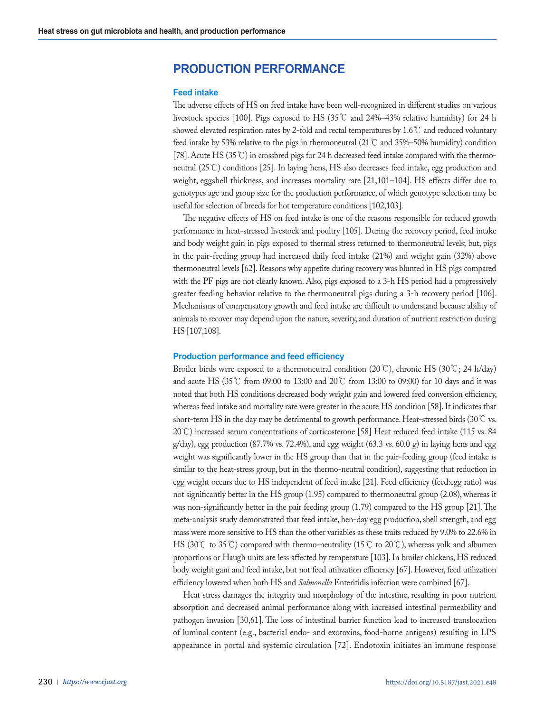# **PRODUCTION PERFORMANCE**

## **Feed intake**

The adverse effects of HS on feed intake have been well-recognized in different studies on various livestock species [100]. Pigs exposed to HS (35℃ and 24%–43% relative humidity) for 24 h showed elevated respiration rates by 2-fold and rectal temperatures by 1.6℃ and reduced voluntary feed intake by 53% relative to the pigs in thermoneutral (21  $\degree$  C and 35%–50% humidity) condition [78]. Acute HS (35℃) in crossbred pigs for 24 h decreased feed intake compared with the thermoneutral (25℃) conditions [25]. In laying hens, HS also decreases feed intake, egg production and weight, eggshell thickness, and increases mortality rate [21,101–104]. HS effects differ due to genotypes age and group size for the production performance, of which genotype selection may be useful for selection of breeds for hot temperature conditions [102,103].

The negative effects of HS on feed intake is one of the reasons responsible for reduced growth performance in heat-stressed livestock and poultry [105]. During the recovery period, feed intake and body weight gain in pigs exposed to thermal stress returned to thermoneutral levels; but, pigs in the pair-feeding group had increased daily feed intake (21%) and weight gain (32%) above thermoneutral levels [62]. Reasons why appetite during recovery was blunted in HS pigs compared with the PF pigs are not clearly known. Also, pigs exposed to a 3-h HS period had a progressively greater feeding behavior relative to the thermoneutral pigs during a 3-h recovery period [106]. Mechanisms of compensatory growth and feed intake are difficult to understand because ability of animals to recover may depend upon the nature, severity, and duration of nutrient restriction during HS [107,108].

# **Production performance and feed efficiency**

Broiler birds were exposed to a thermoneutral condition (20℃), chronic HS (30℃; 24 h/day) and acute HS (35°C from 09:00 to 13:00 and 20°C from 13:00 to 09:00) for 10 days and it was noted that both HS conditions decreased body weight gain and lowered feed conversion efficiency, whereas feed intake and mortality rate were greater in the acute HS condition [58]. It indicates that short-term HS in the day may be detrimental to growth performance. Heat-stressed birds (30℃ vs. 20℃) increased serum concentrations of corticosterone [58] Heat reduced feed intake (115 vs. 84 g/day), egg production (87.7% vs. 72.4%), and egg weight (63.3 vs. 60.0 g) in laying hens and egg weight was significantly lower in the HS group than that in the pair-feeding group (feed intake is similar to the heat-stress group, but in the thermo-neutral condition), suggesting that reduction in egg weight occurs due to HS independent of feed intake [21]. Feed efficiency (feed:egg ratio) was not significantly better in the HS group (1.95) compared to thermoneutral group (2.08), whereas it was non-significantly better in the pair feeding group (1.79) compared to the HS group [21]. The meta-analysis study demonstrated that feed intake, hen-day egg production, shell strength, and egg mass were more sensitive to HS than the other variables as these traits reduced by 9.0% to 22.6% in HS (30℃ to 35℃) compared with thermo-neutrality (15℃ to 20℃), whereas yolk and albumen proportions or Haugh units are less affected by temperature [103]. In broiler chickens, HS reduced body weight gain and feed intake, but not feed utilization efficiency [67]. However, feed utilization efficiency lowered when both HS and *Salmonella* Enteritidis infection were combined [67].

Heat stress damages the integrity and morphology of the intestine, resulting in poor nutrient absorption and decreased animal performance along with increased intestinal permeability and pathogen invasion [30,61]. The loss of intestinal barrier function lead to increased translocation of luminal content (e.g., bacterial endo- and exotoxins, food-borne antigens) resulting in LPS appearance in portal and systemic circulation [72]. Endotoxin initiates an immune response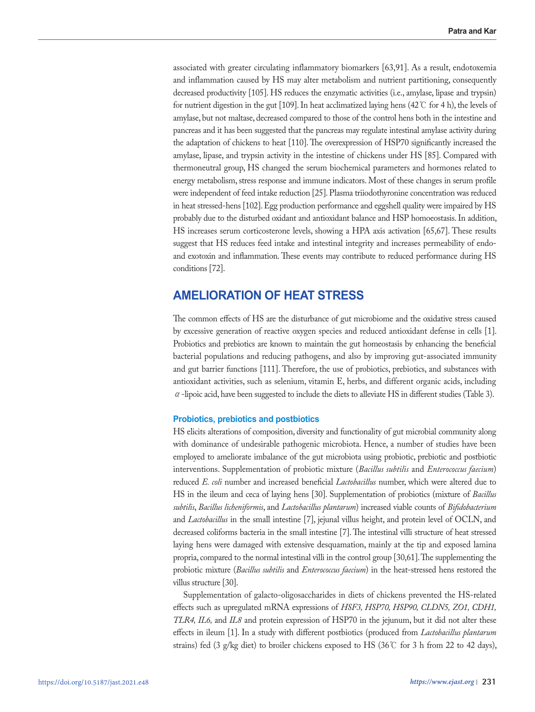associated with greater circulating inflammatory biomarkers [63,91]. As a result, endotoxemia and inflammation caused by HS may alter metabolism and nutrient partitioning, consequently decreased productivity [105]. HS reduces the enzymatic activities (i.e., amylase, lipase and trypsin) for nutrient digestion in the gut [109]. In heat acclimatized laying hens (42℃ for 4 h), the levels of amylase, but not maltase, decreased compared to those of the control hens both in the intestine and pancreas and it has been suggested that the pancreas may regulate intestinal amylase activity during the adaptation of chickens to heat [110]. The overexpression of HSP70 significantly increased the amylase, lipase, and trypsin activity in the intestine of chickens under HS [85]. Compared with thermoneutral group, HS changed the serum biochemical parameters and hormones related to energy metabolism, stress response and immune indicators. Most of these changes in serum profile were independent of feed intake reduction [25]. Plasma triiodothyronine concentration was reduced in heat stressed-hens [102]. Egg production performance and eggshell quality were impaired by HS probably due to the disturbed oxidant and antioxidant balance and HSP homoeostasis. In addition, HS increases serum corticosterone levels, showing a HPA axis activation [65,67]. These results suggest that HS reduces feed intake and intestinal integrity and increases permeability of endoand exotoxin and inflammation. These events may contribute to reduced performance during HS conditions [72].

# **AMELIORATION OF HEAT STRESS**

The common effects of HS are the disturbance of gut microbiome and the oxidative stress caused by excessive generation of reactive oxygen species and reduced antioxidant defense in cells [1]. Probiotics and prebiotics are known to maintain the gut homeostasis by enhancing the beneficial bacterial populations and reducing pathogens, and also by improving gut-associated immunity and gut barrier functions [111]. Therefore, the use of probiotics, prebiotics, and substances with antioxidant activities, such as selenium, vitamin E, herbs, and different organic acids, including α-lipoic acid, have been suggested to include the diets to alleviate HS in different studies (Table 3).

# **Probiotics, prebiotics and postbiotics**

HS elicits alterations of composition, diversity and functionality of gut microbial community along with dominance of undesirable pathogenic microbiota. Hence, a number of studies have been employed to ameliorate imbalance of the gut microbiota using probiotic, prebiotic and postbiotic interventions. Supplementation of probiotic mixture (*Bacillus subtilis* and *Enterococcus faecium*) reduced *E. coli* number and increased beneficial *Lactobacillus* number, which were altered due to HS in the ileum and ceca of laying hens [30]. Supplementation of probiotics (mixture of *Bacillus subtilis*, *Bacillus licheniformis*, and *Lactobacillus plantarum*) increased viable counts of *Bifidobacterium*  and *Lactobacillus* in the small intestine [7], jejunal villus height, and protein level of OCLN, and decreased coliforms bacteria in the small intestine [7]. The intestinal villi structure of heat stressed laying hens were damaged with extensive desquamation, mainly at the tip and exposed lamina propria, compared to the normal intestinal villi in the control group [30,61]. The supplementing the probiotic mixture (*Bacillus subtilis* and *Enterococcus faecium*) in the heat-stressed hens restored the villus structure [30].

Supplementation of galacto-oligosaccharides in diets of chickens prevented the HS-related effects such as upregulated mRNA expressions of *HSF3, HSP70, HSP90, CLDN5, ZO1, CDH1, TLR4, IL6,* and *IL8* and protein expression of HSP70 in the jejunum, but it did not alter these effects in ileum [1]. In a study with different postbiotics (produced from *Lactobacillus plantarum* strains) fed (3 g/kg diet) to broiler chickens exposed to HS (36℃ for 3 h from 22 to 42 days),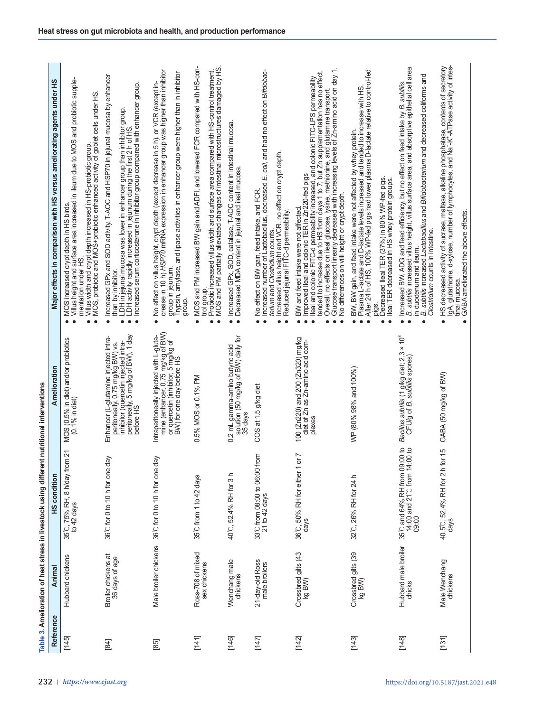| Reference | <b>Anima</b>                          | HS condition                                                         | Amelioration                                                                                                                                                          | Major effects in comparison with HS versus ameliorating agents under HS                                                                                                                                                                                                                                                                                                                                                                                                   |
|-----------|---------------------------------------|----------------------------------------------------------------------|-----------------------------------------------------------------------------------------------------------------------------------------------------------------------|---------------------------------------------------------------------------------------------------------------------------------------------------------------------------------------------------------------------------------------------------------------------------------------------------------------------------------------------------------------------------------------------------------------------------------------------------------------------------|
| [145]     | Hubbard chickens                      | 21<br>35℃, 75% RH, 8 h/day from<br>to 42 days                        | MOS (0.5% in diet) and/or probiotics<br>(0.1% in diet)                                                                                                                | Villus height and surface area increased in ileum due to MOS and probiotic supple-<br>mentation under HS.<br>Villus width and crypt depth increased in HS-probiotic group.<br>MOS, probiotic and MOS+probiotic enhanced activity of goblet cells under HS<br>MOS increased crypt depth in HS birds.                                                                                                                                                                       |
| $[84]$    | Broiler chickens at<br>36 days of age | 36°C for 0 to 10 h for one day                                       | peritoneally, 5 mg/kg of BW), 1 day<br>Enhancer (L-glutamine injected intra-<br>peritoneally, 0.75 mg/kg BW) vs.<br>inhibitor (quercetin injected intra-<br>before HS | Increased GPx and SOD activity, T-AOC and HSP70 in jejunal mucosa by enhancer<br>than by inhibitor.<br>LDH in jejunal mucosa was lower in enhancer group than inhibitor group.<br>LDH activity rapidly increased in jejunum during the first 2 h of HS.<br>Increased serum corticosterone in inhibitor group compared wi<br>$\bullet$<br>$\bullet$                                                                                                                        |
| $[85]$    | Male broiler chickens                 | 36°C for 0 to 10 h for one day                                       | Intraperitoneally injected with L-gluta-<br>mine (enhancer, 0.75 mg/kg of BW)<br>or quercetin (inhibitor, 5 mg/kg of<br>BW) for one day before HS                     | No effect on villus height, crypt depth (except decrease in 5 h), or VCR (except in-<br>crease in 10 h) HSP70 mRNA expression in enhancer group was higher than inhibitor<br>group in jejunum.<br>Trypsin, amylase, and lipase activities in enhancer group were higher than in inhibitor<br>group.<br>$\bullet$<br>$\bullet$                                                                                                                                             |
| [141]     | Ross-708 of mixed<br>sex chickens     | 35°C from 1 to 42 days                                               | 0.5% MOS or 0.1% PM                                                                                                                                                   | MOS and PM increased BW gain and ADFI, and lowered FCR compared with HS-con-<br>trol group.<br>Probiotic increased villus width and surface area compared with HS-control treatment.<br>MOS and PM partially alleviated changes of intestinal microstructures damaged by HS.<br>$\bullet$<br>٠                                                                                                                                                                            |
| [146]     | Wenchang male<br>chickens             | 40°C, 52.4% RH for 3 h                                               | solution (50 mg/kg of BW) daily for<br>0.2 mL gamma-amino butyric acid<br>35 days                                                                                     | Increased GPx, SOD, catalase, T-AOC content in intestinal mucosa.<br>Decreased MDA content in jejunal and ileal mucosa.<br>$\bullet\;\bullet$                                                                                                                                                                                                                                                                                                                             |
| [147]     | 21-day-old Ross<br>male broilers      | 33℃ from 08:00 to 06:00 from<br>21 to 42 days                        | COS at 1.5 g/kg diet                                                                                                                                                  | Increased number of Lactobacillus, decreased E. coli, and had no effect on Bifidobac-<br>Increased villus height and VCR, no effect on crypt depth.<br>Reduced jejunal FITC-d permeability.<br>No effect on BW gain, feed intake, and FCR.<br>terium and Clostridium counts                                                                                                                                                                                               |
| [142]     | Crossbred gilts (43<br>kg BW)         | N<br>36°C, 50% RH for either 1 or<br>days                            | mg/kg<br>100 (Zn220) and 200 (Zn320) mg/kg<br>diet of Zn as Zn-amino acid com-<br>plexes                                                                              | Overall, no effects on ileal glucose, lysine, methionine, and glutamine transport.<br>Glucose transport linearly decreased with increasing levels of Zn-amino acid on day 1.<br>BW and feed intake were not affected.<br>Improved Ileal and colonic TER in Zn220-fed pigs<br>Ileal and colonic FITC-d permeability increased, and colonic FITC-LPS permeability<br>tended to increase due to HS from days 1 to 7; but Z<br>No differences on villi height or crypt depth. |
| [143]     | Crossbred gilts (39<br>kg BW)         | 32°C, 26% RH for 24 h                                                | WP (80% 98% and 100%)                                                                                                                                                 | Plasma L <sup>1</sup> actate and D-lactate levels increased and tended to increase with HS.<br>After 24 h of HS, 100% WP-fed pigs had lower plasma D-lactate relative to control-fed<br>BW, BW gain, and feed intake were not affected by whey protein.<br>Décreased lleal TER (37%) in 80% WP-fed pigs.<br>Ileal TER decreased in HS whey protein groups.<br>pigs.                                                                                                       |
| $[148]$   | Hubbard male broiler<br>chicks        | 35℃ and 64% RH from 09:00 to<br>14:00 and 21℃ from 14:00 to<br>09:00 | Bacillus subtilis (1 g/kg diet; 2.3 × 10 <sup>8</sup><br>CFU/g of <i>B. subtilis</i> spores)                                                                          | B. subtilis increased villus height, villus surface area, and absorptive epithelial cell area<br>in duodenum and ileum.<br><i>B. subtilis</i> increased <i>Lactobacillus</i> and <i>Bifidobacterium</i> and decreased coliforms and<br><i>Clostridium</i> counts in intestine.<br>Increased BW, ADG and feed efficiency, but no effect on feed intake by B. subtilis                                                                                                      |
| [131]     | Male Wenchang<br>chickens             | $\frac{5}{3}$<br>40.5℃, 52.4% RH for 2 h for<br>days                 | GABA (50 mg/kg of BW)                                                                                                                                                 | HS decreased activity of sucrase, maltase, alkaline phosphatase, contents of secretory<br>IgA, glutathione, d-xylose, number of lymphocytes, and Na*-K*-ATPase activity of intes-<br>tinal mucosa.<br>GABA ameliorated the above effects.                                                                                                                                                                                                                                 |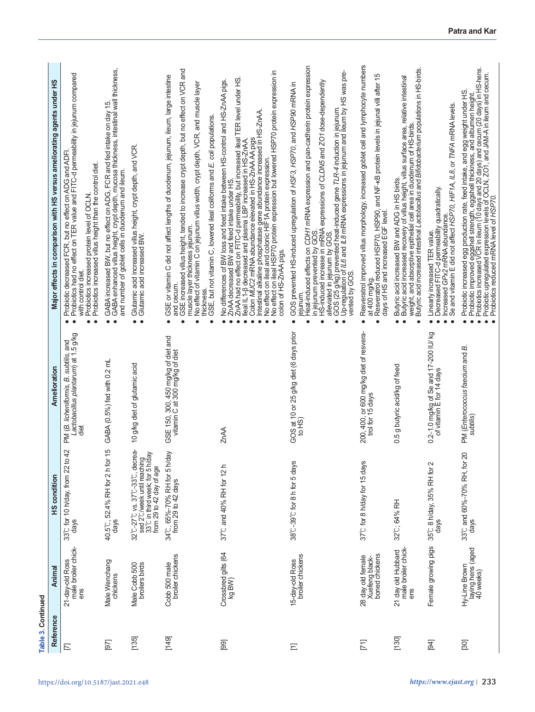| Table 3. Continued |                                                       |                                                                                                                          |                                                                                                       |                                                                                                                                                                                                                                                                                                                                                                                                                                                                                                                                                                                                      |
|--------------------|-------------------------------------------------------|--------------------------------------------------------------------------------------------------------------------------|-------------------------------------------------------------------------------------------------------|------------------------------------------------------------------------------------------------------------------------------------------------------------------------------------------------------------------------------------------------------------------------------------------------------------------------------------------------------------------------------------------------------------------------------------------------------------------------------------------------------------------------------------------------------------------------------------------------------|
| Reference          | Animal                                                | <b>HS</b> condition                                                                                                      | Amelioration                                                                                          | Major effects in comparison with HS versus ameliorating agents under HS                                                                                                                                                                                                                                                                                                                                                                                                                                                                                                                              |
| $\Box$             | male broiler chick-<br>21-day-old Ross<br>ens         | 42<br>33°C for 10 h/day, from 22 to<br>days                                                                              | A (B. licheniformis, B. subtilis, and<br>Lactobacillus plantarum) at 1.5 g/kg<br>αj<br>PM (B.<br>diet | Probiotic decreased FCR, but no effect on ADG and ADFI.<br>Probiotics had no effect on TER value and FITC-d permeability in jejunum compared<br>Probiotics increased protein level of OCLN.<br>Probiotics increased villus height than the control diet.<br>with control diet.<br>$\bullet$<br>٠                                                                                                                                                                                                                                                                                                     |
| $[97]$             | Male Wenchang<br>chickens                             | $\frac{5}{1}$<br>40.5°C, 52.4% RH for 2 h for<br>days                                                                    | GABA (0.5%) fed with 0.2 mL                                                                           | GABA enhanced villus height, crypt depth, mucosa thickness, intestinal wall thickness,<br>GABA increased BW, but no effect on ADG, FCR and fed intake on day 15.<br>and number of goblet cells in duodenum and ileum.<br>$\bullet$                                                                                                                                                                                                                                                                                                                                                                   |
| [135]              | broilers birds<br>Male Cobb 500                       | 32℃-27℃ vs. 37℃-33℃, decrea-<br>sed 2℃/week until reaching<br>33℃ in third week; for 5 h/day<br>from 29 to 42 day of age | 10 g/kg diet of glutamic acid                                                                         | Glutamic acid increased villus height, crypt depth, and VCR.<br>Glutamic acid increased BW.<br>$\bullet$<br>$\bullet$                                                                                                                                                                                                                                                                                                                                                                                                                                                                                |
| [149]              | broiler chickens<br>Cobb 500 male                     | 34℃, 65%–70% RH for 5 h/day<br>from 29 to 42 days                                                                        | SE 150, 300, 450 mg/kg of diet and<br>vitamin C at 300 mg/kg of diet<br>GSE 150,                      | GSE increased villus height, tended to increase crypt depth, but no effect on VCR and<br>GSE or vitamin C did not affect lengths of duodenum, jejunum, ileum, large intestine<br>No effect of vitamin C on jejunum villus width, crypt depth, VCR, and muscle layer<br>GSE, but not vitamin C, lowered ileal coliforms and E. coli populations<br>muscle layer thickness jejunum.<br>and cecum.<br>thickness<br>$\bullet$                                                                                                                                                                            |
| [99]               | Crossbred gilts (64<br>kg BW)                         | 37°C and 40% RH for 12 h                                                                                                 | ZnAA                                                                                                  | Intestinal alkaline phosphatase gene abundanœ increased iñ HS-ZnAA.<br>No effect on ileal and colonic HIF1A protein expression.<br>No effect <u>on ileal</u> HSP70 protein expression but lowered HSP70 protein expression in<br>ZnAA had no effect on FITC-d permeability, but increased ileal TER level under HS.<br>No differences of BW loss and feed intake between HS-control and HS-ZnAA pigs<br>Colon MUC2 mRNA abundance elevated in HS-ZnAA AA pigs<br>lleal IL1-8 decreased and plasma LBP increased in HS-ZnAA.<br>ZnAA decreased BW and feed intake under HS.<br>colon of HS-ZnAA pigs. |
| Ξ                  | broiler chickens<br>15-day-old Ross                   | 38°C-39°C for 8 h for 5 days                                                                                             | GOS at 10 or 25 g/kg diet (6 days prior<br>to HS)                                                     | Heat-induced effects on CDH1 mRNA expression and pan-cadherin protein expression<br>GOS (25 g/kg) prevented heat-induced gene <i>TLR-4</i> induction in jejunum.<br>Up-regulation of <i>IL6</i> and <i>IL8</i> mRNA expressions in jejunum and ileum by HS was pre-<br>HS-induced increase in mRNA expressions of CLDN5 and ZO1 dose-dependently<br>GOS prevented HS-induced upregulation of HSF3, HSP70, and HSP90 mRNA in<br>alleviated in jejunum by GOS.<br>in jejunum prevented by GOS<br>vented by GOS.<br>ejunum<br>$\bullet$<br>$\bullet$<br>٠                                               |
| $[71]$             | Xuéfeng black-<br>boned chickens<br>28 day old female | 37°C for 8 h/day for 15 days                                                                                             | 200, 400, or 600 mg/kg diet of resvera-<br>trol for 15 days                                           | Resveratrol improved villus morphology, increased goblet cell and lymphocyte numbers<br>Resveratiol reduced HSP70, HSP90, and NF-KB protein levels in jejunal villi after 15<br>days of HS and increased EGF level.<br>at 400 mg/kg.<br>$\bullet$                                                                                                                                                                                                                                                                                                                                                    |
| $[130]$            | male broiler chick-<br>21 day old Hubbard<br>ens      | 32°C; 64% RH                                                                                                             | g butyric acid/kg of feed<br>0.5                                                                      | Butyric acid increased intestinal Lactobacillus and Bifidobacterium populations in HS-birds.<br>Butýric acid increased recovery of villus height, villus surface area, relative intestinal<br>weight, and absorptive epithelial cell area in duodenum of HS-birds.<br>Butyric acid increased BW and ADG in HS birds.<br>$\bullet$<br>$\bullet$                                                                                                                                                                                                                                                       |
| [94]               | Female growing pigs                                   | 35℃ 8 h/day, 35% RH for 2<br>days                                                                                        | 0.2-1.0 mg/kg of Se and 17-200 IU/ kg<br>of vitamin E for 14 days                                     | Se and vitamin E did not affect HSP70, HIF1A, IL8, or TNFA mRNA levels.<br>Decreased FITC-d permeability quadratically.<br>Increased GPx2 mRNA abundance.<br>Linearly increased TER value.<br>$\bullet$                                                                                                                                                                                                                                                                                                                                                                                              |
| $[30]$             | laying hens (aged<br>40 weeks)<br>Hy-Line Brown       | 20<br>33°C and 60%-70% RH, for<br>days                                                                                   | PM (Enterococcus faecium and B.<br>subtilis                                                           | Probiotic increased egg production rate, feed intake, and egg weight under HS.<br>Probiotic improved eggshell strength, eggshell thickness, and albumen helght.<br>Probiotics increased VCR in ileum (10 days and 20 days) and cecum                                                                                                                                                                                                                                                                                                                                                                 |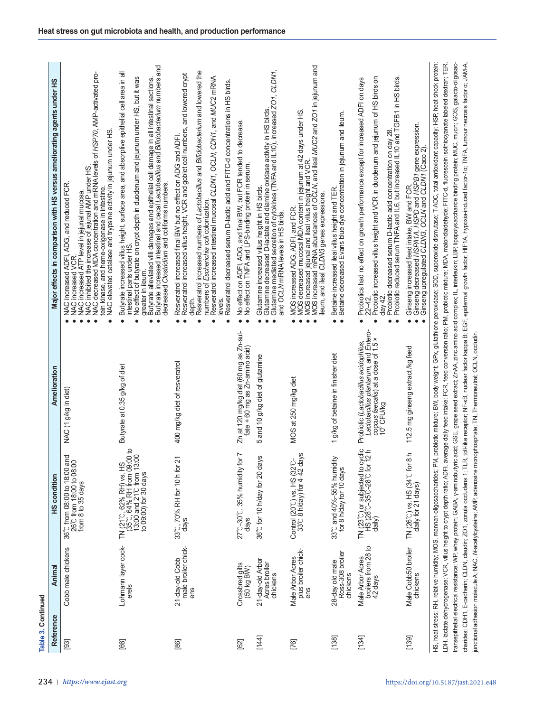| Reference | Anima                                              | <b>HS condition</b>                                                                                           | Amelioration                                                                                                                                   | Major effects in comparison with HS versus ameliorating agents under HS                                                                                                                                                                                                                                                                                                                                                                                                           |
|-----------|----------------------------------------------------|---------------------------------------------------------------------------------------------------------------|------------------------------------------------------------------------------------------------------------------------------------------------|-----------------------------------------------------------------------------------------------------------------------------------------------------------------------------------------------------------------------------------------------------------------------------------------------------------------------------------------------------------------------------------------------------------------------------------------------------------------------------------|
| $[93]$    | Cobb male chickens                                 | 36℃ from 08:00 to 18:00 and<br>26℃ from 18:00 to 08:00<br>from 8 to 35 days                                   | g/kg in diet<br>$\overline{z}$<br><b>NAC</b>                                                                                                   | NAC increased ATP level in jejunal mucosa.<br>NAC inhibited the increase of jejunal AMP under HS.<br>NAC decreased MDA concentration and mRNA levels of <i>HSP70,</i> AMP-activated pro-<br>NAC elevated catalase and trypsine activity in jejunum under HS<br>ADG, and reduced FCR<br>tein kinase, and heme-oxigenase in intestine.<br>increased ADFI.<br>NAC increased ADFI<br>NAC increased VCR                                                                                |
| $[66]$    | Lohmann layer cock-                                | TN (21°C, 62% RH) vs. HS<br>(35°C, 64% RH from 09:00 to<br>13:00 and 21°C from 13:00<br>to 09:00) for 30 days | Butyrate at 0.35 g/kg of diet                                                                                                                  | Butyrate increased villus height, surface area, and absorptive epithelial cell area in all<br>No effect of butyrate on crypt depth in duodenum and jejunum under HS, but it was<br>greater in ileum.<br>Butyrate alleviated villi damages and epithelial cell damage in all intestinal sections.<br>Butyrate increased intestinal and cecal <i>Lactobacillus</i> and <i>Bifidobacterium</i> numbers<br>decreased Clostridium and coliforms numbers.<br>intestinal parts under HS. |
| $[86]$    | male broiler chick-<br>21-day-old Cobb<br>ens      | 33°C, 70% RH for 10 h for 21<br>days                                                                          | 400 mg/kg diet of resveratrol                                                                                                                  | Resveratrol increased numbers of Lactobacillus and Bifidobacterium and lowered the<br>Resveratrol increased villus height, VCR and goblet cell numbers, and lowered crypt<br>Resveratrol increased intestinal mucosal CLDN1, OCLN, CDH1, and MUC2 mRNA<br>Resveratrol decreased serum D-lactic acid and FITC-d concentrations in HS birds.<br>Resveratrol increased final BW but no effect on ADG and ADFI.<br>Escherichia coli colonization.<br>numbers of<br>depth.<br>levels.  |
| $[62]$    | Crossbred gilts<br>(50 kg BW)                      | $\overline{\phantom{0}}$<br>27°C-30°C, 35% humidity for<br>days                                               | Zn at 120 mg/kg diet (60 mg as Zn-sul-<br>fate + 60 mg as Zn-amino acid)                                                                       | No effect on ADFI, ADG, and final BW, but FCR tended to decrease.<br>No effect on TNFA and LPS-binding protein in serum.                                                                                                                                                                                                                                                                                                                                                          |
| [144]     | 21-day-old Arbor<br>Acres broiler<br>chickens      | 36°C for 10 h/day for 20 days                                                                                 | and 10 g/kg diet of glutamine<br>5                                                                                                             | Glutarnine increased villus height in HS birds.<br>Glutarnine decreased D-lactate and diamine oxidase activity in HS birds.<br>Glutarnine mediated secretion of cytokines (TNFA and IL10), increased ZO1, CLDN1,<br>and OCLV mRNA level                                                                                                                                                                                                                                           |
| $[76]$    | plus broiler chick-<br>ens<br>Male Arbor Acres     | w<br>Control (20°C) vs. HS (32°C-<br>33°C 8 h/day) for 4-42 day                                               | MOS at 250 mg/kg diet                                                                                                                          | MOS decreased mucosal MDA content in jejunum at 42 days under HS.<br>MOS increased jejunal and ileal villus height and VCR.<br>MOS increased mRNA abundances of OCLN, and ileal <i>MUC2</i> and <i>201</i> in jejunum and<br>lleum, and ileal CLDN3 genes expressions.<br>MOS increased ADG, ADFI, and FCR.                                                                                                                                                                       |
| [138]     | Ross-308 broiler<br>28-day old male<br>chickens    | 33℃ and 40%-55% humidity<br>for 8 h/day for 10 days                                                           | g/kg of betaine in finisher diet<br>$\overline{\phantom{0}}$                                                                                   | Betaine increased ileal villus height and TER.<br>Betaine decreased Evans blue dye concentration in jejunum and ileum.<br>$\bullet\;\bullet$                                                                                                                                                                                                                                                                                                                                      |
| [134]     | broilers from 28 to<br>Male Arbor Acres<br>42 days | TN $(23^{\circ}C)$ or subjected to cyclic<br>HS $(28^{\circ}C-35^{\circ}C-28^{\circ}C$ for 12 h<br>daily)     | Lactobacillus plantarum, and Entero-<br>coccus faecalis) at a dose of 1.5 ×<br>10 <sup>8</sup> CFU/kg<br>Probiotic (Lactobacillus acidophilus, | Probiotic decreased serum D-lactic acid concentration on day 28.<br>Probiotic reduced serum TNFA and IL6, but increased IL10 and TGFB1 in HS birds.<br>Probiotic increased villus height and VCR in duodenum and jejunum of HS birds on<br>Probiotics had no effect on growth performance except for increased ADFI on days<br>day 42.<br>a<br>F<br>$\bullet$                                                                                                                     |
| [139]     | Male Cobb50 broiler<br>chickens                    | ᇰ<br>TN (26°C) vs. HS (34°C for 8<br>daily for 21 days)                                                       | 112.5 mg ginseng extract /kg feed                                                                                                              | Ginseng decreased HSPA7A, HSPD and HSPB1 gene expression.<br>Ginseng upregulated CLDN3, OCLN and CLDN1 (Caco 2).<br>Ginseng increased feed intake, BW and FCR                                                                                                                                                                                                                                                                                                                     |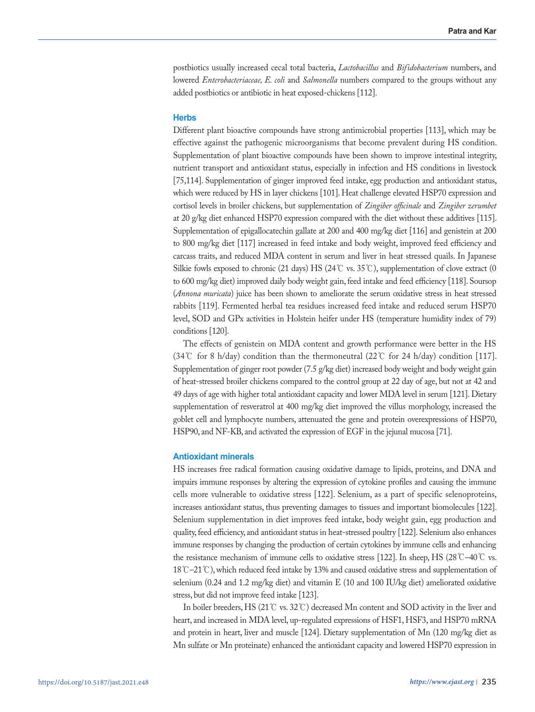postbiotics usually increased cecal total bacteria, *Lactobacillus* and *Bifidobacterium* numbers, and lowered *Enterobacteriaceae, E. coli* and *Salmonella* numbers compared to the groups without any added postbiotics or antibiotic in heat exposed-chickens [112].

# **Herbs**

Different plant bioactive compounds have strong antimicrobial properties [113], which may be effective against the pathogenic microorganisms that become prevalent during HS condition. Supplementation of plant bioactive compounds have been shown to improve intestinal integrity, nutrient transport and antioxidant status, especially in infection and HS conditions in livestock [75,114]. Supplementation of ginger improved feed intake, egg production and antioxidant status, which were reduced by HS in layer chickens [101]. Heat challenge elevated HSP70 expression and cortisol levels in broiler chickens, but supplementation of *Zingiber officinale* and *Zingiber zerumbet* at 20 g/kg diet enhanced HSP70 expression compared with the diet without these additives [115]. Supplementation of epigallocatechin gallate at 200 and 400 mg/kg diet [116] and genistein at 200 to 800 mg/kg diet [117] increased in feed intake and body weight, improved feed efficiency and carcass traits, and reduced MDA content in serum and liver in heat stressed quails. In Japanese Silkie fowls exposed to chronic (21 days) HS (24℃ vs. 35℃), supplementation of clove extract (0 to 600 mg/kg diet) improved daily body weight gain, feed intake and feed efficiency [118]. Soursop (*Annona muricata*) juice has been shown to ameliorate the serum oxidative stress in heat stressed rabbits [119]. Fermented herbal tea residues increased feed intake and reduced serum HSP70 level, SOD and GPx activities in Holstein heifer under HS (temperature humidity index of 79) conditions [120].

The effects of genistein on MDA content and growth performance were better in the HS (34℃ for 8 h/day) condition than the thermoneutral (22℃ for 24 h/day) condition [117]. Supplementation of ginger root powder (7.5 g/kg diet) increased body weight and body weight gain of heat-stressed broiler chickens compared to the control group at 22 day of age, but not at 42 and 49 days of age with higher total antioxidant capacity and lower MDA level in serum [121]. Dietary supplementation of resveratrol at 400 mg/kg diet improved the villus morphology, increased the goblet cell and lymphocyte numbers, attenuated the gene and protein overexpressions of HSP70, HSP90, and NF-KB, and activated the expression of EGF in the jejunal mucosa [71].

# **Antioxidant minerals**

HS increases free radical formation causing oxidative damage to lipids, proteins, and DNA and impairs immune responses by altering the expression of cytokine profiles and causing the immune cells more vulnerable to oxidative stress [122]. Selenium, as a part of specific selenoproteins, increases antioxidant status, thus preventing damages to tissues and important biomolecules [122]. Selenium supplementation in diet improves feed intake, body weight gain, egg production and quality, feed efficiency, and antioxidant status in heat-stressed poultry [122]. Selenium also enhances immune responses by changing the production of certain cytokines by immune cells and enhancing the resistance mechanism of immune cells to oxidative stress [122]. In sheep, HS (28°C–40°C vs. 18℃–21℃), which reduced feed intake by 13% and caused oxidative stress and supplementation of selenium (0.24 and 1.2 mg/kg diet) and vitamin E (10 and 100 IU/kg diet) ameliorated oxidative stress, but did not improve feed intake [123].

In boiler breeders, HS (21℃ vs. 32℃) decreased Mn content and SOD activity in the liver and heart, and increased in MDA level, up-regulated expressions of HSF1, HSF3, and HSP70 mRNA and protein in heart, liver and muscle [124]. Dietary supplementation of Mn (120 mg/kg diet as Mn sulfate or Mn proteinate) enhanced the antioxidant capacity and lowered HSP70 expression in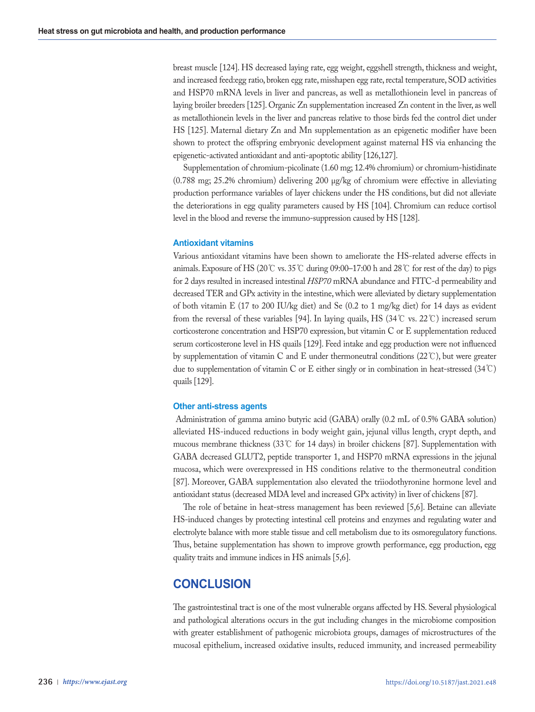breast muscle [124]. HS decreased laying rate, egg weight, eggshell strength, thickness and weight, and increased feed:egg ratio, broken egg rate, misshapen egg rate, rectal temperature, SOD activities and HSP70 mRNA levels in liver and pancreas, as well as metallothionein level in pancreas of laying broiler breeders [125]. Organic Zn supplementation increased Zn content in the liver, as well as metallothionein levels in the liver and pancreas relative to those birds fed the control diet under HS [125]. Maternal dietary Zn and Mn supplementation as an epigenetic modifier have been shown to protect the offspring embryonic development against maternal HS via enhancing the epigenetic-activated antioxidant and anti-apoptotic ability [126,127].

Supplementation of chromium-picolinate (1.60 mg; 12.4% chromium) or chromium-histidinate (0.788 mg; 25.2% chromium) delivering 200 μg/kg of chromium were effective in alleviating production performance variables of layer chickens under the HS conditions, but did not alleviate the deteriorations in egg quality parameters caused by HS [104]. Chromium can reduce cortisol level in the blood and reverse the immuno-suppression caused by HS [128].

# **Antioxidant vitamins**

Various antioxidant vitamins have been shown to ameliorate the HS-related adverse effects in animals. Exposure of HS (20℃ vs. 35℃ during 09:00–17:00 h and 28℃ for rest of the day) to pigs for 2 days resulted in increased intestinal *HSP70* mRNA abundance and FITC-d permeability and decreased TER and GPx activity in the intestine, which were alleviated by dietary supplementation of both vitamin E (17 to 200 IU/kg diet) and Se (0.2 to 1 mg/kg diet) for 14 days as evident from the reversal of these variables [94]. In laying quails, HS (34°C vs. 22°C) increased serum corticosterone concentration and HSP70 expression, but vitamin C or E supplementation reduced serum corticosterone level in HS quails [129]. Feed intake and egg production were not influenced by supplementation of vitamin C and E under thermoneutral conditions (22℃), but were greater due to supplementation of vitamin C or E either singly or in combination in heat-stressed (34℃) quails [129].

# **Other anti-stress agents**

 Administration of gamma amino butyric acid (GABA) orally (0.2 mL of 0.5% GABA solution) alleviated HS-induced reductions in body weight gain, jejunal villus length, crypt depth, and mucous membrane thickness (33℃ for 14 days) in broiler chickens [87]. Supplementation with GABA decreased GLUT2, peptide transporter 1, and HSP70 mRNA expressions in the jejunal mucosa, which were overexpressed in HS conditions relative to the thermoneutral condition [87]. Moreover, GABA supplementation also elevated the triiodothyronine hormone level and antioxidant status (decreased MDA level and increased GPx activity) in liver of chickens [87].

The role of betaine in heat-stress management has been reviewed [5,6]. Betaine can alleviate HS-induced changes by protecting intestinal cell proteins and enzymes and regulating water and electrolyte balance with more stable tissue and cell metabolism due to its osmoregulatory functions. Thus, betaine supplementation has shown to improve growth performance, egg production, egg quality traits and immune indices in HS animals [5,6].

# **CONCLUSION**

The gastrointestinal tract is one of the most vulnerable organs affected by HS. Several physiological and pathological alterations occurs in the gut including changes in the microbiome composition with greater establishment of pathogenic microbiota groups, damages of microstructures of the mucosal epithelium, increased oxidative insults, reduced immunity, and increased permeability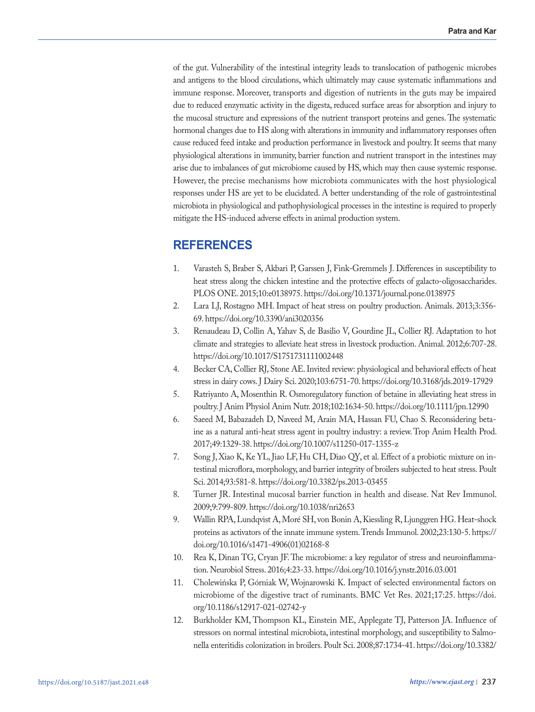of the gut. Vulnerability of the intestinal integrity leads to translocation of pathogenic microbes and antigens to the blood circulations, which ultimately may cause systematic inflammations and immune response. Moreover, transports and digestion of nutrients in the guts may be impaired due to reduced enzymatic activity in the digesta, reduced surface areas for absorption and injury to the mucosal structure and expressions of the nutrient transport proteins and genes. The systematic hormonal changes due to HS along with alterations in immunity and inflammatory responses often cause reduced feed intake and production performance in livestock and poultry. It seems that many physiological alterations in immunity, barrier function and nutrient transport in the intestines may arise due to imbalances of gut microbiome caused by HS, which may then cause systemic response. However, the precise mechanisms how microbiota communicates with the host physiological responses under HS are yet to be elucidated. A better understanding of the role of gastrointestinal microbiota in physiological and pathophysiological processes in the intestine is required to properly mitigate the HS-induced adverse effects in animal production system.

# **REFERENCES**

- 1. Varasteh S, Braber S, Akbari P, Garssen J, Fink-Gremmels J. Differences in susceptibility to heat stress along the chicken intestine and the protective effects of galacto-oligosaccharides. PLOS ONE. 2015;10:e0138975. https://doi.org/10.1371/journal.pone.0138975
- 2. Lara LJ, Rostagno MH. Impact of heat stress on poultry production. Animals. 2013;3:356- 69. https://doi.org/10.3390/ani3020356
- 3. Renaudeau D, Collin A, Yahav S, de Basilio V, Gourdine JL, Collier RJ. Adaptation to hot climate and strategies to alleviate heat stress in livestock production. Animal. 2012;6:707-28. https://doi.org/10.1017/S1751731111002448
- 4. Becker CA, Collier RJ, Stone AE. Invited review: physiological and behavioral effects of heat stress in dairy cows. J Dairy Sci. 2020;103:6751-70. https://doi.org/10.3168/jds.2019-17929
- 5. Ratriyanto A, Mosenthin R. Osmoregulatory function of betaine in alleviating heat stress in poultry. J Anim Physiol Anim Nutr. 2018;102:1634-50. https://doi.org/10.1111/jpn.12990
- 6. Saeed M, Babazadeh D, Naveed M, Arain MA, Hassan FU, Chao S. Reconsidering betaine as a natural anti-heat stress agent in poultry industry: a review. Trop Anim Health Prod. 2017;49:1329-38. https://doi.org/10.1007/s11250-017-1355-z
- 7. Song J, Xiao K, Ke YL, Jiao LF, Hu CH, Diao QY, et al. Effect of a probiotic mixture on intestinal microflora, morphology, and barrier integrity of broilers subjected to heat stress. Poult Sci. 2014;93:581-8. https://doi.org/10.3382/ps.2013-03455
- 8. Turner JR. Intestinal mucosal barrier function in health and disease. Nat Rev Immunol. 2009;9:799-809. https://doi.org/10.1038/nri2653
- 9. Wallin RPA, Lundqvist A, Moré SH, von Bonin A, Kiessling R, Ljunggren HG. Heat-shock proteins as activators of the innate immune system. Trends Immunol. 2002;23:130-5. https:// doi.org/10.1016/s1471-4906(01)02168-8
- 10. Rea K, Dinan TG, Cryan JF. The microbiome: a key regulator of stress and neuroinflammation. Neurobiol Stress. 2016;4:23-33. https://doi.org/10.1016/j.ynstr.2016.03.001
- 11. Cholewińska P, Górniak W, Wojnarowski K. Impact of selected environmental factors on microbiome of the digestive tract of ruminants. BMC Vet Res. 2021;17:25. https://doi. org/10.1186/s12917-021-02742-y
- 12. Burkholder KM, Thompson KL, Einstein ME, Applegate TJ, Patterson JA. Influence of stressors on normal intestinal microbiota, intestinal morphology, and susceptibility to Salmonella enteritidis colonization in broilers. Poult Sci. 2008;87:1734-41. https://doi.org/10.3382/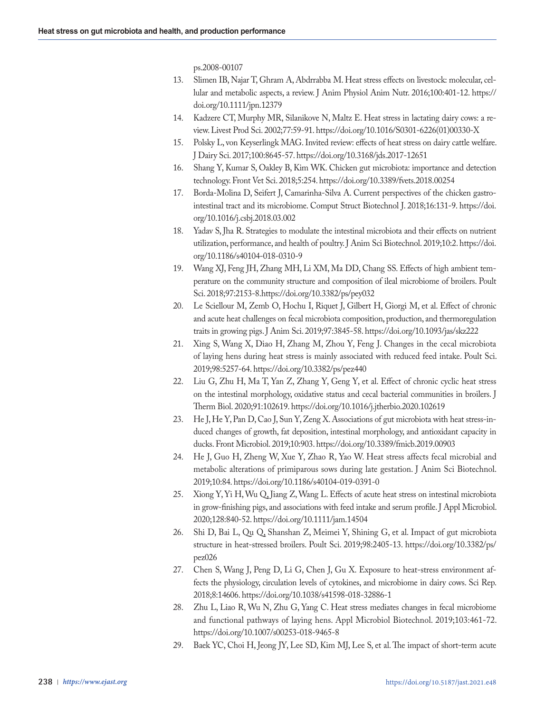ps.2008-00107

- 13. Slimen IB, Najar T, Ghram A, Abdrrabba M. Heat stress effects on livestock: molecular, cellular and metabolic aspects, a review. J Anim Physiol Anim Nutr. 2016;100:401-12. https:// doi.org/10.1111/jpn.12379
- 14. Kadzere CT, Murphy MR, Silanikove N, Maltz E. Heat stress in lactating dairy cows: a review. Livest Prod Sci. 2002;77:59-91. https://doi.org/10.1016/S0301-6226(01)00330-X
- 15. Polsky L, von Keyserlingk MAG. Invited review: effects of heat stress on dairy cattle welfare. J Dairy Sci. 2017;100:8645-57. https://doi.org/10.3168/jds.2017-12651
- 16. Shang Y, Kumar S, Oakley B, Kim WK. Chicken gut microbiota: importance and detection technology. Front Vet Sci. 2018;5:254. https://doi.org/10.3389/fvets.2018.00254
- 17. Borda-Molina D, Seifert J, Camarinha-Silva A. Current perspectives of the chicken gastrointestinal tract and its microbiome. Comput Struct Biotechnol J. 2018;16:131-9. https://doi. org/10.1016/j.csbj.2018.03.002
- 18. Yadav S, Jha R. Strategies to modulate the intestinal microbiota and their effects on nutrient utilization, performance, and health of poultry. J Anim Sci Biotechnol. 2019;10:2. https://doi. org/10.1186/s40104-018-0310-9
- 19. Wang XJ, Feng JH, Zhang MH, Li XM, Ma DD, Chang SS. Effects of high ambient temperature on the community structure and composition of ileal microbiome of broilers. Poult Sci. 2018;97:2153-8.https://doi.org/10.3382/ps/pey032
- 20. Le Sciellour M, Zemb O, Hochu I, Riquet J, Gilbert H, Giorgi M, et al. Effect of chronic and acute heat challenges on fecal microbiota composition, production, and thermoregulation traits in growing pigs. J Anim Sci. 2019;97:3845-58. https://doi.org/10.1093/jas/skz222
- 21. Xing S, Wang X, Diao H, Zhang M, Zhou Y, Feng J. Changes in the cecal microbiota of laying hens during heat stress is mainly associated with reduced feed intake. Poult Sci. 2019;98:5257-64. https://doi.org/10.3382/ps/pez440
- 22. Liu G, Zhu H, Ma T, Yan Z, Zhang Y, Geng Y, et al. Effect of chronic cyclic heat stress on the intestinal morphology, oxidative status and cecal bacterial communities in broilers. J Therm Biol. 2020;91:102619. https://doi.org/10.1016/j.jtherbio.2020.102619
- 23. He J, He Y, Pan D, Cao J, Sun Y, Zeng X. Associations of gut microbiota with heat stress-induced changes of growth, fat deposition, intestinal morphology, and antioxidant capacity in ducks. Front Microbiol. 2019;10:903. https://doi.org/10.3389/fmicb.2019.00903
- 24. He J, Guo H, Zheng W, Xue Y, Zhao R, Yao W. Heat stress affects fecal microbial and metabolic alterations of primiparous sows during late gestation. J Anim Sci Biotechnol. 2019;10:84. https://doi.org/10.1186/s40104-019-0391-0
- 25. Xiong Y, Yi H, Wu Q, Jiang Z, Wang L. Effects of acute heat stress on intestinal microbiota in grow-finishing pigs, and associations with feed intake and serum profile. J Appl Microbiol. 2020;128:840-52. https://doi.org/10.1111/jam.14504
- 26. Shi D, Bai L, Qu Q, Shanshan Z, Meimei Y, Shining G, et al. Impact of gut microbiota structure in heat-stressed broilers. Poult Sci. 2019;98:2405-13. https://doi.org/10.3382/ps/ pez026
- 27. Chen S, Wang J, Peng D, Li G, Chen J, Gu X. Exposure to heat-stress environment affects the physiology, circulation levels of cytokines, and microbiome in dairy cows. Sci Rep. 2018;8:14606. https://doi.org/10.1038/s41598-018-32886-1
- 28. Zhu L, Liao R, Wu N, Zhu G, Yang C. Heat stress mediates changes in fecal microbiome and functional pathways of laying hens. Appl Microbiol Biotechnol. 2019;103:461-72. https://doi.org/10.1007/s00253-018-9465-8
- 29. Baek YC, Choi H, Jeong JY, Lee SD, Kim MJ, Lee S, et al. The impact of short-term acute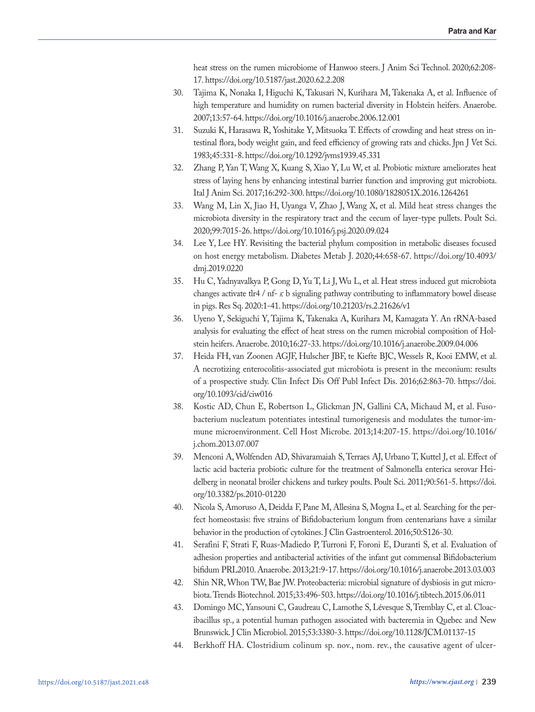heat stress on the rumen microbiome of Hanwoo steers. J Anim Sci Technol. 2020;62:208- 17. https://doi.org/10.5187/jast.2020.62.2.208

- 30. Tajima K, Nonaka I, Higuchi K, Takusari N, Kurihara M, Takenaka A, et al. Influence of high temperature and humidity on rumen bacterial diversity in Holstein heifers. Anaerobe. 2007;13:57-64. https://doi.org/10.1016/j.anaerobe.2006.12.001
- 31. Suzuki K, Harasawa R, Yoshitake Y, Mitsuoka T. Effects of crowding and heat stress on intestinal flora, body weight gain, and feed efficiency of growing rats and chicks. Jpn J Vet Sci. 1983;45:331-8. https://doi.org/10.1292/jvms1939.45.331
- 32. Zhang P, Yan T, Wang X, Kuang S, Xiao Y, Lu W, et al. Probiotic mixture ameliorates heat stress of laying hens by enhancing intestinal barrier function and improving gut microbiota. Ital J Anim Sci. 2017;16:292-300. https://doi.org/10.1080/1828051X.2016.1264261
- 33. Wang M, Lin X, Jiao H, Uyanga V, Zhao J, Wang X, et al. Mild heat stress changes the microbiota diversity in the respiratory tract and the cecum of layer-type pullets. Poult Sci. 2020;99:7015-26. https://doi.org/10.1016/j.psj.2020.09.024
- 34. Lee Y, Lee HY. Revisiting the bacterial phylum composition in metabolic diseases focused on host energy metabolism. Diabetes Metab J. 2020;44:658-67. https://doi.org/10.4093/ dmj.2019.0220
- 35. Hu C, Yadnyavalkya P, Gong D, Yu T, Li J, Wu L, et al. Heat stress induced gut microbiota changes activate tlr4 / nf- $\kappa$  b signaling pathway contributing to inflammatory bowel disease in pigs. Res Sq. 2020:1-41. https://doi.org/10.21203/rs.2.21626/v1
- 36. Uyeno Y, Sekiguchi Y, Tajima K, Takenaka A, Kurihara M, Kamagata Y. An rRNA-based analysis for evaluating the effect of heat stress on the rumen microbial composition of Holstein heifers. Anaerobe. 2010;16:27-33. https://doi.org/10.1016/j.anaerobe.2009.04.006
- 37. Heida FH, van Zoonen AGJF, Hulscher JBF, te Kiefte BJC, Wessels R, Kooi EMW, et al. A necrotizing enterocolitis-associated gut microbiota is present in the meconium: results of a prospective study. Clin Infect Dis Off Publ Infect Dis. 2016;62:863-70. https://doi. org/10.1093/cid/ciw016
- 38. Kostic AD, Chun E, Robertson L, Glickman JN, Gallini CA, Michaud M, et al. Fusobacterium nucleatum potentiates intestinal tumorigenesis and modulates the tumor-immune microenvironment. Cell Host Microbe. 2013;14:207-15. https://doi.org/10.1016/ j.chom.2013.07.007
- 39. Menconi A, Wolfenden AD, Shivaramaiah S, Terraes AJ, Urbano T, Kuttel J, et al. Effect of lactic acid bacteria probiotic culture for the treatment of Salmonella enterica serovar Heidelberg in neonatal broiler chickens and turkey poults. Poult Sci. 2011;90:561-5. https://doi. org/10.3382/ps.2010-01220
- 40. Nicola S, Amoruso A, Deidda F, Pane M, Allesina S, Mogna L, et al. Searching for the perfect homeostasis: five strains of Bifidobacterium longum from centenarians have a similar behavior in the production of cytokines. J Clin Gastroenterol. 2016;50:S126-30.
- 41. Serafini F, Strati F, Ruas-Madiedo P, Turroni F, Foroni E, Duranti S, et al. Evaluation of adhesion properties and antibacterial activities of the infant gut commensal Bifidobacterium bifidum PRL2010. Anaerobe. 2013;21:9-17. https://doi.org/10.1016/j.anaerobe.2013.03.003
- 42. Shin NR, Whon TW, Bae JW. Proteobacteria: microbial signature of dysbiosis in gut microbiota. Trends Biotechnol. 2015;33:496-503. https://doi.org/10.1016/j.tibtech.2015.06.011
- 43. Domingo MC, Yansouni C, Gaudreau C, Lamothe S, Lévesque S, Tremblay C, et al. Cloacibacillus sp., a potential human pathogen associated with bacteremia in Quebec and New Brunswick. J Clin Microbiol. 2015;53:3380-3. https://doi.org/10.1128/JCM.01137-15
- 44. Berkhoff HA. Clostridium colinum sp. nov., nom. rev., the causative agent of ulcer-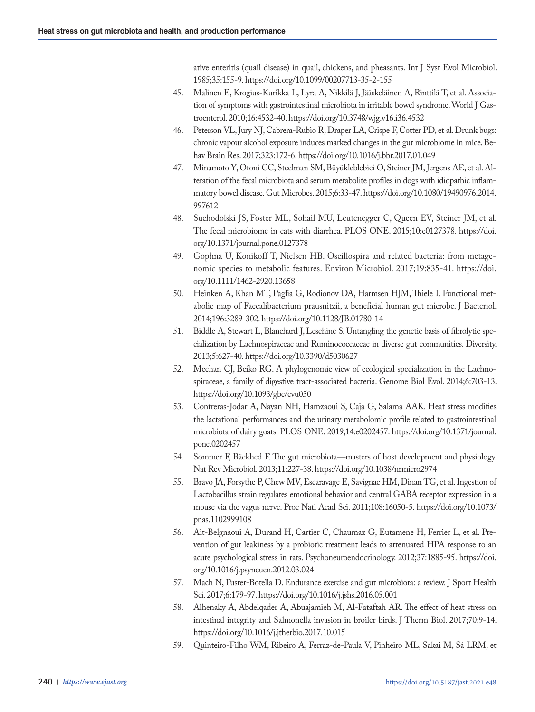ative enteritis (quail disease) in quail, chickens, and pheasants. Int J Syst Evol Microbiol. 1985;35:155-9. https://doi.org/10.1099/00207713-35-2-155

- 45. Malinen E, Krogius-Kurikka L, Lyra A, Nikkilä J, Jääskeläinen A, Rinttilä T, et al. Association of symptoms with gastrointestinal microbiota in irritable bowel syndrome. World J Gastroenterol. 2010;16:4532-40. https://doi.org/10.3748/wjg.v16.i36.4532
- 46. Peterson VL, Jury NJ, Cabrera-Rubio R, Draper LA, Crispe F, Cotter PD, et al. Drunk bugs: chronic vapour alcohol exposure induces marked changes in the gut microbiome in mice. Behav Brain Res. 2017;323:172-6. https://doi.org/10.1016/j.bbr.2017.01.049
- 47. Minamoto Y, Otoni CC, Steelman SM, Büyükleblebici O, Steiner JM, Jergens AE, et al. Alteration of the fecal microbiota and serum metabolite profiles in dogs with idiopathic inflammatory bowel disease. Gut Microbes. 2015;6:33-47. https://doi.org/10.1080/19490976.2014. 997612
- 48. Suchodolski JS, Foster ML, Sohail MU, Leutenegger C, Queen EV, Steiner JM, et al. The fecal microbiome in cats with diarrhea. PLOS ONE. 2015;10:e0127378. https://doi. org/10.1371/journal.pone.0127378
- 49. Gophna U, Konikoff T, Nielsen HB. Oscillospira and related bacteria: from metagenomic species to metabolic features. Environ Microbiol. 2017;19:835-41. https://doi. org/10.1111/1462-2920.13658
- 50. Heinken A, Khan MT, Paglia G, Rodionov DA, Harmsen HJM, Thiele I. Functional metabolic map of Faecalibacterium prausnitzii, a beneficial human gut microbe. J Bacteriol. 2014;196:3289-302. https://doi.org/10.1128/JB.01780-14
- 51. Biddle A, Stewart L, Blanchard J, Leschine S. Untangling the genetic basis of fibrolytic specialization by Lachnospiraceae and Ruminococcaceae in diverse gut communities. Diversity. 2013;5:627-40. https://doi.org/10.3390/d5030627
- 52. Meehan CJ, Beiko RG. A phylogenomic view of ecological specialization in the Lachnospiraceae, a family of digestive tract-associated bacteria. Genome Biol Evol. 2014;6:703-13. https://doi.org/10.1093/gbe/evu050
- 53. Contreras-Jodar A, Nayan NH, Hamzaoui S, Caja G, Salama AAK. Heat stress modifies the lactational performances and the urinary metabolomic profile related to gastrointestinal microbiota of dairy goats. PLOS ONE. 2019;14:e0202457. https://doi.org/10.1371/journal. pone.0202457
- 54. Sommer F, Bäckhed F. The gut microbiota—masters of host development and physiology. Nat Rev Microbiol. 2013;11:227-38. https://doi.org/10.1038/nrmicro2974
- 55. Bravo JA, Forsythe P, Chew MV, Escaravage E, Savignac HM, Dinan TG, et al. Ingestion of Lactobacillus strain regulates emotional behavior and central GABA receptor expression in a mouse via the vagus nerve. Proc Natl Acad Sci. 2011;108:16050-5. https://doi.org/10.1073/ pnas.1102999108
- 56. Ait-Belgnaoui A, Durand H, Cartier C, Chaumaz G, Eutamene H, Ferrier L, et al. Prevention of gut leakiness by a probiotic treatment leads to attenuated HPA response to an acute psychological stress in rats. Psychoneuroendocrinology. 2012;37:1885-95. https://doi. org/10.1016/j.psyneuen.2012.03.024
- 57. Mach N, Fuster-Botella D. Endurance exercise and gut microbiota: a review. J Sport Health Sci. 2017;6:179-97. https://doi.org/10.1016/j.jshs.2016.05.001
- 58. Alhenaky A, Abdelqader A, Abuajamieh M, Al-Fataftah AR. The effect of heat stress on intestinal integrity and Salmonella invasion in broiler birds. J Therm Biol. 2017;70:9-14. https://doi.org/10.1016/j.jtherbio.2017.10.015
- 59. Quinteiro-Filho WM, Ribeiro A, Ferraz-de-Paula V, Pinheiro ML, Sakai M, Sá LRM, et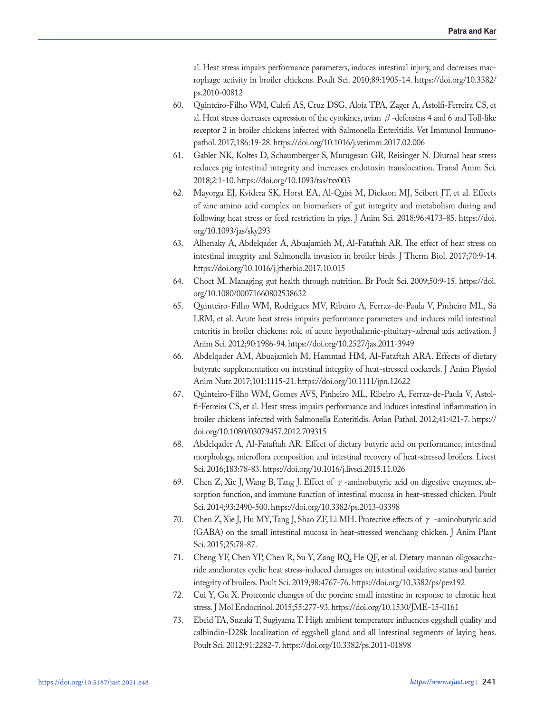al. Heat stress impairs performance parameters, induces intestinal injury, and decreases macrophage activity in broiler chickens. Poult Sci. 2010;89:1905-14. https://doi.org/10.3382/ ps.2010-00812

- 60. Quinteiro-Filho WM, Calefi AS, Cruz DSG, Aloia TPA, Zager A, Astolfi-Ferreira CS, et al. Heat stress decreases expression of the cytokines, avian  $\beta$ -defensins 4 and 6 and Toll-like receptor 2 in broiler chickens infected with Salmonella Enteritidis. Vet Immunol Immunopathol. 2017;186:19-28. https://doi.org/10.1016/j.vetimm.2017.02.006
- 61. Gabler NK, Koltes D, Schaumberger S, Murugesan GR, Reisinger N. Diurnal heat stress reduces pig intestinal integrity and increases endotoxin translocation. Transl Anim Sci. 2018;2:1-10. https://doi.org/10.1093/tas/txx003
- 62. Mayorga EJ, Kvidera SK, Horst EA, Al-Qaisi M, Dickson MJ, Seibert JT, et al. Effects of zinc amino acid complex on biomarkers of gut integrity and metabolism during and following heat stress or feed restriction in pigs. J Anim Sci. 2018;96:4173-85. https://doi. org/10.1093/jas/sky293
- 63. Alhenaky A, Abdelqader A, Abuajamieh M, Al-Fataftah AR. The effect of heat stress on intestinal integrity and Salmonella invasion in broiler birds. J Therm Biol. 2017;70:9-14. https://doi.org/10.1016/j.jtherbio.2017.10.015
- 64. Choct M. Managing gut health through nutrition. Br Poult Sci. 2009;50:9-15. https://doi. org/10.1080/00071660802538632
- 65. Quinteiro-Filho WM, Rodrigues MV, Ribeiro A, Ferraz-de-Paula V, Pinheiro ML, Sá LRM, et al. Acute heat stress impairs performance parameters and induces mild intestinal enteritis in broiler chickens: role of acute hypothalamic-pituitary-adrenal axis activation. J Anim Sci. 2012;90:1986-94. https://doi.org/10.2527/jas.2011-3949
- 66. Abdelqader AM, Abuajamieh M, Hammad HM, Al-Fataftah ARA. Effects of dietary butyrate supplementation on intestinal integrity of heat-stressed cockerels. J Anim Physiol Anim Nutr. 2017;101:1115-21. https://doi.org/10.1111/jpn.12622
- 67. Quinteiro-Filho WM, Gomes AVS, Pinheiro ML, Ribeiro A, Ferraz-de-Paula V, Astolfi-Ferreira CS, et al. Heat stress impairs performance and induces intestinal inflammation in broiler chickens infected with Salmonella Enteritidis. Avian Pathol. 2012;41:421-7. https:// doi.org/10.1080/03079457.2012.709315
- 68. Abdelqader A, Al-Fataftah AR. Effect of dietary butyric acid on performance, intestinal morphology, microflora composition and intestinal recovery of heat-stressed broilers. Livest Sci. 2016;183:78-83. https://doi.org/10.1016/j.livsci.2015.11.026
- 69. Chen Z, Xie J, Wang B, Tang J. Effect of  $\gamma$ -aminobutyric acid on digestive enzymes, absorption function, and immune function of intestinal mucosa in heat-stressed chicken. Poult Sci. 2014;93:2490-500. https://doi.org/10.3382/ps.2013-03398
- 70. Chen Z, Xie J, Hu MY, Tang J, Shao ZF, Li MH. Protective effects of  $\gamma$  -aminobutyric acid (GABA) on the small intestinal mucosa in heat-stressed wenchang chicken. J Anim Plant Sci. 2015;25:78-87.
- 71. Cheng YF, Chen YP, Chen R, Su Y, Zang RQ, He QF, et al. Dietary mannan oligosaccharide ameliorates cyclic heat stress-induced damages on intestinal oxidative status and barrier integrity of broilers. Poult Sci. 2019;98:4767-76. https://doi.org/10.3382/ps/pez192
- 72. Cui Y, Gu X. Proteomic changes of the porcine small intestine in response to chronic heat stress. J Mol Endocrinol. 2015;55:277-93. https://doi.org/10.1530/JME-15-0161
- 73. Ebeid TA, Suzuki T, Sugiyama T. High ambient temperature influences eggshell quality and calbindin-D28k localization of eggshell gland and all intestinal segments of laying hens. Poult Sci. 2012;91:2282-7. https://doi.org/10.3382/ps.2011-01898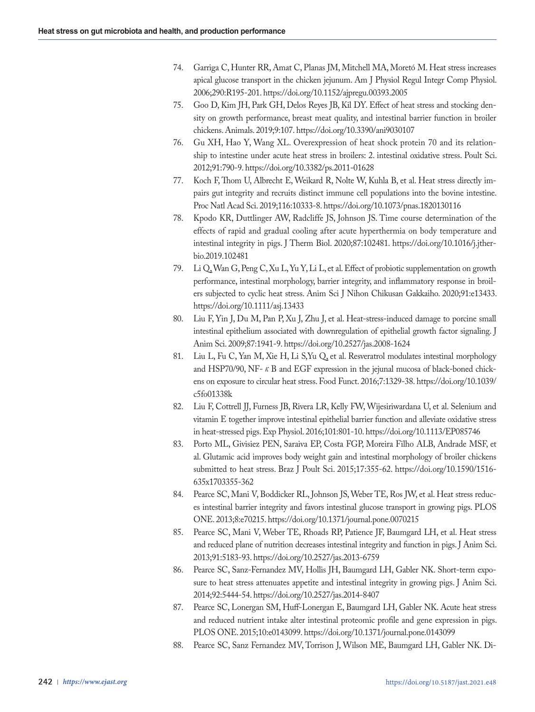- 74. Garriga C, Hunter RR, Amat C, Planas JM, Mitchell MA, Moretó M. Heat stress increases apical glucose transport in the chicken jejunum. Am J Physiol Regul Integr Comp Physiol. 2006;290:R195-201. https://doi.org/10.1152/ajpregu.00393.2005
- 75. Goo D, Kim JH, Park GH, Delos Reyes JB, Kil DY. Effect of heat stress and stocking density on growth performance, breast meat quality, and intestinal barrier function in broiler chickens. Animals. 2019;9:107. https://doi.org/10.3390/ani9030107
- 76. Gu XH, Hao Y, Wang XL. Overexpression of heat shock protein 70 and its relationship to intestine under acute heat stress in broilers: 2. intestinal oxidative stress. Poult Sci. 2012;91:790-9. https://doi.org/10.3382/ps.2011-01628
- 77. Koch F, Thom U, Albrecht E, Weikard R, Nolte W, Kuhla B, et al. Heat stress directly impairs gut integrity and recruits distinct immune cell populations into the bovine intestine. Proc Natl Acad Sci. 2019;116:10333-8. https://doi.org/10.1073/pnas.1820130116
- 78. Kpodo KR, Duttlinger AW, Radcliffe JS, Johnson JS. Time course determination of the effects of rapid and gradual cooling after acute hyperthermia on body temperature and intestinal integrity in pigs. J Therm Biol. 2020;87:102481. https://doi.org/10.1016/j.jtherbio.2019.102481
- 79. Li Q, Wan G, Peng C, Xu L, Yu Y, Li L, et al. Effect of probiotic supplementation on growth performance, intestinal morphology, barrier integrity, and inflammatory response in broilers subjected to cyclic heat stress. Anim Sci J Nihon Chikusan Gakkaiho. 2020;91:e13433. https://doi.org/10.1111/asj.13433
- 80. Liu F, Yin J, Du M, Pan P, Xu J, Zhu J, et al. Heat-stress-induced damage to porcine small intestinal epithelium associated with downregulation of epithelial growth factor signaling. J Anim Sci. 2009;87:1941-9. https://doi.org/10.2527/jas.2008-1624
- 81. Liu L, Fu C, Yan M, Xie H, Li S,Yu Q, et al. Resveratrol modulates intestinal morphology and HSP70/90, NF- $\kappa$  B and EGF expression in the jejunal mucosa of black-boned chickens on exposure to circular heat stress. Food Funct. 2016;7:1329-38. https://doi.org/10.1039/ c5fo01338k
- 82. Liu F, Cottrell JJ, Furness JB, Rivera LR, Kelly FW, Wijesiriwardana U, et al. Selenium and vitamin E together improve intestinal epithelial barrier function and alleviate oxidative stress in heat-stressed pigs. Exp Physiol. 2016;101:801-10. https://doi.org/10.1113/EP085746
- 83. Porto ML, Givisiez PEN, Saraiva EP, Costa FGP, Moreira Filho ALB, Andrade MSF, et al. Glutamic acid improves body weight gain and intestinal morphology of broiler chickens submitted to heat stress. Braz J Poult Sci. 2015;17:355-62. https://doi.org/10.1590/1516- 635x1703355-362
- 84. Pearce SC, Mani V, Boddicker RL, Johnson JS, Weber TE, Ros JW, et al. Heat stress reduces intestinal barrier integrity and favors intestinal glucose transport in growing pigs. PLOS ONE. 2013;8:e70215. https://doi.org/10.1371/journal.pone.0070215
- 85. Pearce SC, Mani V, Weber TE, Rhoads RP, Patience JF, Baumgard LH, et al. Heat stress and reduced plane of nutrition decreases intestinal integrity and function in pigs. J Anim Sci. 2013;91:5183-93. https://doi.org/10.2527/jas.2013-6759
- 86. Pearce SC, Sanz-Fernandez MV, Hollis JH, Baumgard LH, Gabler NK. Short-term exposure to heat stress attenuates appetite and intestinal integrity in growing pigs. J Anim Sci. 2014;92:5444-54. https://doi.org/10.2527/jas.2014-8407
- 87. Pearce SC, Lonergan SM, Huff-Lonergan E, Baumgard LH, Gabler NK. Acute heat stress and reduced nutrient intake alter intestinal proteomic profile and gene expression in pigs. PLOS ONE. 2015;10:e0143099. https://doi.org/10.1371/journal.pone.0143099
- 88. Pearce SC, Sanz Fernandez MV, Torrison J, Wilson ME, Baumgard LH, Gabler NK. Di-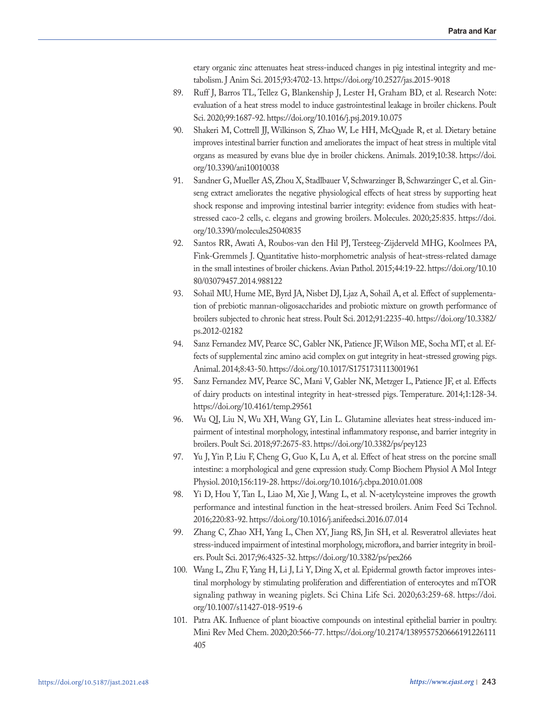etary organic zinc attenuates heat stress-induced changes in pig intestinal integrity and metabolism. J Anim Sci. 2015;93:4702-13. https://doi.org/10.2527/jas.2015-9018

- 89. Ruff J, Barros TL, Tellez G, Blankenship J, Lester H, Graham BD, et al. Research Note: evaluation of a heat stress model to induce gastrointestinal leakage in broiler chickens. Poult Sci. 2020;99:1687-92. https://doi.org/10.1016/j.psj.2019.10.075
- 90. Shakeri M, Cottrell JJ, Wilkinson S, Zhao W, Le HH, McQuade R, et al. Dietary betaine improves intestinal barrier function and ameliorates the impact of heat stress in multiple vital organs as measured by evans blue dye in broiler chickens. Animals. 2019;10:38. https://doi. org/10.3390/ani10010038
- 91. Sandner G, Mueller AS, Zhou X, Stadlbauer V, Schwarzinger B, Schwarzinger C, et al. Ginseng extract ameliorates the negative physiological effects of heat stress by supporting heat shock response and improving intestinal barrier integrity: evidence from studies with heatstressed caco-2 cells, c. elegans and growing broilers. Molecules. 2020;25:835. https://doi. org/10.3390/molecules25040835
- 92. Santos RR, Awati A, Roubos-van den Hil PJ, Tersteeg-Zijderveld MHG, Koolmees PA, Fink-Gremmels J. Quantitative histo-morphometric analysis of heat-stress-related damage in the small intestines of broiler chickens. Avian Pathol. 2015;44:19-22. https://doi.org/10.10 80/03079457.2014.988122
- 93. Sohail MU, Hume ME, Byrd JA, Nisbet DJ, Ljaz A, Sohail A, et al. Effect of supplementation of prebiotic mannan-oligosaccharides and probiotic mixture on growth performance of broilers subjected to chronic heat stress. Poult Sci. 2012;91:2235-40. https://doi.org/10.3382/ ps.2012-02182
- 94. Sanz Fernandez MV, Pearce SC, Gabler NK, Patience JF, Wilson ME, Socha MT, et al. Effects of supplemental zinc amino acid complex on gut integrity in heat-stressed growing pigs. Animal. 2014;8:43-50. https://doi.org/10.1017/S1751731113001961
- 95. Sanz Fernandez MV, Pearce SC, Mani V, Gabler NK, Metzger L, Patience JF, et al. Effects of dairy products on intestinal integrity in heat-stressed pigs. Temperature. 2014;1:128-34. https://doi.org/10.4161/temp.29561
- 96. Wu QJ, Liu N, Wu XH, Wang GY, Lin L. Glutamine alleviates heat stress-induced impairment of intestinal morphology, intestinal inflammatory response, and barrier integrity in broilers. Poult Sci. 2018;97:2675-83. https://doi.org/10.3382/ps/pey123
- 97. Yu J, Yin P, Liu F, Cheng G, Guo K, Lu A, et al. Effect of heat stress on the porcine small intestine: a morphological and gene expression study. Comp Biochem Physiol A Mol Integr Physiol. 2010;156:119-28. https://doi.org/10.1016/j.cbpa.2010.01.008
- 98. Yi D, Hou Y, Tan L, Liao M, Xie J, Wang L, et al. N-acetylcysteine improves the growth performance and intestinal function in the heat-stressed broilers. Anim Feed Sci Technol. 2016;220:83-92. https://doi.org/10.1016/j.anifeedsci.2016.07.014
- 99. Zhang C, Zhao XH, Yang L, Chen XY, Jiang RS, Jin SH, et al. Resveratrol alleviates heat stress-induced impairment of intestinal morphology, microflora, and barrier integrity in broilers. Poult Sci. 2017;96:4325-32. https://doi.org/10.3382/ps/pex266
- 100. Wang L, Zhu F, Yang H, Li J, Li Y, Ding X, et al. Epidermal growth factor improves intestinal morphology by stimulating proliferation and differentiation of enterocytes and mTOR signaling pathway in weaning piglets. Sci China Life Sci. 2020;63:259-68. https://doi. org/10.1007/s11427-018-9519-6
- 101. Patra AK. Influence of plant bioactive compounds on intestinal epithelial barrier in poultry. Mini Rev Med Chem. 2020;20:566-77. https://doi.org/10.2174/1389557520666191226111 405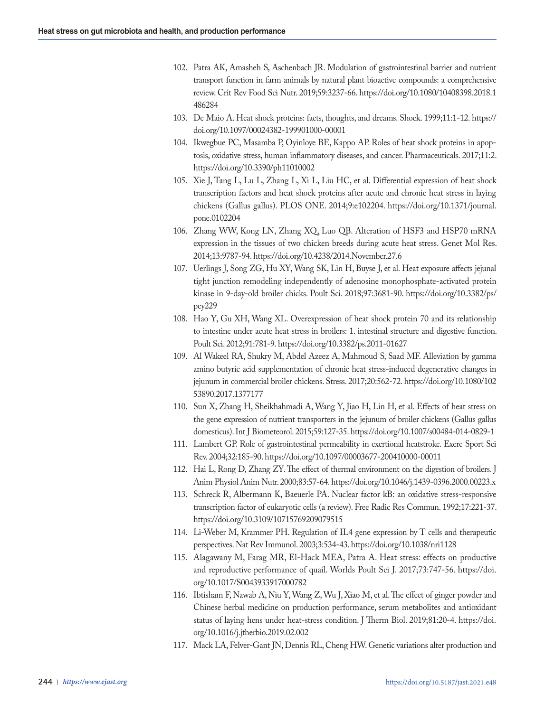- 102. Patra AK, Amasheh S, Aschenbach JR. Modulation of gastrointestinal barrier and nutrient transport function in farm animals by natural plant bioactive compounds: a comprehensive review. Crit Rev Food Sci Nutr. 2019;59:3237-66. https://doi.org/10.1080/10408398.2018.1 486284
- 103. De Maio A. Heat shock proteins: facts, thoughts, and dreams. Shock. 1999;11:1-12. https:// doi.org/10.1097/00024382-199901000-00001
- 104. Ikwegbue PC, Masamba P, Oyinloye BE, Kappo AP. Roles of heat shock proteins in apoptosis, oxidative stress, human inflammatory diseases, and cancer. Pharmaceuticals. 2017;11:2. https://doi.org/10.3390/ph11010002
- 105. Xie J, Tang L, Lu L, Zhang L, Xi L, Liu HC, et al. Differential expression of heat shock transcription factors and heat shock proteins after acute and chronic heat stress in laying chickens (Gallus gallus). PLOS ONE. 2014;9:e102204. https://doi.org/10.1371/journal. pone.0102204
- 106. Zhang WW, Kong LN, Zhang XQ, Luo QB. Alteration of HSF3 and HSP70 mRNA expression in the tissues of two chicken breeds during acute heat stress. Genet Mol Res. 2014;13:9787-94. https://doi.org/10.4238/2014.November.27.6
- 107. Uerlings J, Song ZG, Hu XY, Wang SK, Lin H, Buyse J, et al. Heat exposure affects jejunal tight junction remodeling independently of adenosine monophosphate-activated protein kinase in 9-day-old broiler chicks. Poult Sci. 2018;97:3681-90. https://doi.org/10.3382/ps/ pey229
- 108. Hao Y, Gu XH, Wang XL. Overexpression of heat shock protein 70 and its relationship to intestine under acute heat stress in broilers: 1. intestinal structure and digestive function. Poult Sci. 2012;91:781-9. https://doi.org/10.3382/ps.2011-01627
- 109. Al Wakeel RA, Shukry M, Abdel Azeez A, Mahmoud S, Saad MF. Alleviation by gamma amino butyric acid supplementation of chronic heat stress-induced degenerative changes in jejunum in commercial broiler chickens. Stress. 2017;20:562-72. https://doi.org/10.1080/102 53890.2017.1377177
- 110. Sun X, Zhang H, Sheikhahmadi A, Wang Y, Jiao H, Lin H, et al. Effects of heat stress on the gene expression of nutrient transporters in the jejunum of broiler chickens (Gallus gallus domesticus). Int J Biometeorol. 2015;59:127-35. https://doi.org/10.1007/s00484-014-0829-1
- 111. Lambert GP. Role of gastrointestinal permeability in exertional heatstroke. Exerc Sport Sci Rev. 2004;32:185-90. https://doi.org/10.1097/00003677-200410000-00011
- 112. Hai L, Rong D, Zhang ZY. The effect of thermal environment on the digestion of broilers. J Anim Physiol Anim Nutr. 2000;83:57-64. https://doi.org/10.1046/j.1439-0396.2000.00223.x
- 113. Schreck R, Albermann K, Baeuerle PA. Nuclear factor kB: an oxidative stress-responsive transcription factor of eukaryotic cells (a review). Free Radic Res Commun. 1992;17:221-37. https://doi.org/10.3109/10715769209079515
- 114. Li-Weber M, Krammer PH. Regulation of IL4 gene expression by T cells and therapeutic perspectives. Nat Rev Immunol. 2003;3:534-43. https://doi.org/10.1038/nri1128
- 115. Alagawany M, Farag MR, El-Hack MEA, Patra A. Heat stress: effects on productive and reproductive performance of quail. Worlds Poult Sci J. 2017;73:747-56. https://doi. org/10.1017/S0043933917000782
- 116. Ibtisham F, Nawab A, Niu Y, Wang Z, Wu J, Xiao M, et al. The effect of ginger powder and Chinese herbal medicine on production performance, serum metabolites and antioxidant status of laying hens under heat-stress condition. J Therm Biol. 2019;81:20-4. https://doi. org/10.1016/j.jtherbio.2019.02.002
- 117. Mack LA, Felver-Gant JN, Dennis RL, Cheng HW. Genetic variations alter production and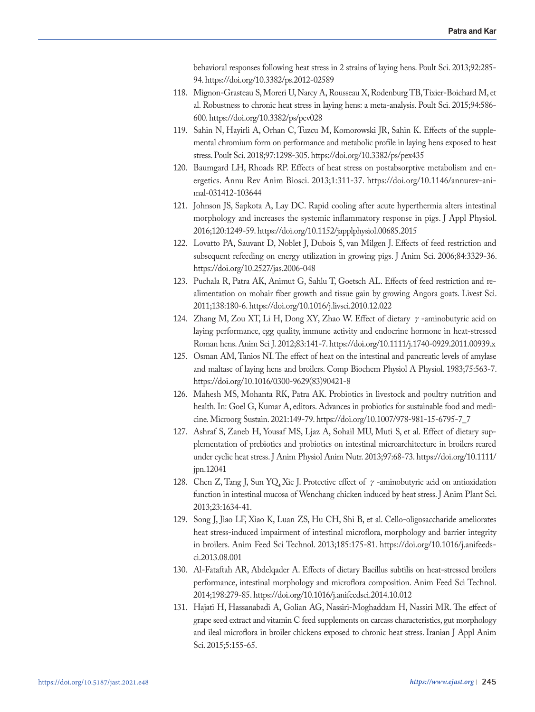behavioral responses following heat stress in 2 strains of laying hens. Poult Sci. 2013;92:285- 94. https://doi.org/10.3382/ps.2012-02589

- 118. Mignon-Grasteau S, Moreri U, Narcy A, Rousseau X, Rodenburg TB, Tixier-Boichard M, et al. Robustness to chronic heat stress in laying hens: a meta-analysis. Poult Sci. 2015;94:586- 600. https://doi.org/10.3382/ps/pev028
- 119. Sahin N, Hayirli A, Orhan C, Tuzcu M, Komorowski JR, Sahin K. Effects of the supplemental chromium form on performance and metabolic profile in laying hens exposed to heat stress. Poult Sci. 2018;97:1298-305. https://doi.org/10.3382/ps/pex435
- 120. Baumgard LH, Rhoads RP. Effects of heat stress on postabsorptive metabolism and energetics. Annu Rev Anim Biosci. 2013;1:311-37. https://doi.org/10.1146/annurev-animal-031412-103644
- 121. Johnson JS, Sapkota A, Lay DC. Rapid cooling after acute hyperthermia alters intestinal morphology and increases the systemic inflammatory response in pigs. J Appl Physiol. 2016;120:1249-59. https://doi.org/10.1152/japplphysiol.00685.2015
- 122. Lovatto PA, Sauvant D, Noblet J, Dubois S, van Milgen J. Effects of feed restriction and subsequent refeeding on energy utilization in growing pigs. J Anim Sci. 2006;84:3329-36. https://doi.org/10.2527/jas.2006-048
- 123. Puchala R, Patra AK, Animut G, Sahlu T, Goetsch AL. Effects of feed restriction and realimentation on mohair fiber growth and tissue gain by growing Angora goats. Livest Sci. 2011;138:180-6. https://doi.org/10.1016/j.livsci.2010.12.022
- 124. Zhang M, Zou XT, Li H, Dong XY, Zhao W. Effect of dietary  $\gamma$ -aminobutyric acid on laying performance, egg quality, immune activity and endocrine hormone in heat-stressed Roman hens. Anim Sci J. 2012;83:141-7. https://doi.org/10.1111/j.1740-0929.2011.00939.x
- 125. Osman AM, Tanios NI. The effect of heat on the intestinal and pancreatic levels of amylase and maltase of laying hens and broilers. Comp Biochem Physiol A Physiol. 1983;75:563-7. https://doi.org/10.1016/0300-9629(83)90421-8
- 126. Mahesh MS, Mohanta RK, Patra AK. Probiotics in livestock and poultry nutrition and health. In: Goel G, Kumar A, editors. Advances in probiotics for sustainable food and medicine. Microorg Sustain. 2021:149-79. https://doi.org/10.1007/978-981-15-6795-7\_7
- 127. Ashraf S, Zaneb H, Yousaf MS, Ljaz A, Sohail MU, Muti S, et al. Effect of dietary supplementation of prebiotics and probiotics on intestinal microarchitecture in broilers reared under cyclic heat stress. J Anim Physiol Anim Nutr. 2013;97:68-73. https://doi.org/10.1111/ jpn.12041
- 128. Chen Z, Tang J, Sun YQ, Xie J. Protective effect of  $\gamma$ -aminobutyric acid on antioxidation function in intestinal mucosa of Wenchang chicken induced by heat stress. J Anim Plant Sci. 2013;23:1634-41.
- 129. Song J, Jiao LF, Xiao K, Luan ZS, Hu CH, Shi B, et al. Cello-oligosaccharide ameliorates heat stress-induced impairment of intestinal microflora, morphology and barrier integrity in broilers. Anim Feed Sci Technol. 2013;185:175-81. https://doi.org/10.1016/j.anifeedsci.2013.08.001
- 130. Al-Fataftah AR, Abdelqader A. Effects of dietary Bacillus subtilis on heat-stressed broilers performance, intestinal morphology and microflora composition. Anim Feed Sci Technol. 2014;198:279-85. https://doi.org/10.1016/j.anifeedsci.2014.10.012
- 131. Hajati H, Hassanabadi A, Golian AG, Nassiri-Moghaddam H, Nassiri MR. The effect of grape seed extract and vitamin C feed supplements on carcass characteristics, gut morphology and ileal microflora in broiler chickens exposed to chronic heat stress. Iranian J Appl Anim Sci. 2015;5:155-65.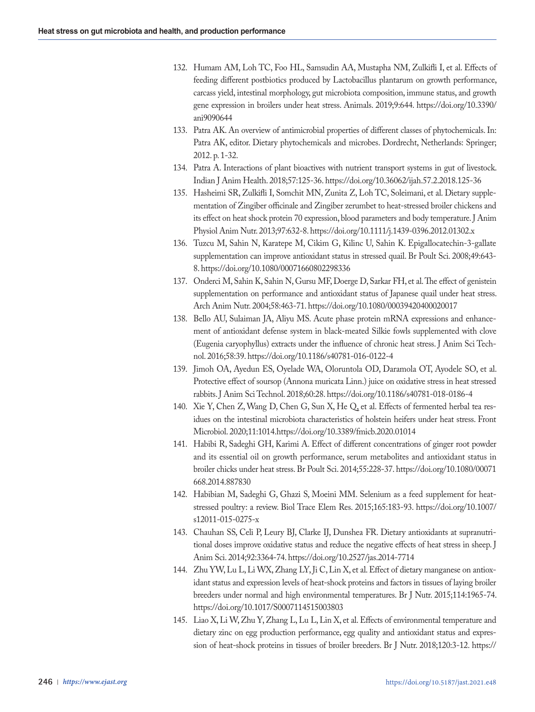- 132. Humam AM, Loh TC, Foo HL, Samsudin AA, Mustapha NM, Zulkifli I, et al. Effects of feeding different postbiotics produced by Lactobacillus plantarum on growth performance, carcass yield, intestinal morphology, gut microbiota composition, immune status, and growth gene expression in broilers under heat stress. Animals. 2019;9:644. https://doi.org/10.3390/ ani9090644
- 133. Patra AK. An overview of antimicrobial properties of different classes of phytochemicals. In: Patra AK, editor. Dietary phytochemicals and microbes. Dordrecht, Netherlands: Springer; 2012. p. 1-32.
- 134. Patra A. Interactions of plant bioactives with nutrient transport systems in gut of livestock. Indian J Anim Health. 2018;57:125-36. https://doi.org/10.36062/ijah.57.2.2018.125-36
- 135. Hasheimi SR, Zulkifli I, Somchit MN, Zunita Z, Loh TC, Soleimani, et al. Dietary supplementation of Zingiber officinale and Zingiber zerumbet to heat-stressed broiler chickens and its effect on heat shock protein 70 expression, blood parameters and body temperature. J Anim Physiol Anim Nutr. 2013;97:632-8. https://doi.org/10.1111/j.1439-0396.2012.01302.x
- 136. Tuzcu M, Sahin N, Karatepe M, Cikim G, Kilinc U, Sahin K. Epigallocatechin-3-gallate supplementation can improve antioxidant status in stressed quail. Br Poult Sci. 2008;49:643- 8. https://doi.org/10.1080/00071660802298336
- 137. Onderci M, Sahin K, Sahin N, Gursu MF, Doerge D, Sarkar FH, et al. The effect of genistein supplementation on performance and antioxidant status of Japanese quail under heat stress. Arch Anim Nutr. 2004;58:463-71. https://doi.org/10.1080/00039420400020017
- 138. Bello AU, Sulaiman JA, Aliyu MS. Acute phase protein mRNA expressions and enhancement of antioxidant defense system in black-meated Silkie fowls supplemented with clove (Eugenia caryophyllus) extracts under the influence of chronic heat stress. J Anim Sci Technol. 2016;58:39. https://doi.org/10.1186/s40781-016-0122-4
- 139. Jimoh OA, Ayedun ES, Oyelade WA, Oloruntola OD, Daramola OT, Ayodele SO, et al. Protective effect of soursop (Annona muricata Linn.) juice on oxidative stress in heat stressed rabbits. J Anim Sci Technol. 2018;60:28. https://doi.org/10.1186/s40781-018-0186-4
- 140. Xie Y, Chen Z, Wang D, Chen G, Sun X, He Q, et al. Effects of fermented herbal tea residues on the intestinal microbiota characteristics of holstein heifers under heat stress. Front Microbiol. 2020;11:1014.https://doi.org/10.3389/fmicb.2020.01014
- 141. Habibi R, Sadeghi GH, Karimi A. Effect of different concentrations of ginger root powder and its essential oil on growth performance, serum metabolites and antioxidant status in broiler chicks under heat stress. Br Poult Sci. 2014;55:228-37. https://doi.org/10.1080/00071 668.2014.887830
- 142. Habibian M, Sadeghi G, Ghazi S, Moeini MM. Selenium as a feed supplement for heatstressed poultry: a review. Biol Trace Elem Res. 2015;165:183-93. https://doi.org/10.1007/ s12011-015-0275-x
- 143. Chauhan SS, Celi P, Leury BJ, Clarke IJ, Dunshea FR. Dietary antioxidants at supranutritional doses improve oxidative status and reduce the negative effects of heat stress in sheep. J Anim Sci. 2014;92:3364-74. https://doi.org/10.2527/jas.2014-7714
- 144. Zhu YW, Lu L, Li WX, Zhang LY, Ji C, Lin X, et al. Effect of dietary manganese on antioxidant status and expression levels of heat-shock proteins and factors in tissues of laying broiler breeders under normal and high environmental temperatures. Br J Nutr. 2015;114:1965-74. https://doi.org/10.1017/S0007114515003803
- 145. Liao X, Li W, Zhu Y, Zhang L, Lu L, Lin X, et al. Effects of environmental temperature and dietary zinc on egg production performance, egg quality and antioxidant status and expression of heat-shock proteins in tissues of broiler breeders. Br J Nutr. 2018;120:3-12. https://